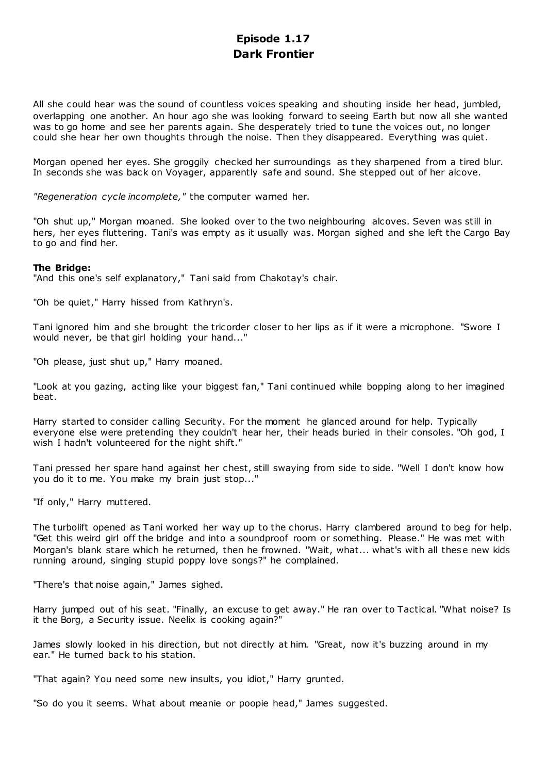# **Episode 1.17 Dark Frontier**

All she could hear was the sound of countless voices speaking and shouting inside her head, jumbled, overlapping one another. An hour ago she was looking forward to seeing Earth but now all she wanted was to go home and see her parents again. She desperately tried to tune the voices out, no longer could she hear her own thoughts through the noise. Then they disappeared. Everything was quiet.

Morgan opened her eyes. She groggily checked her surroundings as they sharpened from a tired blur. In seconds she was back on Voyager, apparently safe and sound. She stepped out of her alcove.

*"Regeneration cycle incomplete,"* the computer warned her.

"Oh shut up," Morgan moaned. She looked over to the two neighbouring alcoves. Seven was still in hers, her eyes fluttering. Tani's was empty as it usually was. Morgan sighed and she left the Cargo Bay to go and find her.

# **The Bridge:**

"And this one's self explanatory," Tani said from Chakotay's chair.

"Oh be quiet," Harry hissed from Kathryn's.

Tani ignored him and she brought the tricorder closer to her lips as if it were a microphone. "Swore I would never, be that girl holding your hand..."

"Oh please, just shut up," Harry moaned.

"Look at you gazing, acting like your biggest fan," Tani continued while bopping along to her imagined beat.

Harry started to consider calling Security. For the moment he glanced around for help. Typically everyone else were pretending they couldn't hear her, their heads buried in their consoles. "Oh god, I wish I hadn't volunteered for the night shift."

Tani pressed her spare hand against her chest, still swaying from side to side. "Well I don't know how you do it to me. You make my brain just stop..."

"If only," Harry muttered.

The turbolift opened as Tani worked her way up to the chorus. Harry clambered around to beg for help. "Get this weird girl off the bridge and into a soundproof room or something. Please." He was met with Morgan's blank stare which he returned, then he frowned. "Wait, what... what's with all these new kids running around, singing stupid poppy love songs?" he complained.

"There's that noise again," James sighed.

Harry jumped out of his seat. "Finally, an excuse to get away." He ran over to Tactical. "What noise? Is it the Borg, a Security issue. Neelix is cooking again?"

James slowly looked in his direction, but not directly at him. "Great, now it's buzzing around in my ear." He turned back to his station.

"That again? You need some new insults, you idiot," Harry grunted.

"So do you it seems. What about meanie or poopie head," James suggested.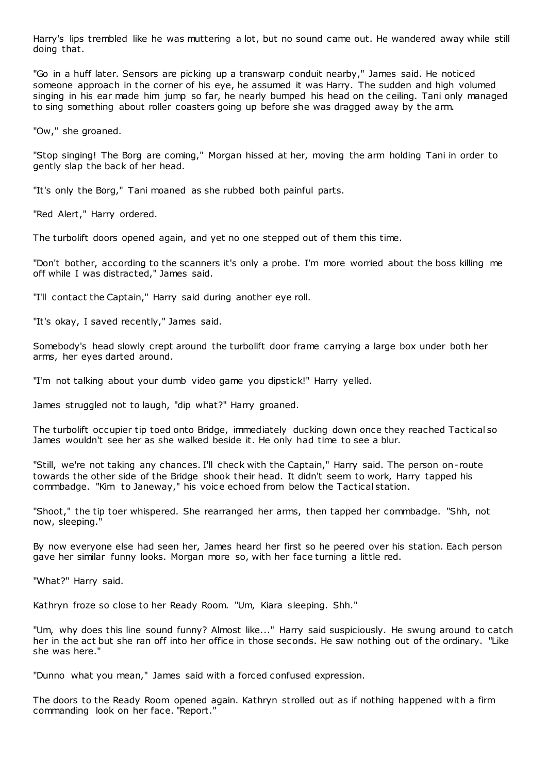Harry's lips trembled like he was muttering a lot, but no sound came out. He wandered away while still doing that.

"Go in a huff later. Sensors are picking up a transwarp conduit nearby," James said. He noticed someone approach in the corner of his eye, he assumed it was Harry. The sudden and high volumed singing in his ear made him jump so far, he nearly bumped his head on the ceiling. Tani only managed to sing something about roller coasters going up before she was dragged away by the arm.

"Ow," she groaned.

"Stop singing! The Borg are coming," Morgan hissed at her, moving the arm holding Tani in order to gently slap the back of her head.

"It's only the Borg," Tani moaned as she rubbed both painful parts.

"Red Alert," Harry ordered.

The turbolift doors opened again, and yet no one stepped out of them this time.

"Don't bother, according to the scanners it's only a probe. I'm more worried about the boss killing me off while I was distracted," James said.

"I'll contact the Captain," Harry said during another eye roll.

"It's okay, I saved recently," James said.

Somebody's head slowly crept around the turbolift door frame carrying a large box under both her arms, her eyes darted around.

"I'm not talking about your dumb video game you dipstick!" Harry yelled.

James struggled not to laugh, "dip what?" Harry groaned.

The turbolift occupier tip toed onto Bridge, immediately ducking down once they reached Tactical so James wouldn't see her as she walked beside it. He only had time to see a blur.

"Still, we're not taking any chances. I'll check with the Captain," Harry said. The person on-route towards the other side of the Bridge shook their head. It didn't seem to work, Harry tapped his commbadge. "Kim to Janeway," his voice echoed from below the Tactical station.

"Shoot," the tip toer whispered. She rearranged her arms, then tapped her commbadge. "Shh, not now, sleeping."

By now everyone else had seen her, James heard her first so he peered over his station. Each person gave her similar funny looks. Morgan more so, with her face turning a little red.

"What?" Harry said.

Kathryn froze so close to her Ready Room. "Um, Kiara sleeping. Shh."

"Um, why does this line sound funny? Almost like..." Harry said suspiciously. He swung around to catch her in the act but she ran off into her office in those seconds. He saw nothing out of the ordinary. "Like she was here."

"Dunno what you mean," James said with a forced confused expression.

The doors to the Ready Room opened again. Kathryn strolled out as if nothing happened with a firm commanding look on her face. "Report."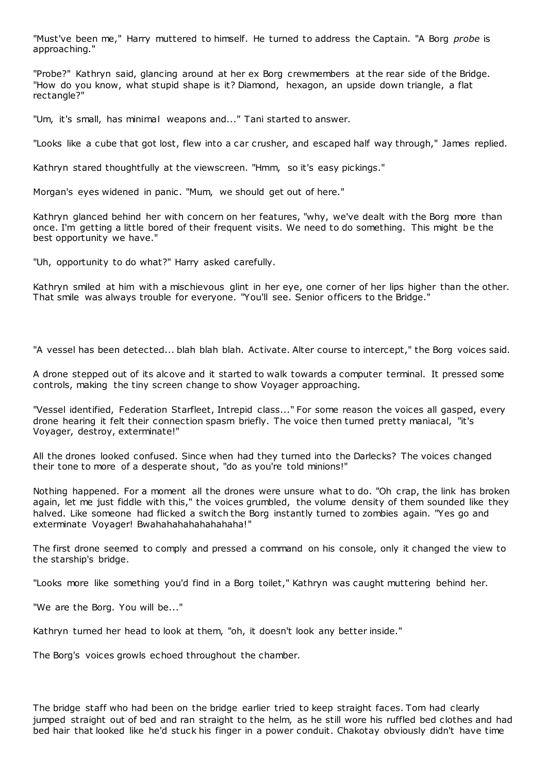"Must've been me," Harry muttered to himself. He turned to address the Captain. "A Borg *probe* is approaching."

"Probe?" Kathryn said, glancing around at her ex Borg crewmembers at the rear side of the Bridge. "How do you know, what stupid shape is it? Diamond, hexagon, an upside down triangle, a flat rectangle?"

"Um, it's small, has minimal weapons and..." Tani started to answer.

"Looks like a cube that got lost, flew into a car crusher, and escaped half way through," James replied.

Kathryn stared thoughtfully at the viewscreen. "Hmm, so it's easy pickings."

Morgan's eyes widened in panic. "Mum, we should get out of here."

Kathryn glanced behind her with concern on her features, "why, we've dealt with the Borg more than once. I'm getting a little bored of their frequent visits. We need to do something. This might be the best opportunity we have."

"Uh, opportunity to do what?" Harry asked carefully.

Kathryn smiled at him with a mischievous glint in her eye, one corner of her lips higher than the other. That smile was always trouble for everyone. "You'll see. Senior officers to the Bridge."

"A vessel has been detected... blah blah blah. Activate. Alter course to intercept," the Borg voices said.

A drone stepped out of its alcove and it started to walk towards a computer terminal. It pressed some controls, making the tiny screen change to show Voyager approaching.

"Vessel identified, Federation Starfleet, Intrepid class..." For some reason the voices all gasped, every drone hearing it felt their connection spasm briefly. The voice then turned pretty maniacal, "it's Voyager, destroy, exterminate!"

All the drones looked confused. Since when had they turned into the Darlecks? The voices changed their tone to more of a desperate shout, "do as you're told minions!"

Nothing happened. For a moment all the drones were unsure what to do. "Oh crap, the link has broken again, let me just fiddle with this," the voices grumbled, the volume density of them sounded like they halved. Like someone had flicked a switch the Borg instantly turned to zombies again. "Yes go and exterminate Voyager! Bwahahahahahahahaha!"

The first drone seemed to comply and pressed a command on his console, only it changed the view to the starship's bridge.

"Looks more like something you'd find in a Borg toilet," Kathryn was caught muttering behind her.

"We are the Borg. You will be..."

Kathryn turned her head to look at them, "oh, it doesn't look any better inside."

The Borg's voices growls echoed throughout the chamber.

The bridge staff who had been on the bridge earlier tried to keep straight faces. Tom had clearly jumped straight out of bed and ran straight to the helm, as he still wore his ruffled bed clothes and had bed hair that looked like he'd stuck his finger in a power conduit. Chakotay obviously didn't have time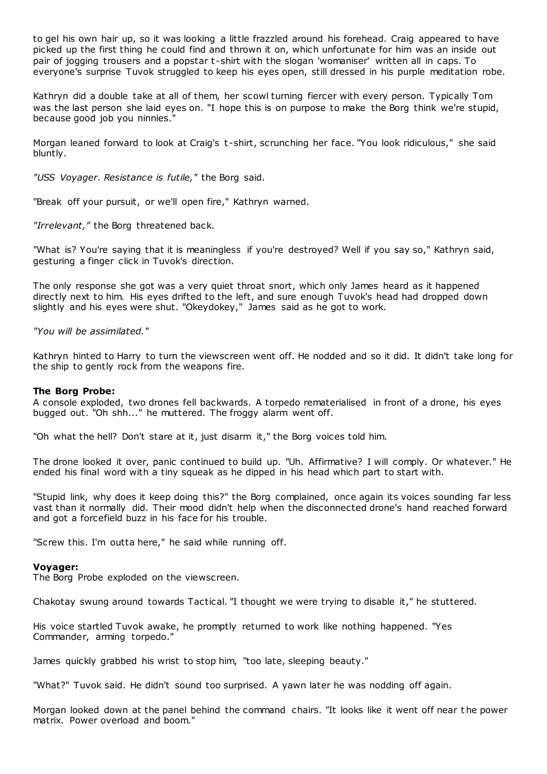to gel his own hair up, so it was looking a little frazzled around his forehead. Craig appeared to have picked up the first thing he could find and thrown it on, which unfortunate for him was an inside out pair of jogging trousers and a popstar t -shirt with the slogan 'womaniser' written all in caps. To everyone's surprise Tuvok struggled to keep his eyes open, still dressed in his purple meditation robe.

Kathryn did a double take at all of them, her scowl turning fiercer with every person. Typically Tom was the last person she laid eyes on. "I hope this is on purpose to make the Borg think we're stupid, because good job you ninnies."

Morgan leaned forward to look at Craig's t -shirt, scrunching her face. "You look ridiculous," she said bluntly.

*"USS Voyager. Resistance is futile,"* the Borg said.

"Break off your pursuit, or we'll open fire," Kathryn warned.

*"Irrelevant,"* the Borg threatened back.

"What is? You're saying that it is meaningless if you're destroyed? Well if you say so," Kathryn said, gesturing a finger click in Tuvok's direction.

The only response she got was a very quiet throat snort, which only James heard as it happened directly next to him. His eyes drifted to the left, and sure enough Tuvok's head had dropped down slightly and his eyes were shut. "Okeydokey," James said as he got to work.

*"You will be assimilated."*

Kathryn hinted to Harry to turn the viewscreen went off. He nodded and so it did. It didn't take long for the ship to gently rock from the weapons fire.

#### **The Borg Probe:**

A console exploded, two drones fell backwards. A torpedo rematerialised in front of a drone, his eyes bugged out. "Oh shh..." he muttered. The froggy alarm went off.

"Oh what the hell? Don't stare at it, just disarm it," the Borg voices told him.

The drone looked it over, panic continued to build up. "Uh. Affirmative? I will comply. Or whatever." He ended his final word with a tiny squeak as he dipped in his head which part to start with.

"Stupid link, why does it keep doing this?" the Borg complained, once again its voices sounding far less vast than it normally did. Their mood didn't help when the disconnected drone's hand reached forward and got a forcefield buzz in his face for his trouble.

"Screw this. I'm outta here," he said while running off.

#### **Voyager:**

The Borg Probe exploded on the viewscreen.

Chakotay swung around towards Tactical. "I thought we were trying to disable it," he stuttered.

His voice startled Tuvok awake, he promptly returned to work like nothing happened. "Yes Commander, arming torpedo."

James quickly grabbed his wrist to stop him, "too late, sleeping beauty."

"What?" Tuvok said. He didn't sound too surprised. A yawn later he was nodding off again.

Morgan looked down at the panel behind the command chairs. "It looks like it went off near t he power matrix. Power overload and boom."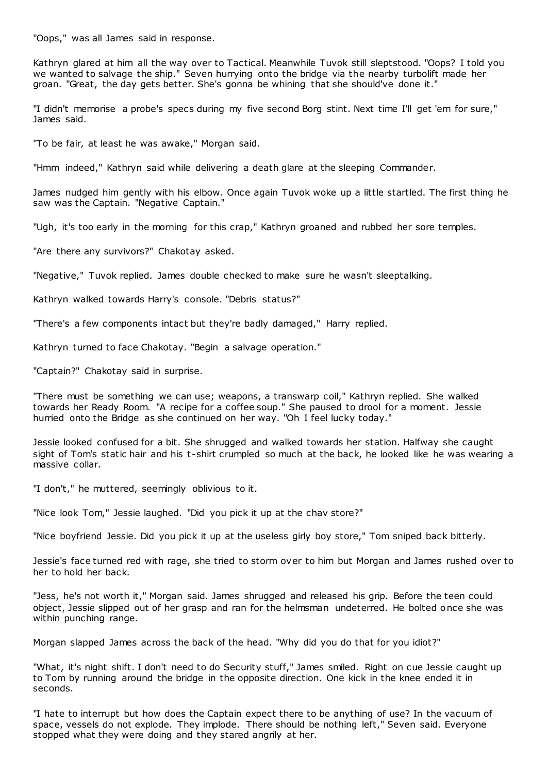"Oops," was all James said in response.

Kathryn glared at him all the way over to Tactical. Meanwhile Tuvok still sleptstood. "Oops? I told you we wanted to salvage the ship." Seven hurrying onto the bridge via the nearby turbolift made her groan. "Great, the day gets better. She's gonna be whining that she should've done it."

"I didn't memorise a probe's specs during my five second Borg stint. Next time I'll get 'em for sure," James said.

"To be fair, at least he was awake," Morgan said.

"Hmm indeed," Kathryn said while delivering a death glare at the sleeping Commander.

James nudged him gently with his elbow. Once again Tuvok woke up a little startled. The first thing he saw was the Captain. "Negative Captain."

"Ugh, it's too early in the morning for this crap," Kathryn groaned and rubbed her sore temples.

"Are there any survivors?" Chakotay asked.

"Negative," Tuvok replied. James double checked to make sure he wasn't sleeptalking.

Kathryn walked towards Harry's console. "Debris status?"

"There's a few components intact but they're badly damaged," Harry replied.

Kathryn turned to face Chakotay. "Begin a salvage operation."

"Captain?" Chakotay said in surprise.

"There must be something we can use; weapons, a transwarp coil," Kathryn replied. She walked towards her Ready Room. "A recipe for a coffee soup." She paused to drool for a moment. Jessie hurried onto the Bridge as she continued on her way. "Oh I feel lucky today."

Jessie looked confused for a bit. She shrugged and walked towards her station. Halfway she caught sight of Tom's static hair and his t-shirt crumpled so much at the back, he looked like he was wearing a massive collar.

"I don't," he muttered, seemingly oblivious to it.

"Nice look Tom," Jessie laughed. "Did you pick it up at the chav store?"

"Nice boyfriend Jessie. Did you pick it up at the useless girly boy store," Tom sniped back bitterly.

Jessie's face turned red with rage, she tried to storm over to him but Morgan and James rushed over to her to hold her back.

"Jess, he's not worth it," Morgan said. James shrugged and released his grip. Before the teen could object, Jessie slipped out of her grasp and ran for the helmsman undeterred. He bolted once she was within punching range.

Morgan slapped James across the back of the head. "Why did you do that for you idiot?"

"What, it's night shift. I don't need to do Security stuff," James smiled. Right on cue Jessie caught up to Tom by running around the bridge in the opposite direction. One kick in the knee ended it in seconds.

"I hate to interrupt but how does the Captain expect there to be anything of use? In the vacuum of space, vessels do not explode. They implode. There should be nothing left," Seven said. Everyone stopped what they were doing and they stared angrily at her.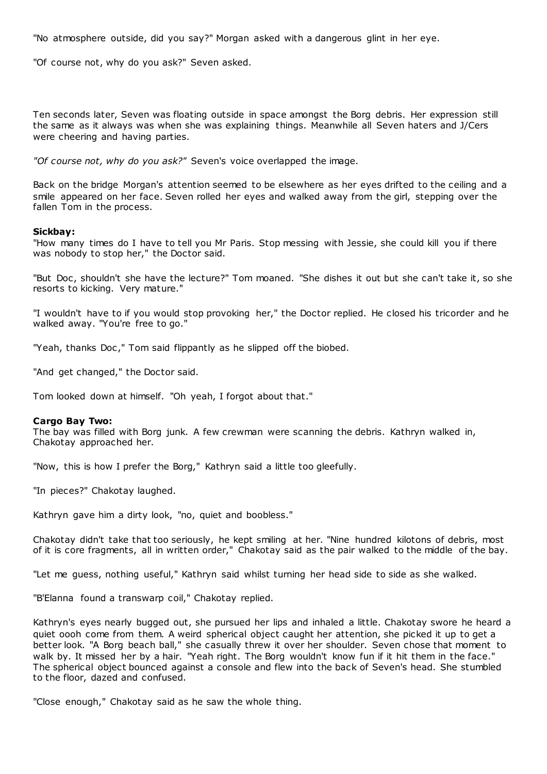"No atmosphere outside, did you say?" Morgan asked with a dangerous glint in her eye.

"Of course not, why do you ask?" Seven asked.

Ten seconds later, Seven was floating outside in space amongst the Borg debris. Her expression still the same as it always was when she was explaining things. Meanwhile all Seven haters and J/Cers were cheering and having parties.

*"Of course not, why do you ask?"* Seven's voice overlapped the image.

Back on the bridge Morgan's attention seemed to be elsewhere as her eyes drifted to the ceiling and a smile appeared on her face. Seven rolled her eyes and walked away from the girl, stepping over the fallen Tom in the process.

#### **Sickbay:**

"How many times do I have to tell you Mr Paris. Stop messing with Jessie, she could kill you if there was nobody to stop her," the Doctor said.

"But Doc , shouldn't she have the lecture?" Tom moaned. "She dishes it out but she can't take it, so she resorts to kicking. Very mature."

"I wouldn't have to if you would stop provoking her," the Doctor replied. He closed his tricorder and he walked away. "You're free to go."

"Yeah, thanks Doc ," Tom said flippantly as he slipped off the biobed.

"And get changed," the Doctor said.

Tom looked down at himself. "Oh yeah, I forgot about that."

#### **Cargo Bay Two:**

The bay was filled with Borg junk. A few crewman were scanning the debris. Kathryn walked in, Chakotay approached her.

"Now, this is how I prefer the Borg," Kathryn said a little too gleefully.

"In pieces?" Chakotay laughed.

Kathryn gave him a dirty look, "no, quiet and boobless."

Chakotay didn't take that too seriously, he kept smiling at her. "Nine hundred kilotons of debris, most of it is core fragments, all in written order," Chakotay said as the pair walked to the middle of the bay.

"Let me guess, nothing useful," Kathryn said whilst turning her head side to side as she walked.

"B'Elanna found a transwarp coil," Chakotay replied.

Kathryn's eyes nearly bugged out, she pursued her lips and inhaled a little. Chakotay swore he heard a quiet oooh come from them. A weird spherical object caught her attention, she picked it up to get a better look. "A Borg beach ball," she casually threw it over her shoulder. Seven chose that moment to walk by. It missed her by a hair. "Yeah right. The Borg wouldn't know fun if it hit them in the face." The spherical object bounced against a console and flew into the back of Seven's head. She stumbled to the floor, dazed and confused.

"Close enough," Chakotay said as he saw the whole thing.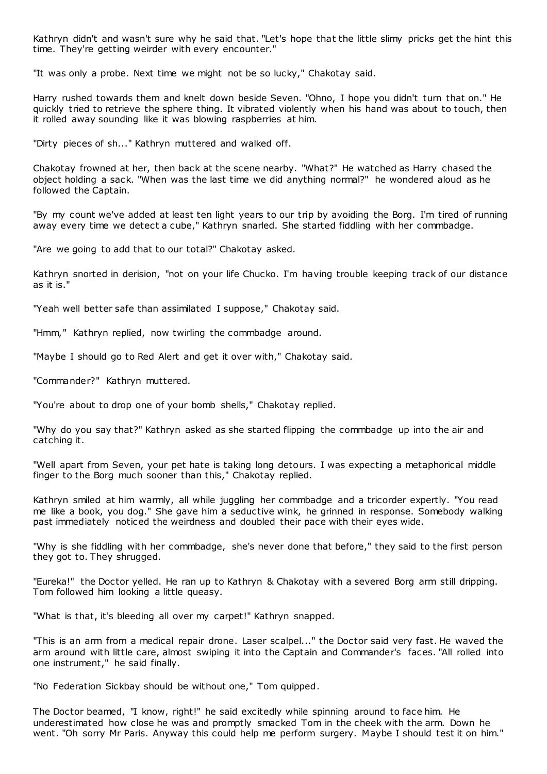Kathryn didn't and wasn't sure why he said that. "Let's hope that the little slimy pricks get the hint this time. They're getting weirder with every encounter."

"It was only a probe. Next time we might not be so lucky," Chakotay said.

Harry rushed towards them and knelt down beside Seven. "Ohno, I hope you didn't turn that on." He quickly tried to retrieve the sphere thing. It vibrated violently when his hand was about to touch, then it rolled away sounding like it was blowing raspberries at him.

"Dirty pieces of sh..." Kathryn muttered and walked off.

Chakotay frowned at her, then back at the scene nearby. "What?" He watched as Harry chased the object holding a sack. "When was the last time we did anything normal?" he wondered aloud as he followed the Captain.

"By my count we've added at least ten light years to our trip by avoiding the Borg. I'm tired of running away every time we detect a cube," Kathryn snarled. She started fiddling with her commbadge.

"Are we going to add that to our total?" Chakotay asked.

Kathryn snorted in derision, "not on your life Chucko. I'm having trouble keeping track of our distance as it is."

"Yeah well better safe than assimilated I suppose," Chakotay said.

"Hmm," Kathryn replied, now twirling the commbadge around.

"Maybe I should go to Red Alert and get it over with," Chakotay said.

"Commander?" Kathryn muttered.

"You're about to drop one of your bomb shells," Chakotay replied.

"Why do you say that?" Kathryn asked as she started flipping the commbadge up into the air and catching it.

"Well apart from Seven, your pet hate is taking long detours. I was expecting a metaphorical middle finger to the Borg much sooner than this," Chakotay replied.

Kathryn smiled at him warmly, all while juggling her commbadge and a tricorder expertly. "You read me like a book, you dog." She gave him a seductive wink, he grinned in response. Somebody walking past immediately noticed the weirdness and doubled their pace with their eyes wide.

"Why is she fiddling with her commbadge, she's never done that before," they said to the first person they got to. They shrugged.

"Eureka!" the Doctor yelled. He ran up to Kathryn & Chakotay with a severed Borg arm still dripping. Tom followed him looking a little queasy.

"What is that, it's bleeding all over my carpet!" Kathryn snapped.

"This is an arm from a medical repair drone. Laser scalpel..." the Doctor said very fast. He waved the arm around with little care, almost swiping it into the Captain and Commander's faces. "All rolled into one instrument," he said finally.

"No Federation Sickbay should be without one," Tom quipped.

The Doctor beamed, "I know, right!" he said excitedly while spinning around to face him. He underestimated how close he was and promptly smacked Tom in the cheek with the arm. Down he went. "Oh sorry Mr Paris. Anyway this could help me perform surgery. Maybe I should test it on him."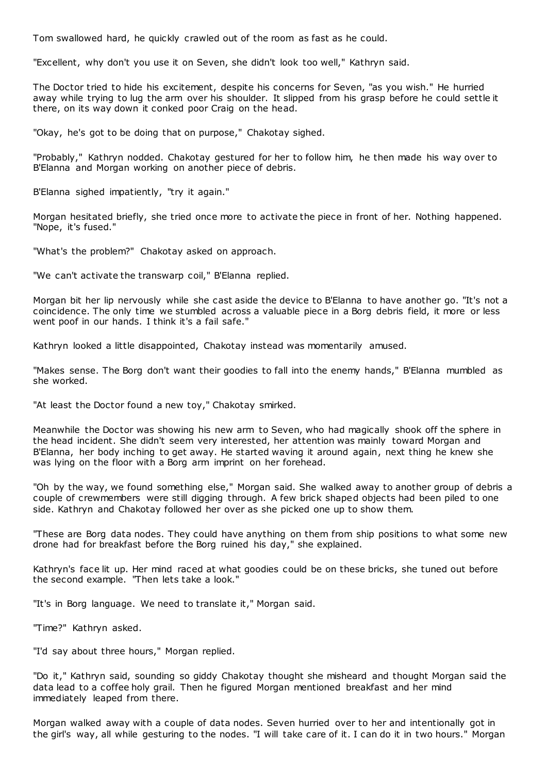Tom swallowed hard, he quickly crawled out of the room as fast as he could.

"Excellent, why don't you use it on Seven, she didn't look too well," Kathryn said.

The Doctor tried to hide his excitement, despite his concerns for Seven, "as you wish." He hurried away while trying to lug the arm over his shoulder. It slipped from his grasp before he could settle it there, on its way down it conked poor Craig on the head.

"Okay, he's got to be doing that on purpose," Chakotay sighed.

"Probably," Kathryn nodded. Chakotay gestured for her to follow him, he then made his way over to B'Elanna and Morgan working on another piece of debris.

B'Elanna sighed impatiently, "try it again."

Morgan hesitated briefly, she tried once more to activate the piece in front of her. Nothing happened. "Nope, it's fused."

"What's the problem?" Chakotay asked on approach.

"We can't activate the transwarp coil," B'Elanna replied.

Morgan bit her lip nervously while she cast aside the device to B'Elanna to have another go. "It's not a coincidence. The only time we stumbled across a valuable piece in a Borg debris field, it more or less went poof in our hands. I think it's a fail safe."

Kathryn looked a little disappointed, Chakotay instead was momentarily amused.

"Makes sense. The Borg don't want their goodies to fall into the enemy hands," B'Elanna mumbled as she worked.

"At least the Doctor found a new toy," Chakotay smirked.

Meanwhile the Doctor was showing his new arm to Seven, who had magically shook off the sphere in the head incident. She didn't seem very interested, her attention was mainly toward Morgan and B'Elanna, her body inching to get away. He started waving it around again, next thing he knew she was lying on the floor with a Borg arm imprint on her forehead.

"Oh by the way, we found something else," Morgan said. She walked away to another group of debris a couple of crewmembers were still digging through. A few brick shaped objects had been piled to one side. Kathryn and Chakotay followed her over as she picked one up to show them.

"These are Borg data nodes. They could have anything on them from ship positions to what some new drone had for breakfast before the Borg ruined his day," she explained.

Kathryn's face lit up. Her mind raced at what goodies could be on these bricks, she tuned out before the second example. "Then lets take a look."

"It's in Borg language. We need to translate it," Morgan said.

"Time?" Kathryn asked.

"I'd say about three hours," Morgan replied.

"Do it," Kathryn said, sounding so giddy Chakotay thought she misheard and thought Morgan said the data lead to a coffee holy grail. Then he figured Morgan mentioned breakfast and her mind immediately leaped from there.

Morgan walked away with a couple of data nodes. Seven hurried over to her and intentionally got in the girl's way, all while gesturing to the nodes. "I will take care of it. I can do it in two hours." Morgan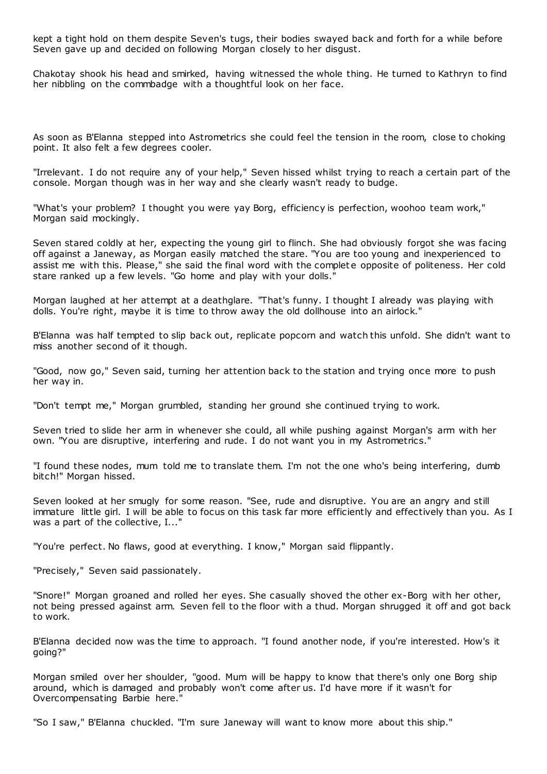kept a tight hold on them despite Seven's tugs, their bodies swayed back and forth for a while before Seven gave up and decided on following Morgan closely to her disgust.

Chakotay shook his head and smirked, having witnessed the whole thing. He turned to Kathryn to find her nibbling on the commbadge with a thoughtful look on her face.

As soon as B'Elanna stepped into Astrometrics she could feel the tension in the room, close to choking point. It also felt a few degrees cooler.

"Irrelevant. I do not require any of your help," Seven hissed whilst trying to reach a certain part of the console. Morgan though was in her way and she clearly wasn't ready to budge.

"What's your problem? I thought you were yay Borg, efficiency is perfection, woohoo team work," Morgan said mockingly.

Seven stared coldly at her, expecting the young girl to flinch. She had obviously forgot she was facing off against a Janeway, as Morgan easily matched the stare. "You are too young and inexperienced to assist me with this. Please," she said the final word with the complete opposite of politeness. Her cold stare ranked up a few levels. "Go home and play with your dolls."

Morgan laughed at her attempt at a deathglare. "That's funny. I thought I already was playing with dolls. You're right, maybe it is time to throw away the old dollhouse into an airlock."

B'Elanna was half tempted to slip back out, replicate popcorn and watch this unfold. She didn't want to miss another second of it though.

"Good, now go," Seven said, turning her attention back to the station and trying once more to push her way in.

"Don't tempt me," Morgan grumbled, standing her ground she continued trying to work.

Seven tried to slide her arm in whenever she could, all while pushing against Morgan's arm with her own. "You are disruptive, interfering and rude. I do not want you in my Astrometrics."

"I found these nodes, mum told me to translate them. I'm not the one who's being interfering, dumb bitch!" Morgan hissed.

Seven looked at her smugly for some reason. "See, rude and disruptive. You are an angry and still immature little girl. I will be able to focus on this task far more efficiently and effectively than you. As I was a part of the collective, I..."

"You're perfect. No flaws, good at everything. I know," Morgan said flippantly.

"Precisely," Seven said passionately.

"Snore!" Morgan groaned and rolled her eyes. She casually shoved the other ex-Borg with her other, not being pressed against arm. Seven fell to the floor with a thud. Morgan shrugged it off and got back to work.

B'Elanna decided now was the time to approach. "I found another node, if you're interested. How's it going?"

Morgan smiled over her shoulder, "good. Mum will be happy to know that there's only one Borg ship around, which is damaged and probably won't come after us. I'd have more if it wasn't for Overcompensating Barbie here."

"So I saw," B'Elanna chuckled. "I'm sure Janeway will want to know more about this ship."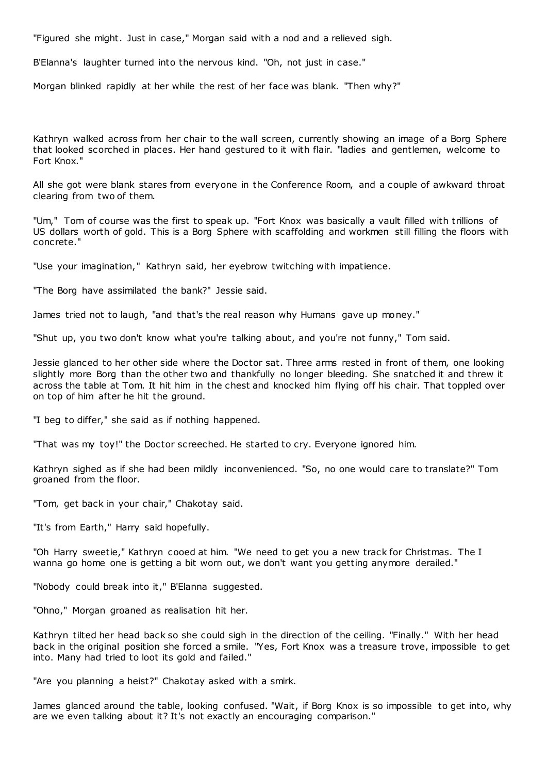"Figured she might. Just in case," Morgan said with a nod and a relieved sigh.

B'Elanna's laughter turned into the nervous kind. "Oh, not just in case."

Morgan blinked rapidly at her while the rest of her face was blank. "Then why?"

Kathryn walked across from her chair to the wall screen, currently showing an image of a Borg Sphere that looked scorched in places. Her hand gestured to it with flair. "ladies and gentlemen, welcome to Fort Knox."

All she got were blank stares from everyone in the Conference Room, and a couple of awkward throat clearing from two of them.

"Um," Tom of course was the first to speak up. "Fort Knox was basically a vault filled with trillions of US dollars worth of gold. This is a Borg Sphere with scaffolding and workmen still filling the floors with concrete."

"Use your imagination," Kathryn said, her eyebrow twitching with impatience.

"The Borg have assimilated the bank?" Jessie said.

James tried not to laugh, "and that's the real reason why Humans gave up money."

"Shut up, you two don't know what you're talking about, and you're not funny," Tom said.

Jessie glanced to her other side where the Doctor sat. Three arms rested in front of them, one looking slightly more Borg than the other two and thankfully no longer bleeding. She snatched it and threw it across the table at Tom. It hit him in the chest and knocked him flying off his chair. That toppled over on top of him after he hit the ground.

"I beg to differ," she said as if nothing happened.

"That was my toy!" the Doctor screeched. He started to cry. Everyone ignored him.

Kathryn sighed as if she had been mildly inconvenienced. "So, no one would care to translate?" Tom groaned from the floor.

"Tom, get back in your chair," Chakotay said.

"It's from Earth," Harry said hopefully.

"Oh Harry sweetie," Kathryn cooed at him. "We need to get you a new track for Christmas. The I wanna go home one is getting a bit worn out, we don't want you getting anymore derailed."

"Nobody could break into it," B'Elanna suggested.

"Ohno," Morgan groaned as realisation hit her.

Kathryn tilted her head back so she could sigh in the direction of the ceiling. "Finally." With her head back in the original position she forced a smile. "Yes, Fort Knox was a treasure trove, impossible to get into. Many had tried to loot its gold and failed."

"Are you planning a heist?" Chakotay asked with a smirk.

James glanced around the table, looking confused. "Wait, if Borg Knox is so impossible to get into, why are we even talking about it? It's not exactly an encouraging comparison."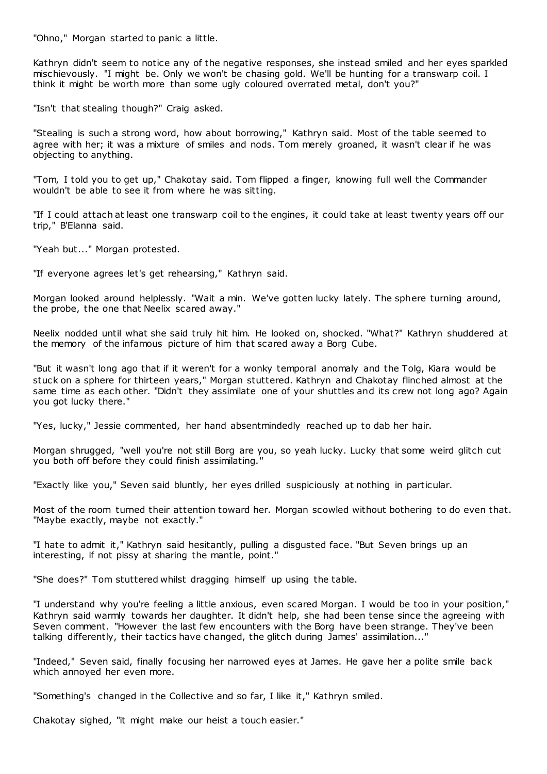"Ohno," Morgan started to panic a little.

Kathryn didn't seem to notice any of the negative responses, she instead smiled and her eyes sparkled mischievously. "I might be. Only we won't be chasing gold. We'll be hunting for a transwarp coil. I think it might be worth more than some ugly coloured overrated metal, don't you?"

"Isn't that stealing though?" Craig asked.

"Stealing is such a strong word, how about borrowing," Kathryn said. Most of the table seemed to agree with her; it was a mixture of smiles and nods. Tom merely groaned, it wasn't clear if he was objecting to anything.

"Tom, I told you to get up," Chakotay said. Tom flipped a finger, knowing full well the Commander wouldn't be able to see it from where he was sitting.

"If I could attach at least one transwarp coil to the engines, it could take at least twenty years off our trip," B'Elanna said.

"Yeah but..." Morgan protested.

"If everyone agrees let's get rehearsing," Kathryn said.

Morgan looked around helplessly. "Wait a min. We've gotten lucky lately. The sphere turning around, the probe, the one that Neelix scared away."

Neelix nodded until what she said truly hit him. He looked on, shocked. "What?" Kathryn shuddered at the memory of the infamous picture of him that scared away a Borg Cube.

"But it wasn't long ago that if it weren't for a wonky temporal anomaly and the Tolg, Kiara would be stuck on a sphere for thirteen years," Morgan stuttered. Kathryn and Chakotay flinched almost at the same time as each other. "Didn't they assimilate one of your shuttles and its crew not long ago? Again you got lucky there."

"Yes, lucky," Jessie commented, her hand absentmindedly reached up to dab her hair.

Morgan shrugged, "well you're not still Borg are you, so yeah lucky. Lucky that some weird glitch cut you both off before they could finish assimilating."

"Exactly like you," Seven said bluntly, her eyes drilled suspiciously at nothing in particular.

Most of the room turned their attention toward her. Morgan scowled without bothering to do even that. "Maybe exactly, maybe not exactly."

"I hate to admit it," Kathryn said hesitantly, pulling a disgusted face. "But Seven brings up an interesting, if not pissy at sharing the mantle, point."

"She does?" Tom stuttered whilst dragging himself up using the table.

"I understand why you're feeling a little anxious, even scared Morgan. I would be too in your position," Kathryn said warmly towards her daughter. It didn't help, she had been tense since the agreeing with Seven comment. "However the last few encounters with the Borg have been strange. They've been talking differently, their tactics have changed, the glitch during James' assimilation..."

"Indeed," Seven said, finally focusing her narrowed eyes at James. He gave her a polite smile back which annoyed her even more.

"Something's changed in the Collective and so far, I like it," Kathryn smiled.

Chakotay sighed, "it might make our heist a touch easier."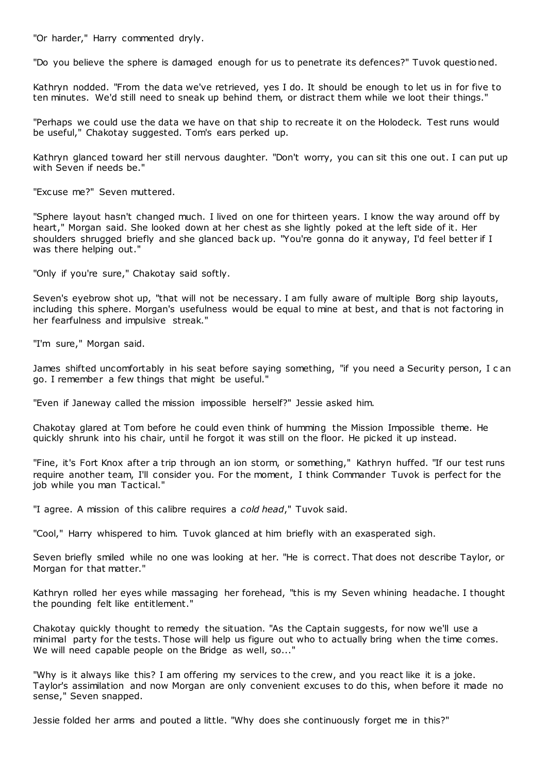"Or harder," Harry commented dryly.

"Do you believe the sphere is damaged enough for us to penetrate its defences?" Tuvok questioned.

Kathryn nodded. "From the data we've retrieved, yes I do. It should be enough to let us in for five to ten minutes. We'd still need to sneak up behind them, or distract them while we loot their things."

"Perhaps we could use the data we have on that ship to recreate it on the Holodeck. Test runs would be useful," Chakotay suggested. Tom's ears perked up.

Kathryn glanced toward her still nervous daughter. "Don't worry, you can sit this one out. I can put up with Seven if needs be."

"Excuse me?" Seven muttered.

"Sphere layout hasn't changed much. I lived on one for thirteen years. I know the way around off by heart," Morgan said. She looked down at her chest as she lightly poked at the left side of it. Her shoulders shrugged briefly and she glanced back up. "You're gonna do it anyway, I'd feel better if I was there helping out."

"Only if you're sure," Chakotay said softly.

Seven's eyebrow shot up, "that will not be necessary. I am fully aware of multiple Borg ship layouts, including this sphere. Morgan's usefulness would be equal to mine at best, and that is not factoring in her fearfulness and impulsive streak."

"I'm sure," Morgan said.

James shifted uncomfortably in his seat before saying something, "if you need a Security person, I c an go. I remember a few things that might be useful."

"Even if Janeway called the mission impossible herself?" Jessie asked him.

Chakotay glared at Tom before he could even think of humming the Mission Impossible theme. He quickly shrunk into his chair, until he forgot it was still on the floor. He picked it up instead.

"Fine, it's Fort Knox after a trip through an ion storm, or something," Kathryn huffed. "If our test runs require another team, I'll consider you. For the moment, I think Commander Tuvok is perfect for the job while you man Tactical."

"I agree. A mission of this calibre requires a *cold head*," Tuvok said.

"Cool," Harry whispered to him. Tuvok glanced at him briefly with an exasperated sigh.

Seven briefly smiled while no one was looking at her. "He is correct. That does not describe Taylor, or Morgan for that matter."

Kathryn rolled her eyes while massaging her forehead, "this is my Seven whining headache. I thought the pounding felt like entitlement."

Chakotay quickly thought to remedy the situation. "As the Captain suggests, for now we'll use a minimal party for the tests. Those will help us figure out who to actually bring when the time comes. We will need capable people on the Bridge as well, so..."

"Why is it always like this? I am offering my services to the crew, and you react like it is a joke. Taylor's assimilation and now Morgan are only convenient excuses to do this, when before it made no sense," Seven snapped.

Jessie folded her arms and pouted a little. "Why does she continuously forget me in this?"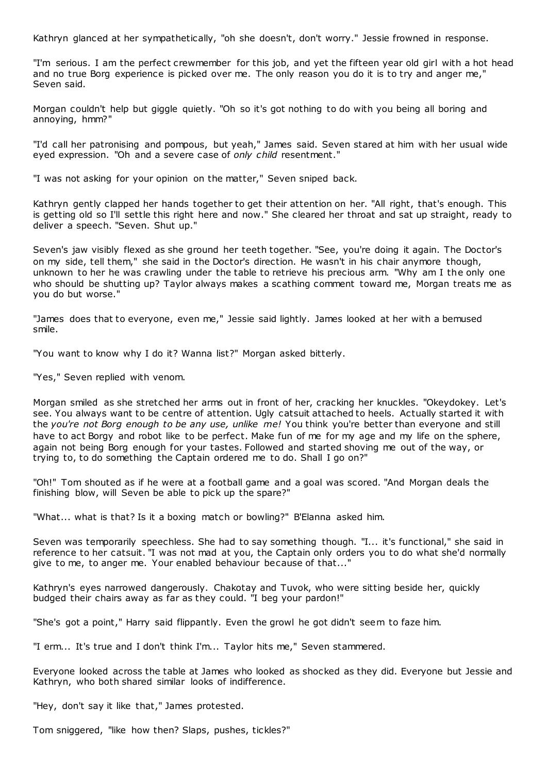Kathryn glanced at her sympathetically, "oh she doesn't, don't worry." Jessie frowned in response.

"I'm serious. I am the perfect crewmember for this job, and yet the fifteen year old girl with a hot head and no true Borg experience is picked over me. The only reason you do it is to try and anger me," Seven said.

Morgan couldn't help but giggle quietly. "Oh so it's got nothing to do with you being all boring and annoying, hmm?"

"I'd call her patronising and pompous, but yeah," James said. Seven stared at him with her usual wide eyed expression. "Oh and a severe case of *only child* resentment."

"I was not asking for your opinion on the matter," Seven sniped back.

Kathryn gently clapped her hands together to get their attention on her. "All right, that's enough. This is getting old so I'll settle this right here and now." She cleared her throat and sat up straight, ready to deliver a speech. "Seven. Shut up."

Seven's jaw visibly flexed as she ground her teeth together. "See, you're doing it again. The Doctor's on my side, tell them," she said in the Doctor's direction. He wasn't in his chair anymore though, unknown to her he was crawling under the table to retrieve his precious arm. "Why am I the only one who should be shutting up? Taylor always makes a scathing comment toward me, Morgan treats me as you do but worse."

"James does that to everyone, even me," Jessie said lightly. James looked at her with a bemused smile.

"You want to know why I do it? Wanna list?" Morgan asked bitterly.

"Yes," Seven replied with venom.

Morgan smiled as she stretched her arms out in front of her, cracking her knuckles. "Okeydokey. Let's see. You always want to be centre of attention. Ugly catsuit attached to heels. Actually started it with the *you're not Borg enough to be any use, unlike me!* You think you're better than everyone and still have to act Borgy and robot like to be perfect. Make fun of me for my age and my life on the sphere, again not being Borg enough for your tastes. Followed and started shoving me out of the way, or trying to, to do something the Captain ordered me to do. Shall I go on?"

"Oh!" Tom shouted as if he were at a football game and a goal was scored. "And Morgan deals the finishing blow, will Seven be able to pick up the spare?"

"What... what is that? Is it a boxing match or bowling?" B'Elanna asked him.

Seven was temporarily speechless. She had to say something though. "I... it's functional," she said in reference to her catsuit. "I was not mad at you, the Captain only orders you to do what she'd normally give to me, to anger me. Your enabled behaviour because of that..."

Kathryn's eyes narrowed dangerously. Chakotay and Tuvok, who were sitting beside her, quickly budged their chairs away as far as they could. "I beg your pardon!"

"She's got a point," Harry said flippantly. Even the growl he got didn't seem to faze him.

"I erm... It's true and I don't think I'm... Taylor hits me," Seven stammered.

Everyone looked across the table at James who looked as shocked as they did. Everyone but Jessie and Kathryn, who both shared similar looks of indifference.

"Hey, don't say it like that," James protested.

Tom sniggered, "like how then? Slaps, pushes, tickles?"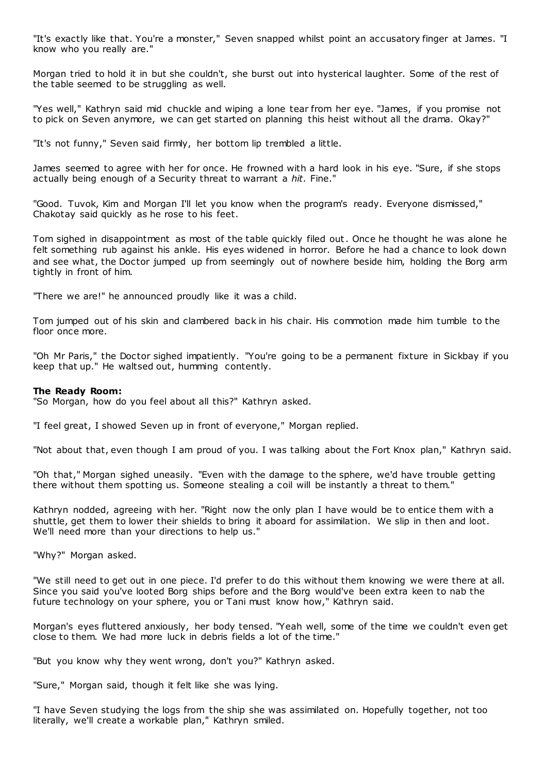"It's exactly like that. You're a monster," Seven snapped whilst point an accusatory finger at James. "I know who you really are."

Morgan tried to hold it in but she couldn't, she burst out into hysterical laughter. Some of the rest of the table seemed to be struggling as well.

"Yes well," Kathryn said mid chuckle and wiping a lone tear from her eye. "James, if you promise not to pick on Seven anymore, we can get started on planning this heist without all the drama. Okay?"

"It's not funny," Seven said firmly, her bottom lip trembled a little.

James seemed to agree with her for once. He frowned with a hard look in his eye. "Sure, if she stops actually being enough of a Security threat to warrant a *hit.* Fine."

"Good. Tuvok, Kim and Morgan I'll let you know when the program's ready. Everyone dismissed," Chakotay said quickly as he rose to his feet.

Tom sighed in disappointment as most of the table quickly filed out. Once he thought he was alone he felt something rub against his ankle. His eyes widened in horror. Before he had a chance to look down and see what, the Doctor jumped up from seemingly out of nowhere beside him, holding the Borg arm tightly in front of him.

"There we are!" he announced proudly like it was a child.

Tom jumped out of his skin and clambered back in his chair. His commotion made him tumble to the floor once more.

"Oh Mr Paris," the Doctor sighed impatiently. "You're going to be a permanent fixture in Sickbay if you keep that up." He waltsed out, humming contently.

## **The Ready Room:**

"So Morgan, how do you feel about all this?" Kathryn asked.

"I feel great, I showed Seven up in front of everyone," Morgan replied.

"Not about that, even though I am proud of you. I was talking about the Fort Knox plan," Kathryn said.

"Oh that," Morgan sighed uneasily. "Even with the damage to the sphere, we'd have trouble getting there without them spotting us. Someone stealing a coil will be instantly a threat to them."

Kathryn nodded, agreeing with her. "Right now the only plan I have would be to entice them with a shuttle, get them to lower their shields to bring it aboard for assimilation. We slip in then and loot. We'll need more than your directions to help us."

"Why?" Morgan asked.

"We still need to get out in one piece. I'd prefer to do this without them knowing we were there at all. Since you said you've looted Borg ships before and the Borg would've been extra keen to nab the future technology on your sphere, you or Tani must know how," Kathryn said.

Morgan's eyes fluttered anxiously, her body tensed. "Yeah well, some of the time we couldn't even get close to them. We had more luck in debris fields a lot of the time."

"But you know why they went wrong, don't you?" Kathryn asked.

"Sure," Morgan said, though it felt like she was lying.

"I have Seven studying the logs from the ship she was assimilated on. Hopefully together, not too literally, we'll create a workable plan," Kathryn smiled.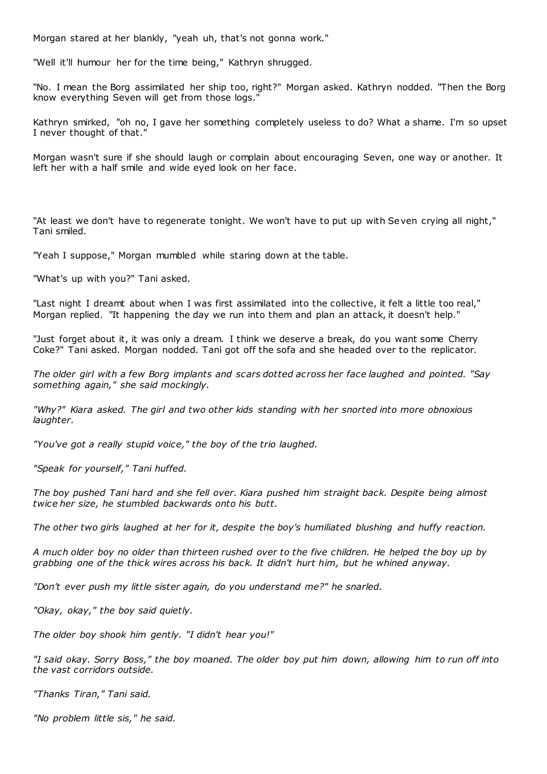Morgan stared at her blankly, "yeah uh, that's not gonna work."

"Well it'll humour her for the time being," Kathryn shrugged.

"No. I mean the Borg assimilated her ship too, right?" Morgan asked. Kathryn nodded. "Then the Borg know everything Seven will get from those logs."

Kathryn smirked, "oh no, I gave her something completely useless to do? What a shame. I'm so upset I never thought of that."

Morgan wasn't sure if she should laugh or complain about encouraging Seven, one way or another. It left her with a half smile and wide eyed look on her face.

"At least we don't have to regenerate tonight. We won't have to put up with Seven crying all night," Tani smiled.

"Yeah I suppose," Morgan mumbled while staring down at the table.

"What's up with you?" Tani asked.

"Last night I dreamt about when I was first assimilated into the collective, it felt a little too real," Morgan replied. "It happening the day we run into them and plan an attack, it doesn't help."

"Just forget about it, it was only a dream. I think we deserve a break, do you want some Cherry Coke?" Tani asked. Morgan nodded. Tani got off the sofa and she headed over to the replicator.

*The older girl with a few Borg implants and scars dotted across her face laughed and pointed. "Say something again," she said mockingly.*

*"Why?" Kiara asked. The girl and two other kids standing with her snorted into more obnoxious laughter.*

*"You've got a really stupid voice," the boy of the trio laughed.*

*"Speak for yourself," Tani huffed.*

*The boy pushed Tani hard and she fell over. Kiara pushed him straight back. Despite being almost twice her size, he stumbled backwards onto his butt.*

*The other two girls laughed at her for it, despite the boy's humiliated blushing and huffy reaction.*

*A much older boy no older than thirteen rushed over to the five children. He helped the boy up by grabbing one of the thick wires across his back. It didn't hurt him, but he whined anyway.*

*"Don't ever push my little sister again, do you understand me?" he snarled.*

*"Okay, okay," the boy said quietly.*

*The older boy shook him gently. "I didn't hear you!"*

*"I said okay. Sorry Boss," the boy moaned. The older boy put him down, allowing him to run off into the vast corridors outside.*

*"Thanks Tiran," Tani said.*

*"No problem little sis," he said.*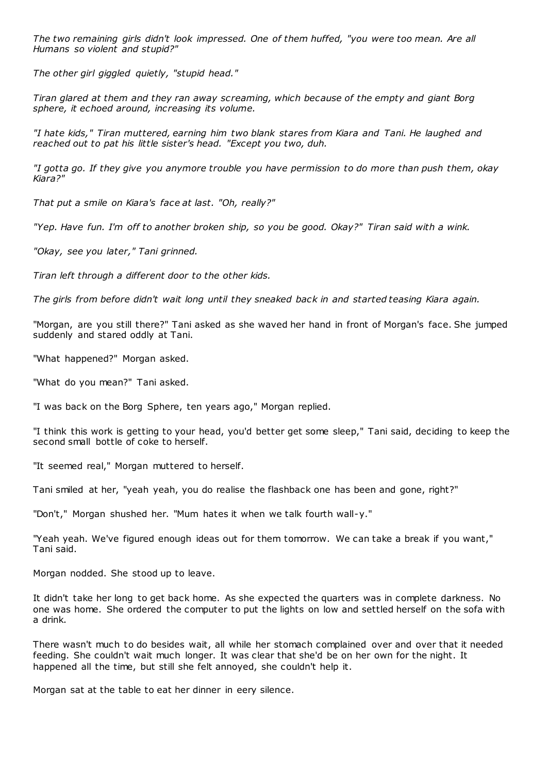*The two remaining girls didn't look impressed. One of them huffed, "you were too mean. Are all Humans so violent and stupid?"*

*The other girl giggled quietly, "stupid head."*

*Tiran glared at them and they ran away screaming, which because of the empty and giant Borg sphere, it echoed around, increasing its volume.*

*"I hate kids," Tiran muttered, earning him two blank stares from Kiara and Tani. He laughed and reached out to pat his little sister's head. "Except you two, duh.*

*"I gotta go. If they give you anymore trouble you have permission to do more than push them, okay Kiara?"*

*That put a smile on Kiara's face at last. "Oh, really?"*

*"Yep. Have fun. I'm off to another broken ship, so you be good. Okay?" Tiran said with a wink.*

*"Okay, see you later," Tani grinned.*

*Tiran left through a different door to the other kids.*

*The girls from before didn't wait long until they sneaked back in and started teasing Kiara again.*

"Morgan, are you still there?" Tani asked as she waved her hand in front of Morgan's face. She jumped suddenly and stared oddly at Tani.

"What happened?" Morgan asked.

"What do you mean?" Tani asked.

"I was back on the Borg Sphere, ten years ago," Morgan replied.

"I think this work is getting to your head, you'd better get some sleep," Tani said, deciding to keep the second small bottle of coke to herself.

"It seemed real," Morgan muttered to herself.

Tani smiled at her, "yeah yeah, you do realise the flashback one has been and gone, right?"

"Don't," Morgan shushed her. "Mum hates it when we talk fourth wall-y."

"Yeah yeah. We've figured enough ideas out for them tomorrow. We can take a break if you want," Tani said.

Morgan nodded. She stood up to leave.

It didn't take her long to get back home. As she expected the quarters was in complete darkness. No one was home. She ordered the computer to put the lights on low and settled herself on the sofa with a drink.

There wasn't much to do besides wait, all while her stomach complained over and over that it needed feeding. She couldn't wait much longer. It was clear that she'd be on her own for the night. It happened all the time, but still she felt annoyed, she couldn't help it.

Morgan sat at the table to eat her dinner in eery silence.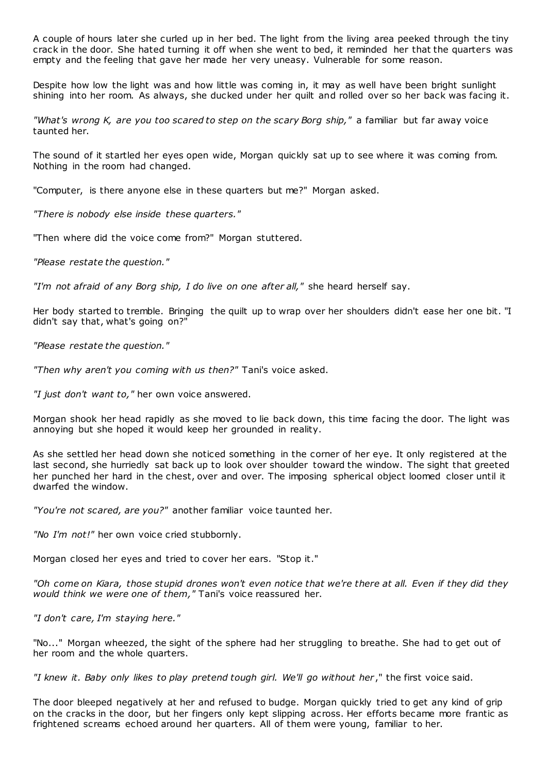A couple of hours later she curled up in her bed. The light from the living area peeked through the tiny crack in the door. She hated turning it off when she went to bed, it reminded her that the quarters was empty and the feeling that gave her made her very uneasy. Vulnerable for some reason.

Despite how low the light was and how little was coming in, it may as well have been bright sunlight shining into her room. As always, she ducked under her quilt and rolled over so her back was facing it.

*"What's wrong K, are you too scared to step on the scary Borg ship,"* a familiar but far away voice taunted her.

The sound of it startled her eyes open wide, Morgan quickly sat up to see where it was coming from. Nothing in the room had changed.

"Computer, is there anyone else in these quarters but me?" Morgan asked.

*"There is nobody else inside these quarters."*

"Then where did the voice come from?" Morgan stuttered.

*"Please restate the question."*

*"I'm not afraid of any Borg ship, I do live on one after all,"* she heard herself say.

Her body started to tremble. Bringing the quilt up to wrap over her shoulders didn't ease her one bit. "I didn't say that, what's going on?"

*"Please restate the question."*

*"Then why aren't you coming with us then?"* Tani's voice asked.

*"I just don't want to,"* her own voice answered.

Morgan shook her head rapidly as she moved to lie back down, this time facing the door. The light was annoying but she hoped it would keep her grounded in reality.

As she settled her head down she noticed something in the corner of her eye. It only registered at the last second, she hurriedly sat back up to look over shoulder toward the window. The sight that greeted her punched her hard in the chest, over and over. The imposing spherical object loomed closer until it dwarfed the window.

*"You're not scared, are you?"* another familiar voice taunted her.

*"No I'm not!"* her own voice cried stubbornly.

Morgan closed her eyes and tried to cover her ears. "Stop it."

*"Oh come on Kiara, those stupid drones won't even notice that we're there at all. Even if they did they would think we were one of them,"* Tani's voice reassured her.

*"I don't care, I'm staying here."*

"No..." Morgan wheezed, the sight of the sphere had her struggling to breathe. She had to get out of her room and the whole quarters.

*"I knew it. Baby only likes to play pretend tough girl. We'll go without her* ," the first voice said.

The door bleeped negatively at her and refused to budge. Morgan quickly tried to get any kind of grip on the cracks in the door, but her fingers only kept slipping across. Her efforts became more frantic as frightened screams echoed around her quarters. All of them were young, familiar to her.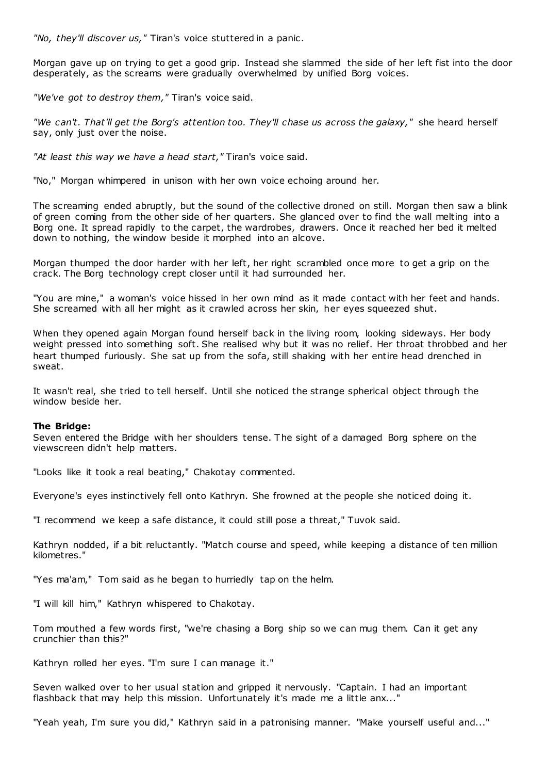*"No, they'll discover us,"* Tiran's voice stuttered in a panic .

Morgan gave up on trying to get a good grip. Instead she slammed the side of her left fist into the door desperately, as the screams were gradually overwhelmed by unified Borg voices.

*"We've got to destroy them,"* Tiran's voice said.

*"We can't. That'll get the Borg's attention too. They'll chase us across the galaxy,"* she heard herself say, only just over the noise.

*"At least this way we have a head start,"* Tiran's voice said.

"No," Morgan whimpered in unison with her own voice echoing around her.

The screaming ended abruptly, but the sound of the collective droned on still. Morgan then saw a blink of green coming from the other side of her quarters. She glanced over to find the wall melting into a Borg one. It spread rapidly to the carpet, the wardrobes, drawers. Once it reached her bed it melted down to nothing, the window beside it morphed into an alcove.

Morgan thumped the door harder with her left, her right scrambled once more to get a grip on the crack. The Borg technology crept closer until it had surrounded her.

"You are mine," a woman's voice hissed in her own mind as it made contact with her feet and hands. She screamed with all her might as it crawled across her skin, her eyes squeezed shut.

When they opened again Morgan found herself back in the living room, looking sideways. Her body weight pressed into something soft. She realised why but it was no relief. Her throat throbbed and her heart thumped furiously. She sat up from the sofa, still shaking with her entire head drenched in sweat.

It wasn't real, she tried to tell herself. Until she noticed the strange spherical object through the window beside her.

## **The Bridge:**

Seven entered the Bridge with her shoulders tense. The sight of a damaged Borg sphere on the viewscreen didn't help matters.

"Looks like it took a real beating," Chakotay commented.

Everyone's eyes instinctively fell onto Kathryn. She frowned at the people she noticed doing it.

"I recommend we keep a safe distance, it could still pose a threat," Tuvok said.

Kathryn nodded, if a bit reluctantly. "Match course and speed, while keeping a distance of ten million kilometres."

"Yes ma'am," Tom said as he began to hurriedly tap on the helm.

"I will kill him," Kathryn whispered to Chakotay.

Tom mouthed a few words first, "we're chasing a Borg ship so we can mug them. Can it get any crunchier than this?"

Kathryn rolled her eyes. "I'm sure I can manage it."

Seven walked over to her usual station and gripped it nervously. "Captain. I had an important flashback that may help this mission. Unfortunately it's made me a little anx..."

"Yeah yeah, I'm sure you did," Kathryn said in a patronising manner. "Make yourself useful and..."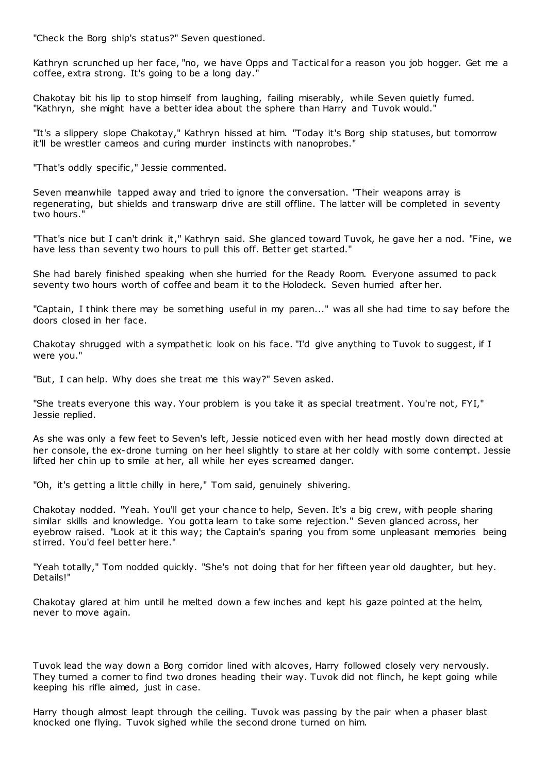"Check the Borg ship's status?" Seven questioned.

Kathryn scrunched up her face, "no, we have Opps and Tactical for a reason you job hogger. Get me a coffee, extra strong. It's going to be a long day."

Chakotay bit his lip to stop himself from laughing, failing miserably, while Seven quietly fumed. "Kathryn, she might have a better idea about the sphere than Harry and Tuvok would."

"It's a slippery slope Chakotay," Kathryn hissed at him. "Today it's Borg ship statuses, but tomorrow it'll be wrestler cameos and curing murder instincts with nanoprobes."

"That's oddly specific ," Jessie commented.

Seven meanwhile tapped away and tried to ignore the conversation. "Their weapons array is regenerating, but shields and transwarp drive are still offline. The latter will be completed in seventy two hours."

"That's nice but I can't drink it," Kathryn said. She glanced toward Tuvok, he gave her a nod. "Fine, we have less than seventy two hours to pull this off. Better get started."

She had barely finished speaking when she hurried for the Ready Room. Everyone assumed to pack seventy two hours worth of coffee and beam it to the Holodeck. Seven hurried after her.

"Captain, I think there may be something useful in my paren..." was all she had time to say before the doors closed in her face.

Chakotay shrugged with a sympathetic look on his face. "I'd give anything to Tuvok to suggest, if I were you."

"But, I can help. Why does she treat me this way?" Seven asked.

"She treats everyone this way. Your problem is you take it as special treatment. You're not, FYI," Jessie replied.

As she was only a few feet to Seven's left, Jessie noticed even with her head mostly down directed at her console, the ex-drone turning on her heel slightly to stare at her coldly with some contempt. Jessie lifted her chin up to smile at her, all while her eyes screamed danger.

"Oh, it's getting a little chilly in here," Tom said, genuinely shivering.

Chakotay nodded. "Yeah. You'll get your chance to help, Seven. It's a big crew, with people sharing similar skills and knowledge. You gotta learn to take some rejection." Seven glanced across, her eyebrow raised. "Look at it this way; the Captain's sparing you from some unpleasant memories being stirred. You'd feel better here."

"Yeah totally," Tom nodded quickly. "She's not doing that for her fifteen year old daughter, but hey. Details!"

Chakotay glared at him until he melted down a few inches and kept his gaze pointed at the helm, never to move again.

Tuvok lead the way down a Borg corridor lined with alcoves, Harry followed closely very nervously. They turned a corner to find two drones heading their way. Tuvok did not flinch, he kept going while keeping his rifle aimed, just in case.

Harry though almost leapt through the ceiling. Tuvok was passing by the pair when a phaser blast knocked one flying. Tuvok sighed while the second drone turned on him.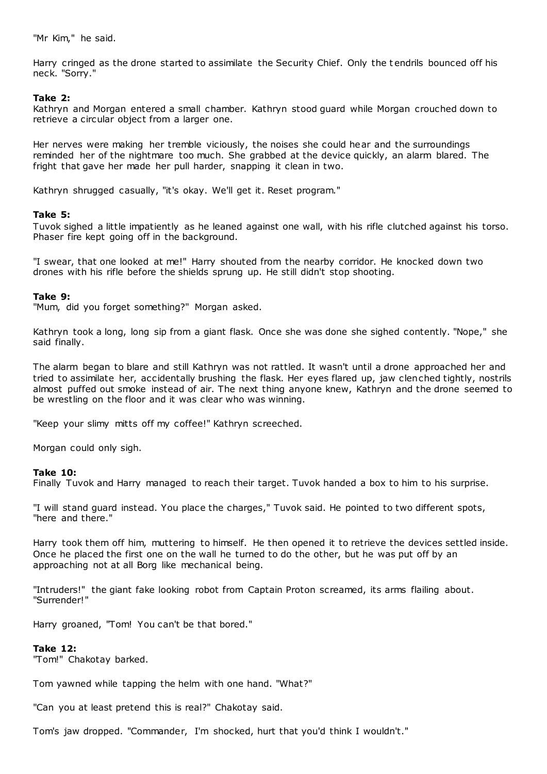"Mr Kim," he said.

Harry cringed as the drone started to assimilate the Security Chief. Only the t endrils bounced off his neck. "Sorry."

# **Take 2:**

Kathryn and Morgan entered a small chamber. Kathryn stood guard while Morgan crouched down to retrieve a circular object from a larger one.

Her nerves were making her tremble viciously, the noises she could hear and the surroundings reminded her of the nightmare too much. She grabbed at the device quickly, an alarm blared. The fright that gave her made her pull harder, snapping it clean in two.

Kathryn shrugged casually, "it's okay. We'll get it. Reset program."

# **Take 5:**

Tuvok sighed a little impatiently as he leaned against one wall, with his rifle clutched against his torso. Phaser fire kept going off in the background.

"I swear, that one looked at me!" Harry shouted from the nearby corridor. He knocked down two drones with his rifle before the shields sprung up. He still didn't stop shooting.

# **Take 9:**

"Mum, did you forget something?" Morgan asked.

Kathryn took a long, long sip from a giant flask. Once she was done she sighed contently. "Nope," she said finally.

The alarm began to blare and still Kathryn was not rattled. It wasn't until a drone approached her and tried to assimilate her, accidentally brushing the flask. Her eyes flared up, jaw clenched tightly, nostrils almost puffed out smoke instead of air. The next thing anyone knew, Kathryn and the drone seemed to be wrestling on the floor and it was clear who was winning.

"Keep your slimy mitts off my coffee!" Kathryn screeched.

Morgan could only sigh.

# **Take 10:**

Finally Tuvok and Harry managed to reach their target. Tuvok handed a box to him to his surprise.

"I will stand guard instead. You place the charges," Tuvok said. He pointed to two different spots, "here and there."

Harry took them off him, muttering to himself. He then opened it to retrieve the devices settled inside. Once he placed the first one on the wall he turned to do the other, but he was put off by an approaching not at all Borg like mechanical being.

"Intruders!" the giant fake looking robot from Captain Proton screamed, its arms flailing about. "Surrender!"

Harry groaned, "Tom! You can't be that bored."

## **Take 12:**

"Tom!" Chakotay barked.

Tom yawned while tapping the helm with one hand. "What?"

"Can you at least pretend this is real?" Chakotay said.

Tom's jaw dropped. "Commander, I'm shocked, hurt that you'd think I wouldn't."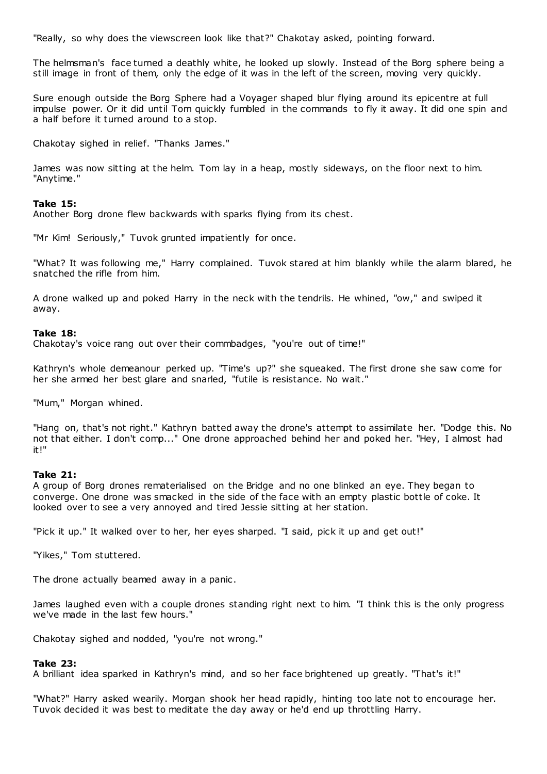"Really, so why does the viewscreen look like that?" Chakotay asked, pointing forward.

The helmsman's face turned a deathly white, he looked up slowly. Instead of the Borg sphere being a still image in front of them, only the edge of it was in the left of the screen, moving very quickly.

Sure enough outside the Borg Sphere had a Voyager shaped blur flying around its epicentre at full impulse power. Or it did until Tom quickly fumbled in the commands to fly it away. It did one spin and a half before it turned around to a stop.

Chakotay sighed in relief. "Thanks James."

James was now sitting at the helm. Tom lay in a heap, mostly sideways, on the floor next to him. "Anytime."

## **Take 15:**

Another Borg drone flew backwards with sparks flying from its chest.

"Mr Kim! Seriously," Tuvok grunted impatiently for once.

"What? It was following me," Harry complained. Tuvok stared at him blankly while the alarm blared, he snatched the rifle from him.

A drone walked up and poked Harry in the neck with the tendrils. He whined, "ow," and swiped it away.

## **Take 18:**

Chakotay's voice rang out over their commbadges, "you're out of time!"

Kathryn's whole demeanour perked up. "Time's up?" she squeaked. The first drone she saw come for her she armed her best glare and snarled, "futile is resistance. No wait."

"Mum," Morgan whined.

"Hang on, that's not right." Kathryn batted away the drone's attempt to assimilate her. "Dodge this. No not that either. I don't comp..." One drone approached behind her and poked her. "Hey, I almost had it!"

## **Take 21:**

A group of Borg drones rematerialised on the Bridge and no one blinked an eye. They began to converge. One drone was smacked in the side of the face with an empty plastic bottle of coke. It looked over to see a very annoyed and tired Jessie sitting at her station.

"Pick it up." It walked over to her, her eyes sharped. "I said, pick it up and get out!"

"Yikes," Tom stuttered.

The drone actually beamed away in a panic .

James laughed even with a couple drones standing right next to him. "I think this is the only progress we've made in the last few hours."

Chakotay sighed and nodded, "you're not wrong."

## **Take 23:**

A brilliant idea sparked in Kathryn's mind, and so her face brightened up greatly. "That's it!"

"What?" Harry asked wearily. Morgan shook her head rapidly, hinting too late not to encourage her. Tuvok decided it was best to meditate the day away or he'd end up throttling Harry.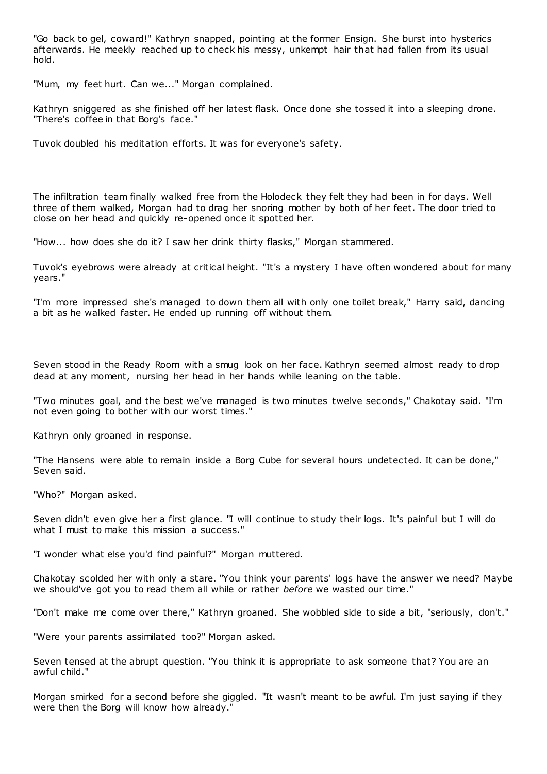"Go back to gel, coward!" Kathryn snapped, pointing at the former Ensign. She burst into hysterics afterwards. He meekly reached up to check his messy, unkempt hair that had fallen from its usual hold.

"Mum, my feet hurt. Can we..." Morgan complained.

Kathryn sniggered as she finished off her latest flask. Once done she tossed it into a sleeping drone. "There's coffee in that Borg's face."

Tuvok doubled his meditation efforts. It was for everyone's safety.

The infiltration team finally walked free from the Holodeck they felt they had been in for days. Well three of them walked, Morgan had to drag her snoring mother by both of her feet. The door tried to close on her head and quickly re-opened once it spotted her.

"How... how does she do it? I saw her drink thirty flasks," Morgan stammered.

Tuvok's eyebrows were already at critical height. "It's a mystery I have often wondered about for many years."

"I'm more impressed she's managed to down them all with only one toilet break," Harry said, dancing a bit as he walked faster. He ended up running off without them.

Seven stood in the Ready Room with a smug look on her face. Kathryn seemed almost ready to drop dead at any moment, nursing her head in her hands while leaning on the table.

"Two minutes goal, and the best we've managed is two minutes twelve seconds," Chakotay said. "I'm not even going to bother with our worst times."

Kathryn only groaned in response.

"The Hansens were able to remain inside a Borg Cube for several hours undetected. It can be done," Seven said.

"Who?" Morgan asked.

Seven didn't even give her a first glance. "I will continue to study their logs. It's painful but I will do what I must to make this mission a success."

"I wonder what else you'd find painful?" Morgan muttered.

Chakotay scolded her with only a stare. "You think your parents' logs have the answer we need? Maybe we should've got you to read them all while or rather *before* we wasted our time."

"Don't make me come over there," Kathryn groaned. She wobbled side to side a bit, "seriously, don't."

"Were your parents assimilated too?" Morgan asked.

Seven tensed at the abrupt question. "You think it is appropriate to ask someone that? You are an awful child."

Morgan smirked for a second before she giggled. "It wasn't meant to be awful. I'm just saying if they were then the Borg will know how already."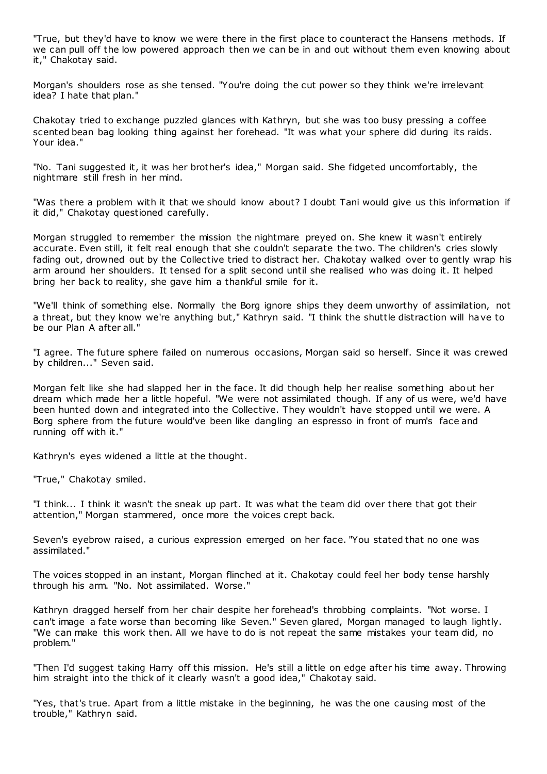"True, but they'd have to know we were there in the first place to counteract the Hansens methods. If we can pull off the low powered approach then we can be in and out without them even knowing about it," Chakotay said.

Morgan's shoulders rose as she tensed. "You're doing the cut power so they think we're irrelevant idea? I hate that plan."

Chakotay tried to exchange puzzled glances with Kathryn, but she was too busy pressing a coffee scented bean bag looking thing against her forehead. "It was what your sphere did during its raids. Your idea."

"No. Tani suggested it, it was her brother's idea," Morgan said. She fidgeted uncomfortably, the nightmare still fresh in her mind.

"Was there a problem with it that we should know about? I doubt Tani would give us this information if it did," Chakotay questioned carefully.

Morgan struggled to remember the mission the nightmare preyed on. She knew it wasn't entirely accurate. Even still, it felt real enough that she couldn't separate the two. The children's cries slowly fading out, drowned out by the Collective tried to distract her. Chakotay walked over to gently wrap his arm around her shoulders. It tensed for a split second until she realised who was doing it. It helped bring her back to reality, she gave him a thankful smile for it.

"We'll think of something else. Normally the Borg ignore ships they deem unworthy of assimilation, not a threat, but they know we're anything but," Kathryn said. "I think the shuttle distraction will have to be our Plan A after all."

"I agree. The future sphere failed on numerous occasions, Morgan said so herself. Since it was crewed by children..." Seven said.

Morgan felt like she had slapped her in the face. It did though help her realise something about her dream which made her a little hopeful. "We were not assimilated though. If any of us were, we'd have been hunted down and integrated into the Collective. They wouldn't have stopped until we were. A Borg sphere from the future would've been like dangling an espresso in front of mum's face and running off with it."

Kathryn's eyes widened a little at the thought.

"True," Chakotay smiled.

"I think... I think it wasn't the sneak up part. It was what the team did over there that got their attention," Morgan stammered, once more the voices crept back.

Seven's eyebrow raised, a curious expression emerged on her face. "You stated that no one was assimilated."

The voices stopped in an instant, Morgan flinched at it. Chakotay could feel her body tense harshly through his arm. "No. Not assimilated. Worse."

Kathryn dragged herself from her chair despite her forehead's throbbing complaints. "Not worse. I can't image a fate worse than becoming like Seven." Seven glared, Morgan managed to laugh lightly. "We can make this work then. All we have to do is not repeat the same mistakes your team did, no problem."

"Then I'd suggest taking Harry off this mission. He's still a little on edge after his time away. Throwing him straight into the thick of it clearly wasn't a good idea," Chakotay said.

"Yes, that's true. Apart from a little mistake in the beginning, he was the one causing most of the trouble," Kathryn said.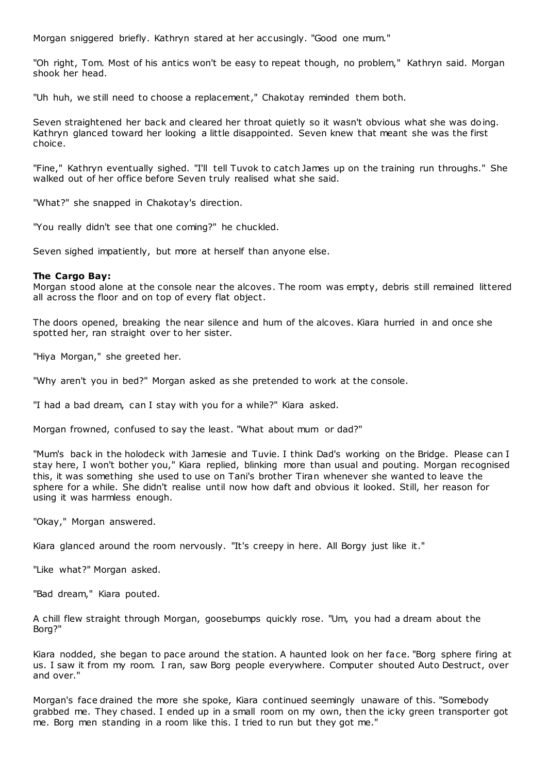Morgan sniggered briefly. Kathryn stared at her accusingly. "Good one mum."

"Oh right, Tom. Most of his antics won't be easy to repeat though, no problem," Kathryn said. Morgan shook her head.

"Uh huh, we still need to choose a replacement," Chakotay reminded them both.

Seven straightened her back and cleared her throat quietly so it wasn't obvious what she was doing. Kathryn glanced toward her looking a little disappointed. Seven knew that meant she was the first choice.

"Fine," Kathryn eventually sighed. "I'll tell Tuvok to catch James up on the training run throughs." She walked out of her office before Seven truly realised what she said.

"What?" she snapped in Chakotay's direction.

"You really didn't see that one coming?" he chuckled.

Seven sighed impatiently, but more at herself than anyone else.

## **The Cargo Bay:**

Morgan stood alone at the console near the alcoves. The room was empty, debris still remained littered all across the floor and on top of every flat object.

The doors opened, breaking the near silence and hum of the alcoves. Kiara hurried in and once she spotted her, ran straight over to her sister.

"Hiya Morgan," she greeted her.

"Why aren't you in bed?" Morgan asked as she pretended to work at the console.

"I had a bad dream, can I stay with you for a while?" Kiara asked.

Morgan frowned, confused to say the least. "What about mum or dad?"

"Mum's back in the holodeck with Jamesie and Tuvie. I think Dad's working on the Bridge. Please can I stay here, I won't bother you," Kiara replied, blinking more than usual and pouting. Morgan recognised this, it was something she used to use on Tani's brother Tiran whenever she wanted to leave the sphere for a while. She didn't realise until now how daft and obvious it looked. Still, her reason for using it was harmless enough.

"Okay," Morgan answered.

Kiara glanced around the room nervously. "It's creepy in here. All Borgy just like it."

"Like what?" Morgan asked.

"Bad dream," Kiara pouted.

A chill flew straight through Morgan, goosebumps quickly rose. "Um, you had a dream about the Borg?"

Kiara nodded, she began to pace around the station. A haunted look on her face. "Borg sphere firing at us. I saw it from my room. I ran, saw Borg people everywhere. Computer shouted Auto Destruct, over and over."

Morgan's face drained the more she spoke, Kiara continued seemingly unaware of this. "Somebody grabbed me. They chased. I ended up in a small room on my own, then the icky green transporter got me. Borg men standing in a room like this. I tried to run but they got me."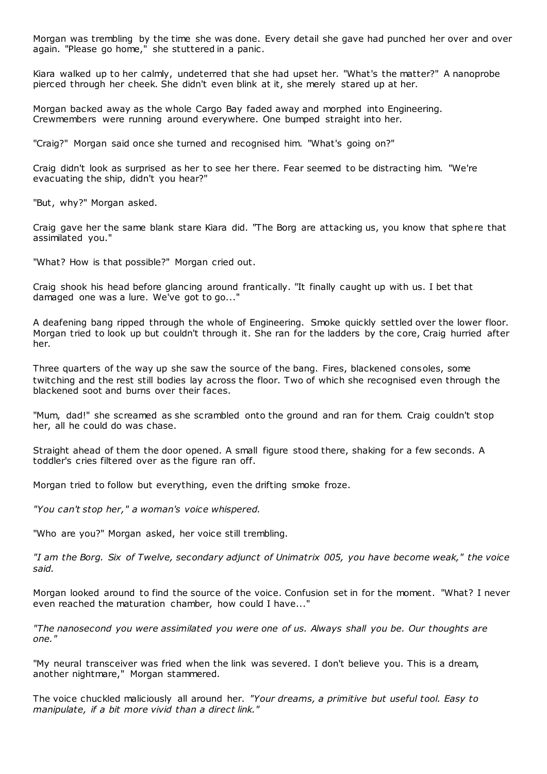Morgan was trembling by the time she was done. Every detail she gave had punched her over and over again. "Please go home," she stuttered in a panic .

Kiara walked up to her calmly, undeterred that she had upset her. "What's the matter?" A nanoprobe pierced through her cheek. She didn't even blink at it, she merely stared up at her.

Morgan backed away as the whole Cargo Bay faded away and morphed into Engineering. Crewmembers were running around everywhere. One bumped straight into her.

"Craig?" Morgan said once she turned and recognised him. "What's going on?"

Craig didn't look as surprised as her to see her there. Fear seemed to be distracting him. "We're evacuating the ship, didn't you hear?"

"But, why?" Morgan asked.

Craig gave her the same blank stare Kiara did. "The Borg are attacking us, you know that sphere that assimilated you."

"What? How is that possible?" Morgan cried out.

Craig shook his head before glancing around frantically. "It finally caught up with us. I bet that damaged one was a lure. We've got to go..."

A deafening bang ripped through the whole of Engineering. Smoke quickly settled over the lower floor. Morgan tried to look up but couldn't through it. She ran for the ladders by the core, Craig hurried after her.

Three quarters of the way up she saw the source of the bang. Fires, blackened consoles, some twitching and the rest still bodies lay across the floor. Two of which she recognised even through the blackened soot and burns over their faces.

"Mum, dad!" she screamed as she scrambled onto the ground and ran for them. Craig couldn't stop her, all he could do was chase.

Straight ahead of them the door opened. A small figure stood there, shaking for a few seconds. A toddler's cries filtered over as the figure ran off.

Morgan tried to follow but everything, even the drifting smoke froze.

*"You can't stop her," a woman's voice whispered.*

"Who are you?" Morgan asked, her voice still trembling.

*"I am the Borg. Six of Twelve, secondary adjunct of Unimatrix 005, you have become weak," the voice said.*

Morgan looked around to find the source of the voice. Confusion set in for the moment. "What? I never even reached the maturation chamber, how could I have..."

*"The nanosecond you were assimilated you were one of us. Always shall you be. Our thoughts are one."*

"My neural transceiver was fried when the link was severed. I don't believe you. This is a dream, another nightmare," Morgan stammered.

The voice chuckled maliciously all around her. *"Your dreams, a primitive but useful tool. Easy to manipulate, if a bit more vivid than a direct link."*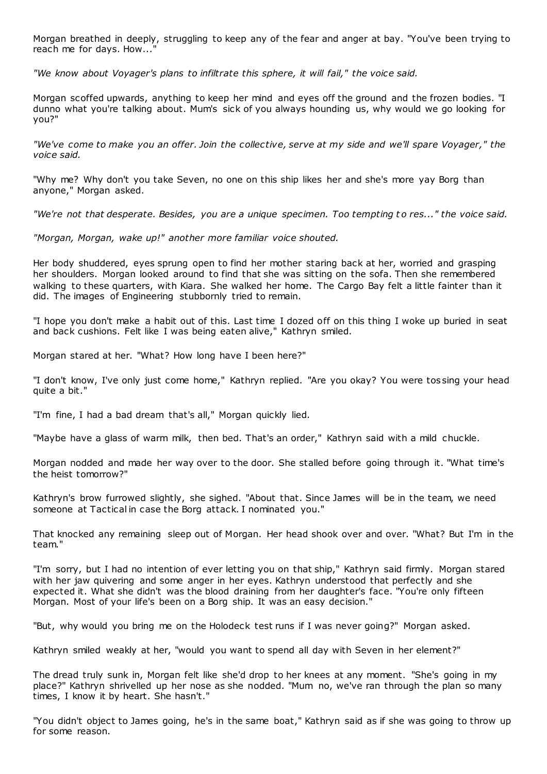Morgan breathed in deeply, struggling to keep any of the fear and anger at bay. "You've been trying to reach me for days. How...

*"We know about Voyager's plans to infiltrate this sphere, it will fail," the voice said.*

Morgan scoffed upwards, anything to keep her mind and eyes off the ground and the frozen bodies. "I dunno what you're talking about. Mum's sick of you always hounding us, why would we go looking for you?"

*"We've come to make you an offer. Join the collective, serve at my side and we'll spare Voyager," the voice said.*

"Why me? Why don't you take Seven, no one on this ship likes her and she's more yay Borg than anyone," Morgan asked.

*"We're not that desperate. Besides, you are a unique specimen. Too tempting t o res..." the voice said.*

*"Morgan, Morgan, wake up!" another more familiar voice shouted.*

Her body shuddered, eyes sprung open to find her mother staring back at her, worried and grasping her shoulders. Morgan looked around to find that she was sitting on the sofa. Then she remembered walking to these quarters, with Kiara. She walked her home. The Cargo Bay felt a little fainter than it did. The images of Engineering stubbornly tried to remain.

"I hope you don't make a habit out of this. Last time I dozed off on this thing I woke up buried in seat and back cushions. Felt like I was being eaten alive," Kathryn smiled.

Morgan stared at her. "What? How long have I been here?"

"I don't know, I've only just come home," Kathryn replied. "Are you okay? You were tos sing your head quite a bit."

"I'm fine, I had a bad dream that's all," Morgan quickly lied.

"Maybe have a glass of warm milk, then bed. That's an order," Kathryn said with a mild chuckle.

Morgan nodded and made her way over to the door. She stalled before going through it. "What time's the heist tomorrow?"

Kathryn's brow furrowed slightly, she sighed. "About that. Since James will be in the team, we need someone at Tactical in case the Borg attack. I nominated you."

That knocked any remaining sleep out of Morgan. Her head shook over and over. "What? But I'm in the team."

"I'm sorry, but I had no intention of ever letting you on that ship," Kathryn said firmly. Morgan stared with her jaw quivering and some anger in her eyes. Kathryn understood that perfectly and she expected it. What she didn't was the blood draining from her daughter's face. "You're only fifteen Morgan. Most of your life's been on a Borg ship. It was an easy decision."

"But, why would you bring me on the Holodeck test runs if I was never going?" Morgan asked.

Kathryn smiled weakly at her, "would you want to spend all day with Seven in her element?"

The dread truly sunk in, Morgan felt like she'd drop to her knees at any moment. "She's going in my place?" Kathryn shrivelled up her nose as she nodded. "Mum no, we've ran through the plan so many times, I know it by heart. She hasn't."

"You didn't object to James going, he's in the same boat," Kathryn said as if she was going to throw up for some reason.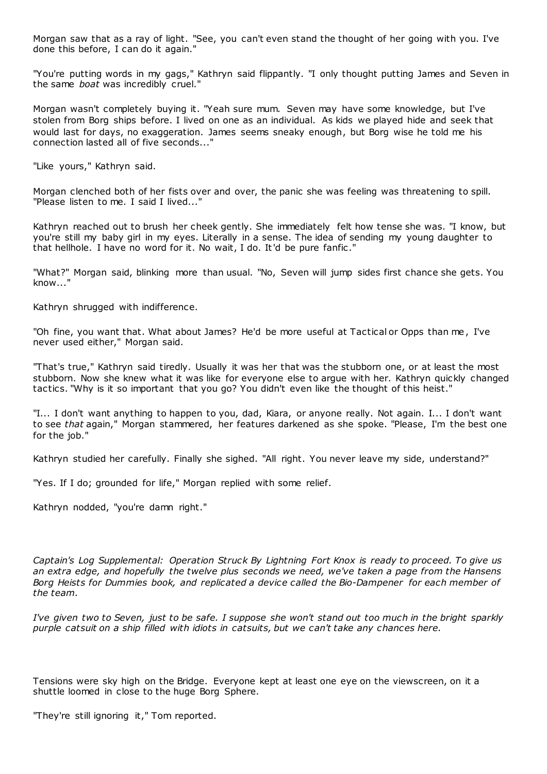Morgan saw that as a ray of light. "See, you can't even stand the thought of her going with you. I've done this before, I can do it again."

"You're putting words in my gags," Kathryn said flippantly. "I only thought putting James and Seven in the same *boat* was incredibly cruel."

Morgan wasn't completely buying it. "Yeah sure mum. Seven may have some knowledge, but I've stolen from Borg ships before. I lived on one as an individual. As kids we played hide and seek that would last for days, no exaggeration. James seems sneaky enough, but Borg wise he told me his connection lasted all of five seconds..."

"Like yours," Kathryn said.

Morgan clenched both of her fists over and over, the panic she was feeling was threatening to spill. "Please listen to me. I said I lived..."

Kathryn reached out to brush her cheek gently. She immediately felt how tense she was. "I know, but you're still my baby girl in my eyes. Literally in a sense. The idea of sending my young daughter to that hellhole. I have no word for it. No wait, I do. It'd be pure fanfic ."

"What?" Morgan said, blinking more than usual. "No, Seven will jump sides first chance she gets. You know..."

Kathryn shrugged with indifference.

"Oh fine, you want that. What about James? He'd be more useful at Tactical or Opps than me, I've never used either," Morgan said.

"That's true," Kathryn said tiredly. Usually it was her that was the stubborn one, or at least the most stubborn. Now she knew what it was like for everyone else to argue with her. Kathryn quickly changed tactics. "Why is it so important that you go? You didn't even like the thought of this heist."

"I... I don't want anything to happen to you, dad, Kiara, or anyone really. Not again. I... I don't want to see *that* again," Morgan stammered, her features darkened as she spoke. "Please, I'm the best one for the job."

Kathryn studied her carefully. Finally she sighed. "All right. You never leave my side, understand?"

"Yes. If I do; grounded for life," Morgan replied with some relief.

Kathryn nodded, "you're damn right."

*Captain's Log Supplemental: Operation Struck By Lightning Fort Knox is ready to proceed. To give us an extra edge, and hopefully the twelve plus seconds we need, we've taken a page from the Hansens Borg Heists for Dummies book, and replicated a device called the Bio-Dampener for each member of the team.*

*I've given two to Seven, just to be safe. I suppose she won't stand out too much in the bright sparkly purple catsuit on a ship filled with idiots in catsuits, but we can't take any chances here.*

Tensions were sky high on the Bridge. Everyone kept at least one eye on the viewscreen, on it a shuttle loomed in close to the huge Borg Sphere.

"They're still ignoring it," Tom reported.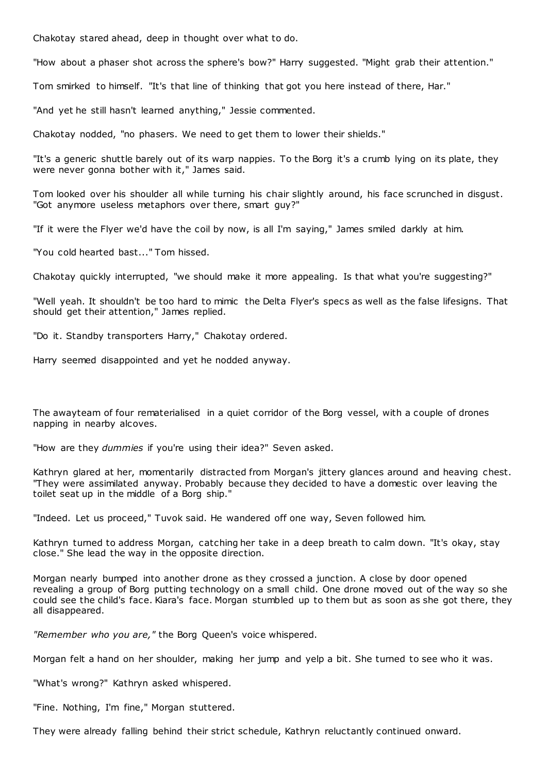Chakotay stared ahead, deep in thought over what to do.

"How about a phaser shot across the sphere's bow?" Harry suggested. "Might grab their attention."

Tom smirked to himself. "It's that line of thinking that got you here instead of there, Har."

"And yet he still hasn't learned anything," Jessie commented.

Chakotay nodded, "no phasers. We need to get them to lower their shields."

"It's a generic shuttle barely out of its warp nappies. To the Borg it's a crumb lying on its plate, they were never gonna bother with it," James said.

Tom looked over his shoulder all while turning his chair slightly around, his face scrunched in disgust. "Got anymore useless metaphors over there, smart guy?"

"If it were the Flyer we'd have the coil by now, is all I'm saying," James smiled darkly at him.

"You cold hearted bast..." Tom hissed.

Chakotay quickly interrupted, "we should make it more appealing. Is that what you're suggesting?"

"Well yeah. It shouldn't be too hard to mimic the Delta Flyer's specs as well as the false lifesigns. That should get their attention," James replied.

"Do it. Standby transporters Harry," Chakotay ordered.

Harry seemed disappointed and yet he nodded anyway.

The awayteam of four rematerialised in a quiet corridor of the Borg vessel, with a couple of drones napping in nearby alcoves.

"How are they *dummies* if you're using their idea?" Seven asked.

Kathryn glared at her, momentarily distracted from Morgan's jittery glances around and heaving chest. "They were assimilated anyway. Probably because they decided to have a domestic over leaving the toilet seat up in the middle of a Borg ship."

"Indeed. Let us proceed," Tuvok said. He wandered off one way, Seven followed him.

Kathryn turned to address Morgan, catching her take in a deep breath to calm down. "It's okay, stay close." She lead the way in the opposite direction.

Morgan nearly bumped into another drone as they crossed a junction. A close by door opened revealing a group of Borg putting technology on a small child. One drone moved out of the way so she could see the child's face. Kiara's face. Morgan stumbled up to them but as soon as she got there, they all disappeared.

*"Remember who you are,"* the Borg Queen's voice whispered.

Morgan felt a hand on her shoulder, making her jump and yelp a bit. She turned to see who it was.

"What's wrong?" Kathryn asked whispered.

"Fine. Nothing, I'm fine," Morgan stuttered.

They were already falling behind their strict schedule, Kathryn reluctantly continued onward.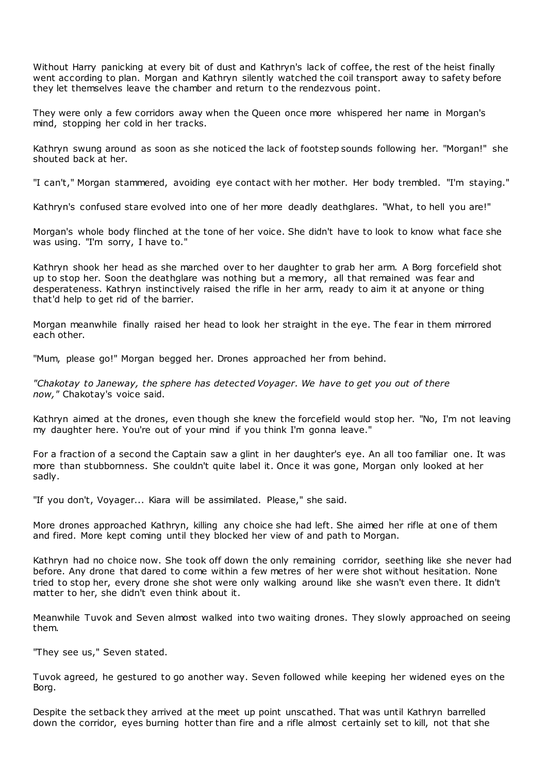Without Harry panicking at every bit of dust and Kathryn's lack of coffee, the rest of the heist finally went according to plan. Morgan and Kathryn silently watched the coil transport away to safety before they let themselves leave the chamber and return to the rendezvous point.

They were only a few corridors away when the Queen once more whispered her name in Morgan's mind, stopping her cold in her tracks.

Kathryn swung around as soon as she noticed the lack of footstep sounds following her. "Morgan!" she shouted back at her.

"I can't," Morgan stammered, avoiding eye contact with her mother. Her body trembled. "I'm staying."

Kathryn's confused stare evolved into one of her more deadly deathglares. "What, to hell you are!"

Morgan's whole body flinched at the tone of her voice. She didn't have to look to know what face she was using. "I'm sorry, I have to."

Kathryn shook her head as she marched over to her daughter to grab her arm. A Borg forcefield shot up to stop her. Soon the deathglare was nothing but a memory, all that remained was fear and desperateness. Kathryn instinctively raised the rifle in her arm, ready to aim it at anyone or thing that'd help to get rid of the barrier.

Morgan meanwhile finally raised her head to look her straight in the eye. The fear in them mirrored each other.

"Mum, please go!" Morgan begged her. Drones approached her from behind.

*"Chakotay to Janeway, the sphere has detected Voyager. We have to get you out of there now,"* Chakotay's voice said.

Kathryn aimed at the drones, even though she knew the forcefield would stop her. "No, I'm not leaving my daughter here. You're out of your mind if you think I'm gonna leave."

For a fraction of a second the Captain saw a glint in her daughter's eye. An all too familiar one. It was more than stubbornness. She couldn't quite label it. Once it was gone, Morgan only looked at her sadly.

"If you don't, Voyager... Kiara will be assimilated. Please," she said.

More drones approached Kathryn, killing any choice she had left. She aimed her rifle at one of them and fired. More kept coming until they blocked her view of and path to Morgan.

Kathryn had no choice now. She took off down the only remaining corridor, seething like she never had before. Any drone that dared to come within a few metres of her were shot without hesitation. None tried to stop her, every drone she shot were only walking around like she wasn't even there. It didn't matter to her, she didn't even think about it.

Meanwhile Tuvok and Seven almost walked into two waiting drones. They slowly approached on seeing them.

"They see us," Seven stated.

Tuvok agreed, he gestured to go another way. Seven followed while keeping her widened eyes on the Borg.

Despite the setback they arrived at the meet up point unscathed. That was until Kathryn barrelled down the corridor, eyes burning hotter than fire and a rifle almost certainly set to kill, not that she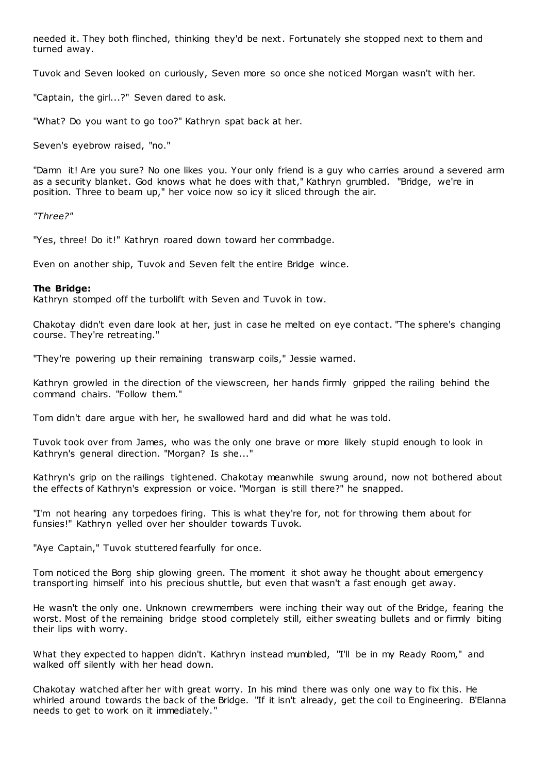needed it. They both flinched, thinking they'd be next. Fortunately she stopped next to them and turned away.

Tuvok and Seven looked on curiously, Seven more so once she noticed Morgan wasn't with her.

"Captain, the girl...?" Seven dared to ask.

"What? Do you want to go too?" Kathryn spat back at her.

Seven's eyebrow raised, "no."

"Damn it! Are you sure? No one likes you. Your only friend is a guy who carries around a severed arm as a security blanket. God knows what he does with that," Kathryn grumbled. "Bridge, we're in position. Three to beam up," her voice now so icy it sliced through the air.

*"Three?"*

"Yes, three! Do it!" Kathryn roared down toward her commbadge.

Even on another ship, Tuvok and Seven felt the entire Bridge wince.

## **The Bridge:**

Kathryn stomped off the turbolift with Seven and Tuvok in tow.

Chakotay didn't even dare look at her, just in case he melted on eye contact. "The sphere's changing course. They're retreating."

"They're powering up their remaining transwarp coils," Jessie warned.

Kathryn growled in the direction of the viewscreen, her hands firmly gripped the railing behind the command chairs. "Follow them."

Tom didn't dare argue with her, he swallowed hard and did what he was told.

Tuvok took over from James, who was the only one brave or more likely stupid enough to look in Kathryn's general direction. "Morgan? Is she..."

Kathryn's grip on the railings tightened. Chakotay meanwhile swung around, now not bothered about the effects of Kathryn's expression or voice. "Morgan is still there?" he snapped.

"I'm not hearing any torpedoes firing. This is what they're for, not for throwing them about for funsies!" Kathryn yelled over her shoulder towards Tuvok.

"Aye Captain," Tuvok stuttered fearfully for once.

Tom noticed the Borg ship glowing green. The moment it shot away he thought about emergency transporting himself into his precious shuttle, but even that wasn't a fast enough get away.

He wasn't the only one. Unknown crewmembers were inching their way out of the Bridge, fearing the worst. Most of the remaining bridge stood completely still, either sweating bullets and or firmly biting their lips with worry.

What they expected to happen didn't. Kathryn instead mumbled, "I'll be in my Ready Room," and walked off silently with her head down.

Chakotay watched after her with great worry. In his mind there was only one way to fix this. He whirled around towards the back of the Bridge. "If it isn't already, get the coil to Engineering. B'Elanna needs to get to work on it immediately."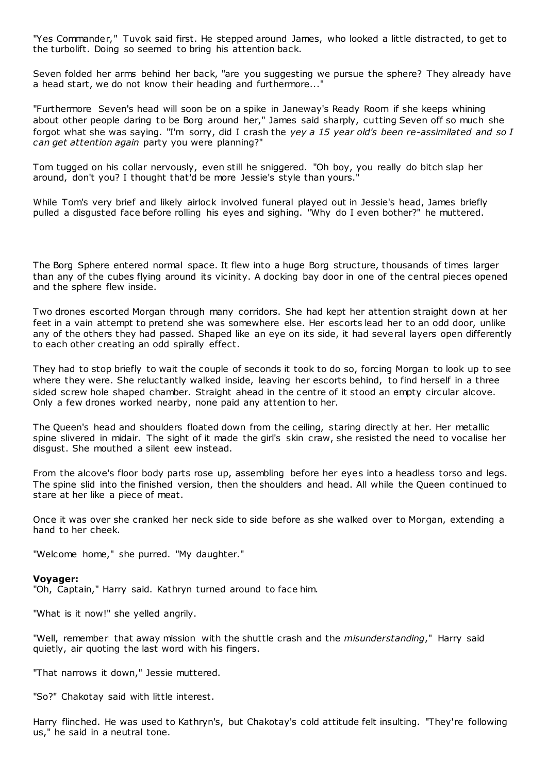"Yes Commander," Tuvok said first. He stepped around James, who looked a little distracted, to get to the turbolift. Doing so seemed to bring his attention back.

Seven folded her arms behind her back, "are you suggesting we pursue the sphere? They already have a head start, we do not know their heading and furthermore..."

"Furthermore Seven's head will soon be on a spike in Janeway's Ready Room if she keeps whining about other people daring to be Borg around her," James said sharply, cutting Seven off so much she forgot what she was saying. "I'm sorry, did I crash the *yey a 15 year old's been re-assimilated and so I can get attention again* party you were planning?"

Tom tugged on his collar nervously, even still he sniggered. "Oh boy, you really do bitch slap her around, don't you? I thought that'd be more Jessie's style than yours."

While Tom's very brief and likely airlock involved funeral played out in Jessie's head, James briefly pulled a disgusted face before rolling his eyes and sighing. "Why do I even bother?" he muttered.

The Borg Sphere entered normal space. It flew into a huge Borg structure, thousands of times larger than any of the cubes flying around its vicinity. A docking bay door in one of the central pieces opened and the sphere flew inside.

Two drones escorted Morgan through many corridors. She had kept her attention straight down at her feet in a vain attempt to pretend she was somewhere else. Her escorts lead her to an odd door, unlike any of the others they had passed. Shaped like an eye on its side, it had several layers open differently to each other creating an odd spirally effect.

They had to stop briefly to wait the couple of seconds it took to do so, forcing Morgan to look up to see where they were. She reluctantly walked inside, leaving her escorts behind, to find herself in a three sided screw hole shaped chamber. Straight ahead in the centre of it stood an empty circular alcove. Only a few drones worked nearby, none paid any attention to her.

The Queen's head and shoulders floated down from the ceiling, staring directly at her. Her metallic spine slivered in midair. The sight of it made the girl's skin craw, she resisted the need to vocalise her disgust. She mouthed a silent eew instead.

From the alcove's floor body parts rose up, assembling before her eyes into a headless torso and legs. The spine slid into the finished version, then the shoulders and head. All while the Queen continued to stare at her like a piece of meat.

Once it was over she cranked her neck side to side before as she walked over to Morgan, extending a hand to her cheek.

"Welcome home," she purred. "My daughter."

#### **Voyager:**

"Oh, Captain," Harry said. Kathryn turned around to face him.

"What is it now!" she yelled angrily.

"Well, remember that away mission with the shuttle crash and the *misunderstanding*," Harry said quietly, air quoting the last word with his fingers.

"That narrows it down," Jessie muttered.

"So?" Chakotay said with little interest.

Harry flinched. He was used to Kathryn's, but Chakotay's cold attitude felt insulting. "They're following us," he said in a neutral tone.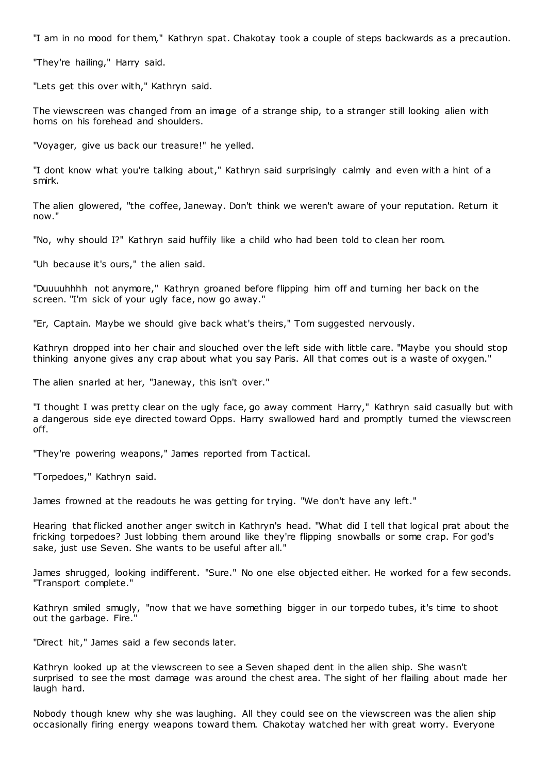"I am in no mood for them," Kathryn spat. Chakotay took a couple of steps backwards as a precaution.

"They're hailing," Harry said.

"Lets get this over with," Kathryn said.

The viewscreen was changed from an image of a strange ship, to a stranger still looking alien with horns on his forehead and shoulders.

"Voyager, give us back our treasure!" he yelled.

"I dont know what you're talking about," Kathryn said surprisingly calmly and even with a hint of a smirk.

The alien glowered, "the coffee, Janeway. Don't think we weren't aware of your reputation. Return it now."

"No, why should I?" Kathryn said huffily like a child who had been told to clean her room.

"Uh because it's ours," the alien said.

"Duuuuhhhh not anymore," Kathryn groaned before flipping him off and turning her back on the screen. "I'm sick of your ugly face, now go away."

"Er, Captain. Maybe we should give back what's theirs," Tom suggested nervously.

Kathryn dropped into her chair and slouched over the left side with little care. "Maybe you should stop thinking anyone gives any crap about what you say Paris. All that comes out is a waste of oxygen."

The alien snarled at her, "Janeway, this isn't over."

"I thought I was pretty clear on the ugly face, go away comment Harry," Kathryn said casually but with a dangerous side eye directed toward Opps. Harry swallowed hard and promptly turned the viewscreen off.

"They're powering weapons," James reported from Tactical.

"Torpedoes," Kathryn said.

James frowned at the readouts he was getting for trying. "We don't have any left."

Hearing that flicked another anger switch in Kathryn's head. "What did I tell that logical prat about the fricking torpedoes? Just lobbing them around like they're flipping snowballs or some crap. For god's sake, just use Seven. She wants to be useful after all."

James shrugged, looking indifferent. "Sure." No one else objected either. He worked for a few seconds. "Transport complete."

Kathryn smiled smugly, "now that we have something bigger in our torpedo tubes, it's time to shoot out the garbage. Fire."

"Direct hit," James said a few seconds later.

Kathryn looked up at the viewscreen to see a Seven shaped dent in the alien ship. She wasn't surprised to see the most damage was around the chest area. The sight of her flailing about made her laugh hard.

Nobody though knew why she was laughing. All they could see on the viewscreen was the alien ship occasionally firing energy weapons toward them. Chakotay watched her with great worry. Everyone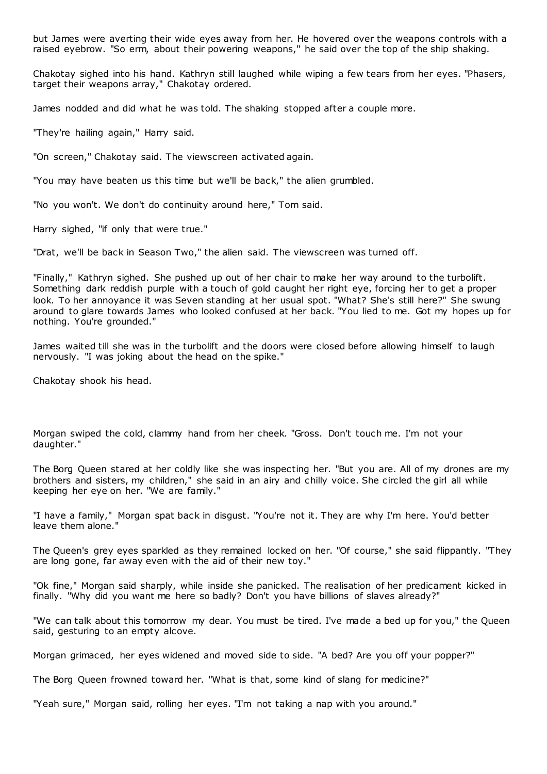but James were averting their wide eyes away from her. He hovered over the weapons controls with a raised eyebrow. "So erm, about their powering weapons," he said over the top of the ship shaking.

Chakotay sighed into his hand. Kathryn still laughed while wiping a few tears from her eyes. "Phasers, target their weapons array," Chakotay ordered.

James nodded and did what he was told. The shaking stopped after a couple more.

"They're hailing again," Harry said.

"On screen," Chakotay said. The viewscreen activated again.

"You may have beaten us this time but we'll be back," the alien grumbled.

"No you won't. We don't do continuity around here," Tom said.

Harry sighed, "if only that were true."

"Drat, we'll be back in Season Two," the alien said. The viewscreen was turned off.

"Finally," Kathryn sighed. She pushed up out of her chair to make her way around to the turbolift. Something dark reddish purple with a touch of gold caught her right eye, forcing her to get a proper look. To her annoyance it was Seven standing at her usual spot. "What? She's still here?" She swung around to glare towards James who looked confused at her back. "You lied to me. Got my hopes up for nothing. You're grounded."

James waited till she was in the turbolift and the doors were closed before allowing himself to laugh nervously. "I was joking about the head on the spike."

Chakotay shook his head.

Morgan swiped the cold, clammy hand from her cheek. "Gross. Don't touch me. I'm not your daughter."

The Borg Queen stared at her coldly like she was inspecting her. "But you are. All of my drones are my brothers and sisters, my children," she said in an airy and chilly voice. She circled the girl all while keeping her eye on her. "We are family."

"I have a family," Morgan spat back in disgust. "You're not it. They are why I'm here. You'd better leave them alone."

The Queen's grey eyes sparkled as they remained locked on her. "Of course," she said flippantly. "They are long gone, far away even with the aid of their new toy."

"Ok fine," Morgan said sharply, while inside she panicked. The realisation of her predicament kicked in finally. "Why did you want me here so badly? Don't you have billions of slaves already?"

"We can talk about this tomorrow my dear. You must be tired. I've made a bed up for you," the Queen said, gesturing to an empty alcove.

Morgan grimaced, her eyes widened and moved side to side. "A bed? Are you off your popper?"

The Borg Queen frowned toward her. "What is that, some kind of slang for medicine?"

"Yeah sure," Morgan said, rolling her eyes. "I'm not taking a nap with you around."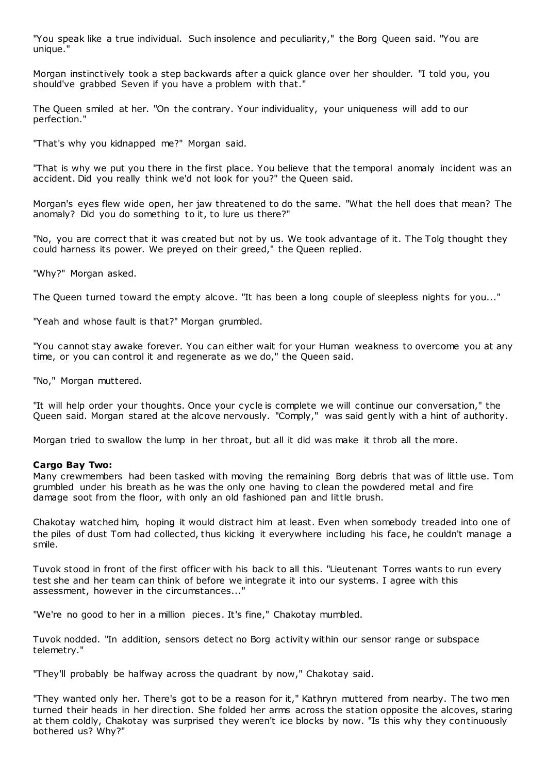"You speak like a true individual. Such insolence and peculiarity," the Borg Queen said. "You are unique."

Morgan instinctively took a step backwards after a quick glance over her shoulder. "I told you, you should've grabbed Seven if you have a problem with that."

The Queen smiled at her. "On the contrary. Your individuality, your uniqueness will add to our perfection."

"That's why you kidnapped me?" Morgan said.

"That is why we put you there in the first place. You believe that the temporal anomaly incident was an accident. Did you really think we'd not look for you?" the Queen said.

Morgan's eyes flew wide open, her jaw threatened to do the same. "What the hell does that mean? The anomaly? Did you do something to it, to lure us there?"

"No, you are correct that it was created but not by us. We took advantage of it. The Tolg thought they could harness its power. We preyed on their greed," the Queen replied.

"Why?" Morgan asked.

The Queen turned toward the empty alcove. "It has been a long couple of sleepless nights for you..."

"Yeah and whose fault is that?" Morgan grumbled.

"You cannot stay awake forever. You can either wait for your Human weakness to overcome you at any time, or you can control it and regenerate as we do," the Queen said.

"No," Morgan muttered.

"It will help order your thoughts. Once your cycle is complete we will continue our conversation," the Queen said. Morgan stared at the alcove nervously. "Comply," was said gently with a hint of authority.

Morgan tried to swallow the lump in her throat, but all it did was make it throb all the more.

#### **Cargo Bay Two:**

Many crewmembers had been tasked with moving the remaining Borg debris that was of little use. Tom grumbled under his breath as he was the only one having to clean the powdered metal and fire damage soot from the floor, with only an old fashioned pan and little brush.

Chakotay watched him, hoping it would distract him at least. Even when somebody treaded into one of the piles of dust Tom had collected, thus kicking it everywhere including his face, he couldn't manage a smile.

Tuvok stood in front of the first officer with his back to all this. "Lieutenant Torres wants to run every test she and her team can think of before we integrate it into our systems. I agree with this assessment, however in the circumstances..."

"We're no good to her in a million pieces. It's fine," Chakotay mumbled.

Tuvok nodded. "In addition, sensors detect no Borg activity within our sensor range or subspace telemetry."

"They'll probably be halfway across the quadrant by now," Chakotay said.

"They wanted only her. There's got to be a reason for it," Kathryn muttered from nearby. The two men turned their heads in her direction. She folded her arms across the station opposite the alcoves, staring at them coldly, Chakotay was surprised they weren't ice blocks by now. "Is this why they continuously bothered us? Why?"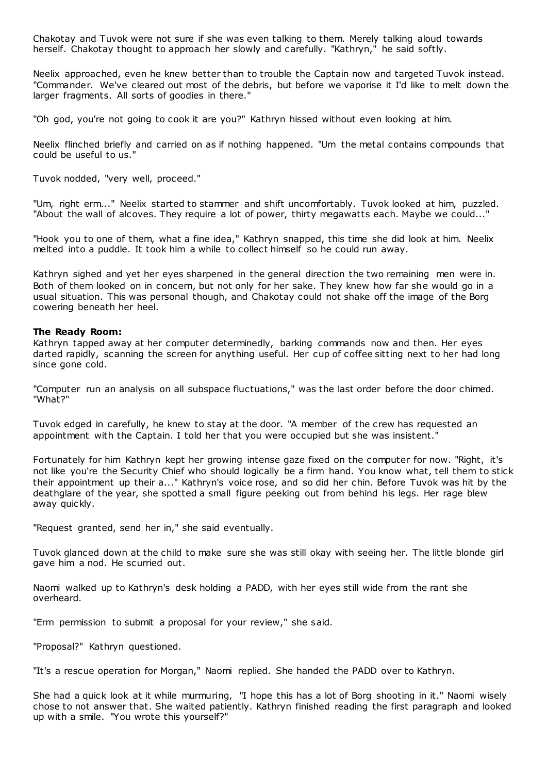Chakotay and Tuvok were not sure if she was even talking to them. Merely talking aloud towards herself. Chakotay thought to approach her slowly and carefully. "Kathryn," he said softly.

Neelix approached, even he knew better than to trouble the Captain now and targeted Tuvok instead. "Commander. We've cleared out most of the debris, but before we vaporise it I'd like to melt down the larger fragments. All sorts of goodies in there."

"Oh god, you're not going to cook it are you?" Kathryn hissed without even looking at him.

Neelix flinched briefly and carried on as if nothing happened. "Um the metal contains compounds that could be useful to us."

Tuvok nodded, "very well, proceed."

"Um, right erm..." Neelix started to stammer and shift uncomfortably. Tuvok looked at him, puzzled. "About the wall of alcoves. They require a lot of power, thirty megawatts each. Maybe we could..."

"Hook you to one of them, what a fine idea," Kathryn snapped, this time she did look at him. Neelix melted into a puddle. It took him a while to collect himself so he could run away.

Kathryn sighed and yet her eyes sharpened in the general direction the two remaining men were in. Both of them looked on in concern, but not only for her sake. They knew how far she would go in a usual situation. This was personal though, and Chakotay could not shake off the image of the Borg cowering beneath her heel.

#### **The Ready Room:**

Kathryn tapped away at her computer determinedly, barking commands now and then. Her eyes darted rapidly, scanning the screen for anything useful. Her cup of coffee sitting next to her had long since gone cold.

"Computer run an analysis on all subspace fluctuations," was the last order before the door chimed. "What?"

Tuvok edged in carefully, he knew to stay at the door. "A member of the crew has requested an appointment with the Captain. I told her that you were occupied but she was insistent."

Fortunately for him Kathryn kept her growing intense gaze fixed on the computer for now. "Right, it's not like you're the Security Chief who should logically be a firm hand. You know what, tell them to stick their appointment up their a..." Kathryn's voice rose, and so did her chin. Before Tuvok was hit by the deathglare of the year, she spotted a small figure peeking out from behind his legs. Her rage blew away quickly.

"Request granted, send her in," she said eventually.

Tuvok glanced down at the child to make sure she was still okay with seeing her. The little blonde girl gave him a nod. He scurried out.

Naomi walked up to Kathryn's desk holding a PADD, with her eyes still wide from the rant she overheard.

"Erm permission to submit a proposal for your review," she said.

"Proposal?" Kathryn questioned.

"It's a rescue operation for Morgan," Naomi replied. She handed the PADD over to Kathryn.

She had a quick look at it while murmuring, "I hope this has a lot of Borg shooting in it." Naomi wisely chose to not answer that. She waited patiently. Kathryn finished reading the first paragraph and looked up with a smile. "You wrote this yourself?"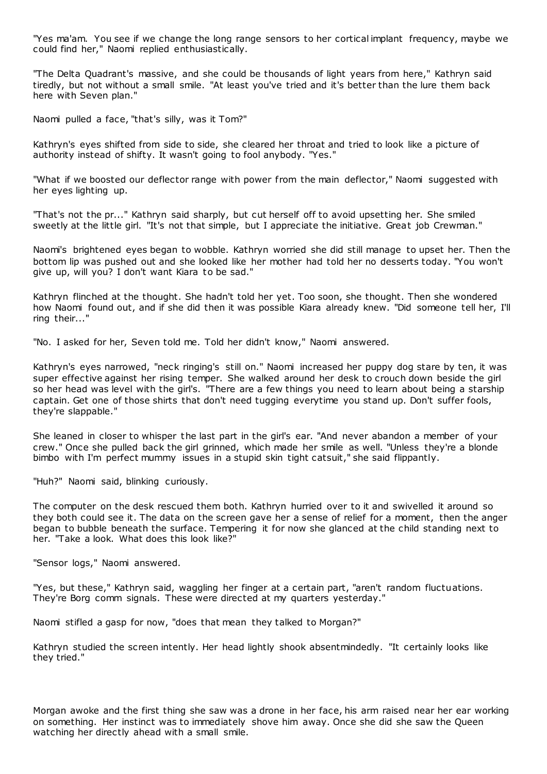"Yes ma'am. You see if we change the long range sensors to her cortical implant frequency, maybe we could find her," Naomi replied enthusiastically.

"The Delta Quadrant's massive, and she could be thousands of light years from here," Kathryn said tiredly, but not without a small smile. "At least you've tried and it's better than the lure them back here with Seven plan."

Naomi pulled a face, "that's silly, was it Tom?"

Kathryn's eyes shifted from side to side, she cleared her throat and tried to look like a picture of authority instead of shifty. It wasn't going to fool anybody. "Yes."

"What if we boosted our deflector range with power from the main deflector," Naomi suggested with her eyes lighting up.

"That's not the pr..." Kathryn said sharply, but cut herself off to avoid upsetting her. She smiled sweetly at the little girl. "It's not that simple, but I appreciate the initiative. Great job Crewman."

Naomi's brightened eyes began to wobble. Kathryn worried she did still manage to upset her. Then the bottom lip was pushed out and she looked like her mother had told her no desserts today. "You won't give up, will you? I don't want Kiara to be sad."

Kathryn flinched at the thought. She hadn't told her yet. Too soon, she thought. Then she wondered how Naomi found out, and if she did then it was possible Kiara already knew. "Did someone tell her, I'll ring their..."

"No. I asked for her, Seven told me. Told her didn't know," Naomi answered.

Kathryn's eyes narrowed, "neck ringing's still on." Naomi increased her puppy dog stare by ten, it was super effective against her rising temper. She walked around her desk to crouch down beside the girl so her head was level with the girl's. "There are a few things you need to learn about being a starship captain. Get one of those shirts that don't need tugging everytime you stand up. Don't suffer fools, they're slappable."

She leaned in closer to whisper the last part in the girl's ear. "And never abandon a member of your crew." Once she pulled back the girl grinned, which made her smile as well. "Unless they're a blonde bimbo with I'm perfect mummy issues in a stupid skin tight catsuit," she said flippantly.

"Huh?" Naomi said, blinking curiously.

The computer on the desk rescued them both. Kathryn hurried over to it and swivelled it around so they both could see it. The data on the screen gave her a sense of relief for a moment, then the anger began to bubble beneath the surface. Tempering it for now she glanced at the child standing next to her. "Take a look. What does this look like?"

"Sensor logs," Naomi answered.

"Yes, but these," Kathryn said, waggling her finger at a certain part, "aren't random fluctuations. They're Borg comm signals. These were directed at my quarters yesterday."

Naomi stifled a gasp for now, "does that mean they talked to Morgan?"

Kathryn studied the screen intently. Her head lightly shook absentmindedly. "It certainly looks like they tried."

Morgan awoke and the first thing she saw was a drone in her face, his arm raised near her ear working on something. Her instinct was to immediately shove him away. Once she did she saw the Queen watching her directly ahead with a small smile.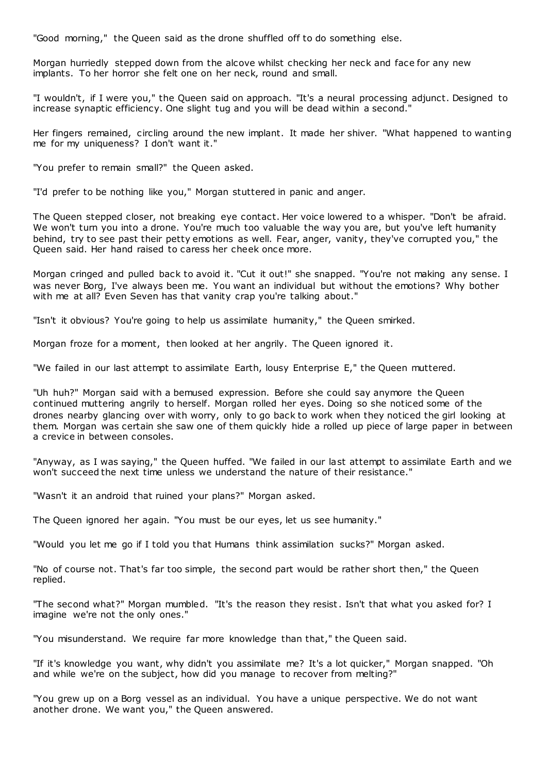"Good morning," the Queen said as the drone shuffled off to do something else.

Morgan hurriedly stepped down from the alcove whilst checking her neck and face for any new implants. To her horror she felt one on her neck, round and small.

"I wouldn't, if I were you," the Queen said on approach. "It's a neural processing adjunct. Designed to increase synaptic efficiency. One slight tug and you will be dead within a second."

Her fingers remained, circling around the new implant. It made her shiver. "What happened to wanting me for my uniqueness? I don't want it."

"You prefer to remain small?" the Queen asked.

"I'd prefer to be nothing like you," Morgan stuttered in panic and anger.

The Queen stepped closer, not breaking eye contact. Her voice lowered to a whisper. "Don't be afraid. We won't turn you into a drone. You're much too valuable the way you are, but you've left humanity behind, try to see past their petty emotions as well. Fear, anger, vanity, they've corrupted you," the Queen said. Her hand raised to caress her cheek once more.

Morgan cringed and pulled back to avoid it. "Cut it out!" she snapped. "You're not making any sense. I was never Borg, I've always been me. You want an individual but without the emotions? Why bother with me at all? Even Seven has that vanity crap you're talking about."

"Isn't it obvious? You're going to help us assimilate humanity," the Queen smirked.

Morgan froze for a moment, then looked at her angrily. The Queen ignored it.

"We failed in our last attempt to assimilate Earth, lousy Enterprise E," the Queen muttered.

"Uh huh?" Morgan said with a bemused expression. Before she could say anymore the Queen continued muttering angrily to herself. Morgan rolled her eyes. Doing so she noticed some of the drones nearby glancing over with worry, only to go back to work when they noticed the girl looking at them. Morgan was certain she saw one of them quickly hide a rolled up piece of large paper in between a crevice in between consoles.

"Anyway, as I was saying," the Queen huffed. "We failed in our last attempt to assimilate Earth and we won't succeed the next time unless we understand the nature of their resistance."

"Wasn't it an android that ruined your plans?" Morgan asked.

The Queen ignored her again. "You must be our eyes, let us see humanity."

"Would you let me go if I told you that Humans think assimilation sucks?" Morgan asked.

"No of course not. That's far too simple, the second part would be rather short then," the Queen replied.

"The second what?" Morgan mumbled. "It's the reason they resist. Isn't that what you asked for? I imagine we're not the only ones."

"You misunderstand. We require far more knowledge than that," the Queen said.

"If it's knowledge you want, why didn't you assimilate me? It's a lot quicker," Morgan snapped. "Oh and while we're on the subject, how did you manage to recover from melting?"

"You grew up on a Borg vessel as an individual. You have a unique perspective. We do not want another drone. We want you," the Queen answered.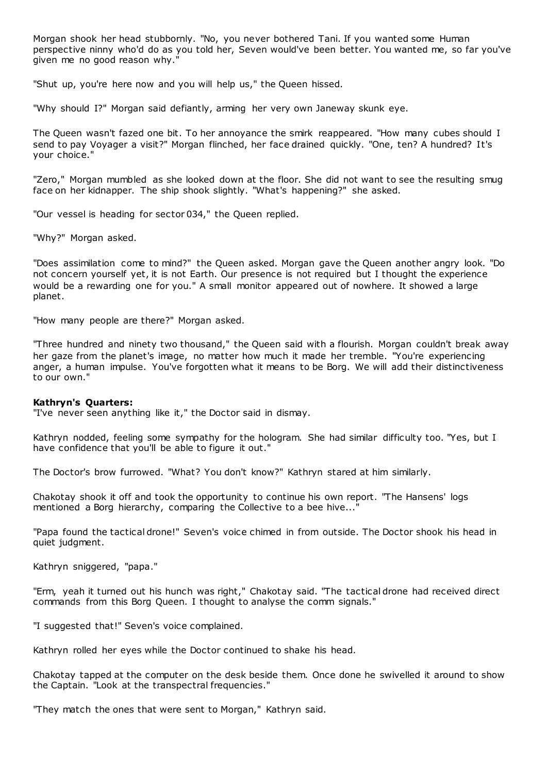Morgan shook her head stubbornly. "No, you never bothered Tani. If you wanted some Human perspective ninny who'd do as you told her, Seven would've been better. You wanted me, so far you've given me no good reason why."

"Shut up, you're here now and you will help us," the Queen hissed.

"Why should I?" Morgan said defiantly, arming her very own Janeway skunk eye.

The Queen wasn't fazed one bit. To her annoyance the smirk reappeared. "How many cubes should I send to pay Voyager a visit?" Morgan flinched, her face drained quickly. "One, ten? A hundred? It's your choice."

"Zero," Morgan mumbled as she looked down at the floor. She did not want to see the resulting smug face on her kidnapper. The ship shook slightly. "What's happening?" she asked.

"Our vessel is heading for sector 034," the Queen replied.

"Why?" Morgan asked.

"Does assimilation come to mind?" the Queen asked. Morgan gave the Queen another angry look. "Do not concern yourself yet, it is not Earth. Our presence is not required but I thought the experience would be a rewarding one for you." A small monitor appeared out of nowhere. It showed a large planet.

"How many people are there?" Morgan asked.

"Three hundred and ninety two thousand," the Queen said with a flourish. Morgan couldn't break away her gaze from the planet's image, no matter how much it made her tremble. "You're experiencing anger, a human impulse. You've forgotten what it means to be Borg. We will add their distinctiveness to our own."

#### **Kathryn's Quarters:**

"I've never seen anything like it," the Doctor said in dismay.

Kathryn nodded, feeling some sympathy for the hologram. She had similar difficulty too. "Yes, but I have confidence that you'll be able to figure it out."

The Doctor's brow furrowed. "What? You don't know?" Kathryn stared at him similarly.

Chakotay shook it off and took the opportunity to continue his own report. "The Hansens' logs mentioned a Borg hierarchy, comparing the Collective to a bee hive..."

"Papa found the tactical drone!" Seven's voice chimed in from outside. The Doctor shook his head in quiet judgment.

Kathryn sniggered, "papa."

"Erm, yeah it turned out his hunch was right," Chakotay said. "The tactical drone had received direct commands from this Borg Queen. I thought to analyse the comm signals."

"I suggested that!" Seven's voice complained.

Kathryn rolled her eyes while the Doctor continued to shake his head.

Chakotay tapped at the computer on the desk beside them. Once done he swivelled it around to show the Captain. "Look at the transpectral frequencies."

"They match the ones that were sent to Morgan," Kathryn said.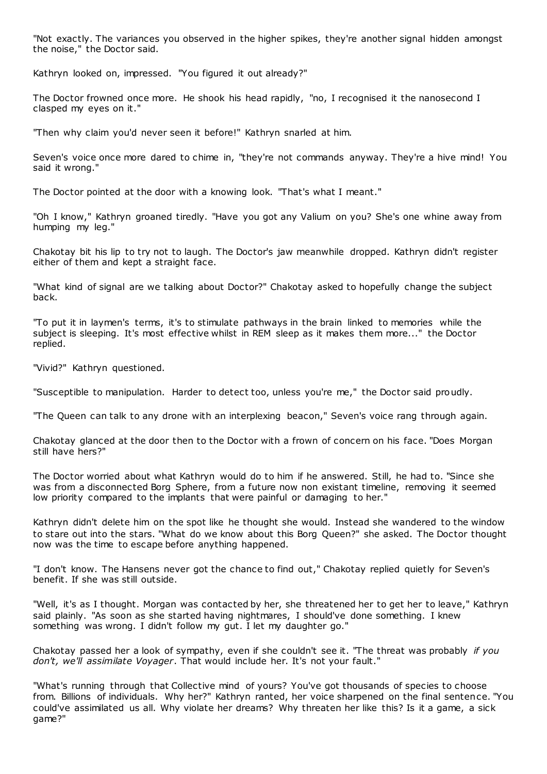"Not exactly. The variances you observed in the higher spikes, they're another signal hidden amongst the noise," the Doctor said.

Kathryn looked on, impressed. "You figured it out already?"

The Doctor frowned once more. He shook his head rapidly, "no, I recognised it the nanosecond I clasped my eyes on it."

"Then why claim you'd never seen it before!" Kathryn snarled at him.

Seven's voice once more dared to chime in, "they're not commands anyway. They're a hive mind! You said it wrong."

The Doctor pointed at the door with a knowing look. "That's what I meant."

"Oh I know," Kathryn groaned tiredly. "Have you got any Valium on you? She's one whine away from humping my leg."

Chakotay bit his lip to try not to laugh. The Doctor's jaw meanwhile dropped. Kathryn didn't register either of them and kept a straight face.

"What kind of signal are we talking about Doctor?" Chakotay asked to hopefully change the subject back.

"To put it in laymen's terms, it's to stimulate pathways in the brain linked to memories while the subject is sleeping. It's most effective whilst in REM sleep as it makes them more..." the Doctor replied.

"Vivid?" Kathryn questioned.

"Susceptible to manipulation. Harder to detect too, unless you're me," the Doctor said proudly.

"The Queen can talk to any drone with an interplexing beacon," Seven's voice rang through again.

Chakotay glanced at the door then to the Doctor with a frown of concern on his face. "Does Morgan still have hers?"

The Doctor worried about what Kathryn would do to him if he answered. Still, he had to. "Since she was from a disconnected Borg Sphere, from a future now non existant timeline, removing it seemed low priority compared to the implants that were painful or damaging to her."

Kathryn didn't delete him on the spot like he thought she would. Instead she wandered to the window to stare out into the stars. "What do we know about this Borg Queen?" she asked. The Doctor thought now was the time to escape before anything happened.

"I don't know. The Hansens never got the chance to find out," Chakotay replied quietly for Seven's benefit. If she was still outside.

"Well, it's as I thought. Morgan was contacted by her, she threatened her to get her to leave," Kathryn said plainly. "As soon as she started having nightmares, I should've done something. I knew something was wrong. I didn't follow my gut. I let my daughter go."

Chakotay passed her a look of sympathy, even if she couldn't see it. "The threat was probably *if you don't, we'll assimilate Voyager*. That would include her. It's not your fault."

"What's running through that Collective mind of yours? You've got thousands of species to choose from. Billions of individuals. Why her?" Kathryn ranted, her voice sharpened on the final sentence. "You could've assimilated us all. Why violate her dreams? Why threaten her like this? Is it a game, a sick game?"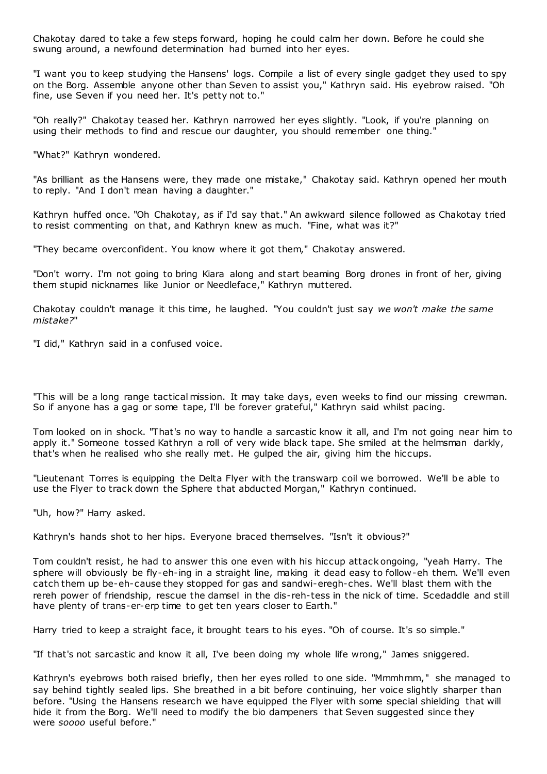Chakotay dared to take a few steps forward, hoping he could calm her down. Before he could she swung around, a newfound determination had burned into her eyes.

"I want you to keep studying the Hansens' logs. Compile a list of every single gadget they used to spy on the Borg. Assemble anyone other than Seven to assist you," Kathryn said. His eyebrow raised. "Oh fine, use Seven if you need her. It's petty not to."

"Oh really?" Chakotay teased her. Kathryn narrowed her eyes slightly. "Look, if you're planning on using their methods to find and rescue our daughter, you should remember one thing."

"What?" Kathryn wondered.

"As brilliant as the Hansens were, they made one mistake," Chakotay said. Kathryn opened her mouth to reply. "And I don't mean having a daughter."

Kathryn huffed once. "Oh Chakotay, as if I'd say that." An awkward silence followed as Chakotay tried to resist commenting on that, and Kathryn knew as much. "Fine, what was it?"

"They became overconfident. You know where it got them," Chakotay answered.

"Don't worry. I'm not going to bring Kiara along and start beaming Borg drones in front of her, giving them stupid nicknames like Junior or Needleface," Kathryn muttered.

Chakotay couldn't manage it this time, he laughed. "You couldn't just say *we won't make the same mistake?*"

"I did," Kathryn said in a confused voice.

"This will be a long range tactical mission. It may take days, even weeks to find our missing crewman. So if anyone has a gag or some tape, I'll be forever grateful," Kathryn said whilst pacing.

Tom looked on in shock. "That's no way to handle a sarcastic know it all, and I'm not going near him to apply it." Someone tossed Kathryn a roll of very wide black tape. She smiled at the helmsman darkly, that's when he realised who she really met. He gulped the air, giving him the hiccups.

"Lieutenant Torres is equipping the Delta Flyer with the transwarp coil we borrowed. We'll be able to use the Flyer to track down the Sphere that abducted Morgan," Kathryn continued.

"Uh, how?" Harry asked.

Kathryn's hands shot to her hips. Everyone braced themselves. "Isn't it obvious?"

Tom couldn't resist, he had to answer this one even with his hiccup attack ongoing, "yeah Harry. The sphere will obviously be fly-eh-ing in a straight line, making it dead easy to follow-eh them. We'll even catch them up be-eh-cause they stopped for gas and sandwi-eregh-ches. We'll blast them with the rereh power of friendship, rescue the damsel in the dis-reh-tess in the nick of time. Scedaddle and still have plenty of trans-er-erp time to get ten years closer to Earth."

Harry tried to keep a straight face, it brought tears to his eyes. "Oh of course. It's so simple."

"If that's not sarcastic and know it all, I've been doing my whole life wrong," James sniggered.

Kathryn's eyebrows both raised briefly, then her eyes rolled to one side. "Mmmhmm," she managed to say behind tightly sealed lips. She breathed in a bit before continuing, her voice slightly sharper than before. "Using the Hansens research we have equipped the Flyer with some special shielding that will hide it from the Borg. We'll need to modify the bio dampeners that Seven suggested since they were *soooo* useful before."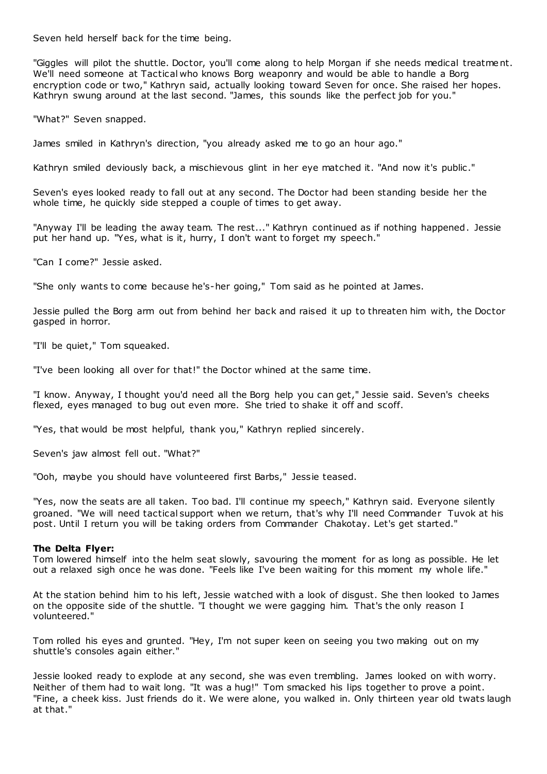Seven held herself back for the time being.

"Giggles will pilot the shuttle. Doctor, you'll come along to help Morgan if she needs medical treatment. We'll need someone at Tactical who knows Borg weaponry and would be able to handle a Borg encryption code or two," Kathryn said, actually looking toward Seven for once. She raised her hopes. Kathryn swung around at the last second. "James, this sounds like the perfect job for you."

"What?" Seven snapped.

James smiled in Kathryn's direction, "you already asked me to go an hour ago."

Kathryn smiled deviously back, a mischievous glint in her eye matched it. "And now it's public."

Seven's eyes looked ready to fall out at any second. The Doctor had been standing beside her the whole time, he quickly side stepped a couple of times to get away.

"Anyway I'll be leading the away team. The rest..." Kathryn continued as if nothing happened. Jessie put her hand up. "Yes, what is it, hurry, I don't want to forget my speech."

"Can I come?" Jessie asked.

"She only wants to come because he's-her going," Tom said as he pointed at James.

Jessie pulled the Borg arm out from behind her back and raised it up to threaten him with, the Doctor gasped in horror.

"I'll be quiet," Tom squeaked.

"I've been looking all over for that!" the Doctor whined at the same time.

"I know. Anyway, I thought you'd need all the Borg help you can get," Jessie said. Seven's cheeks flexed, eyes managed to bug out even more. She tried to shake it off and scoff.

"Yes, that would be most helpful, thank you," Kathryn replied sincerely.

Seven's jaw almost fell out. "What?"

"Ooh, maybe you should have volunteered first Barbs," Jessie teased.

"Yes, now the seats are all taken. Too bad. I'll continue my speech," Kathryn said. Everyone silently groaned. "We will need tactical support when we return, that's why I'll need Commander Tuvok at his post. Until I return you will be taking orders from Commander Chakotay. Let's get started."

## **The Delta Flyer:**

Tom lowered himself into the helm seat slowly, savouring the moment for as long as possible. He let out a relaxed sigh once he was done. "Feels like I've been waiting for this moment my whole life."

At the station behind him to his left, Jessie watched with a look of disgust. She then looked to James on the opposite side of the shuttle. "I thought we were gagging him. That's the only reason I volunteered."

Tom rolled his eyes and grunted. "Hey, I'm not super keen on seeing you two making out on my shuttle's consoles again either."

Jessie looked ready to explode at any second, she was even trembling. James looked on with worry. Neither of them had to wait long. "It was a hug!" Tom smacked his lips together to prove a point. "Fine, a cheek kiss. Just friends do it. We were alone, you walked in. Only thirteen year old twats laugh at that."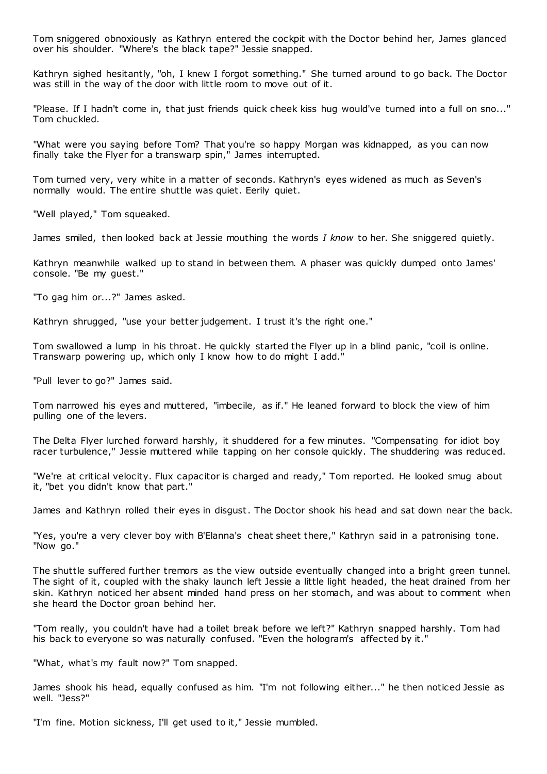Tom sniggered obnoxiously as Kathryn entered the cockpit with the Doctor behind her, James glanced over his shoulder. "Where's the black tape?" Jessie snapped.

Kathryn sighed hesitantly, "oh, I knew I forgot something." She turned around to go back. The Doctor was still in the way of the door with little room to move out of it.

"Please. If I hadn't come in, that just friends quick cheek kiss hug would've turned into a full on sno..." Tom chuckled.

"What were you saying before Tom? That you're so happy Morgan was kidnapped, as you can now finally take the Flyer for a transwarp spin," James interrupted.

Tom turned very, very white in a matter of seconds. Kathryn's eyes widened as much as Seven's normally would. The entire shuttle was quiet. Eerily quiet.

"Well played," Tom squeaked.

James smiled, then looked back at Jessie mouthing the words *I know* to her. She sniggered quietly.

Kathryn meanwhile walked up to stand in between them. A phaser was quickly dumped onto James' console. "Be my guest."

"To gag him or...?" James asked.

Kathryn shrugged, "use your better judgement. I trust it's the right one."

Tom swallowed a lump in his throat. He quickly started the Flyer up in a blind panic, "coil is online. Transwarp powering up, which only I know how to do might I add."

"Pull lever to go?" James said.

Tom narrowed his eyes and muttered, "imbecile, as if." He leaned forward to block the view of him pulling one of the levers.

The Delta Flyer lurched forward harshly, it shuddered for a few minutes. "Compensating for idiot boy racer turbulence," Jessie muttered while tapping on her console quickly. The shuddering was reduced.

"We're at critical velocity. Flux capacitor is charged and ready," Tom reported. He looked smug about it, "bet you didn't know that part."

James and Kathryn rolled their eyes in disgust. The Doctor shook his head and sat down near the back.

"Yes, you're a very clever boy with B'Elanna's cheat sheet there," Kathryn said in a patronising tone. "Now go."

The shuttle suffered further tremors as the view outside eventually changed into a bright green tunnel. The sight of it, coupled with the shaky launch left Jessie a little light headed, the heat drained from her skin. Kathryn noticed her absent minded hand press on her stomach, and was about to comment when she heard the Doctor groan behind her.

"Tom really, you couldn't have had a toilet break before we left?" Kathryn snapped harshly. Tom had his back to everyone so was naturally confused. "Even the hologram's affected by it."

"What, what's my fault now?" Tom snapped.

James shook his head, equally confused as him. "I'm not following either..." he then noticed Jessie as well. "Jess?"

"I'm fine. Motion sickness, I'll get used to it," Jessie mumbled.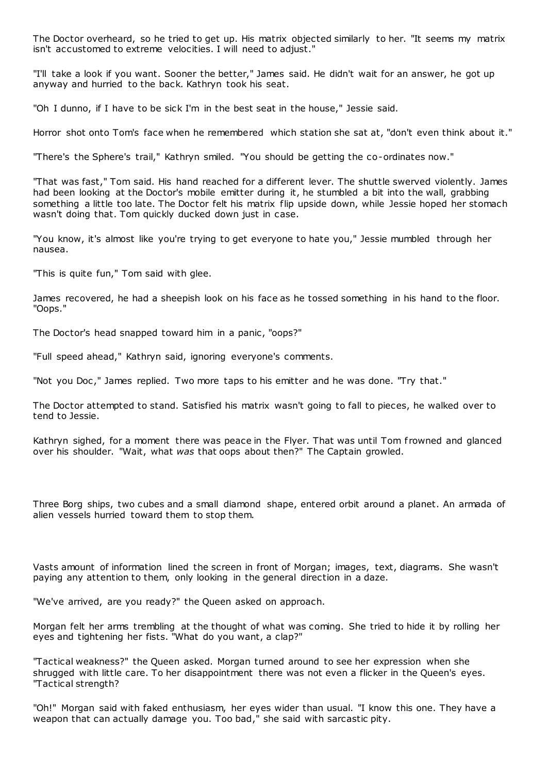The Doctor overheard, so he tried to get up. His matrix objected similarly to her. "It seems my matrix isn't accustomed to extreme velocities. I will need to adjust."

"I'll take a look if you want. Sooner the better," James said. He didn't wait for an answer, he got up anyway and hurried to the back. Kathryn took his seat.

"Oh I dunno, if I have to be sick I'm in the best seat in the house," Jessie said.

Horror shot onto Tom's face when he remembered which station she sat at, "don't even think about it."

"There's the Sphere's trail," Kathryn smiled. "You should be getting the co-ordinates now."

"That was fast," Tom said. His hand reached for a different lever. The shuttle swerved violently. James had been looking at the Doctor's mobile emitter during it, he stumbled a bit into the wall, grabbing something a little too late. The Doctor felt his matrix flip upside down, while Jessie hoped her stomach wasn't doing that. Tom quickly ducked down just in case.

"You know, it's almost like you're trying to get everyone to hate you," Jessie mumbled through her nausea.

"This is quite fun," Tom said with glee.

James recovered, he had a sheepish look on his face as he tossed something in his hand to the floor. "Oops."

The Doctor's head snapped toward him in a panic , "oops?"

"Full speed ahead," Kathryn said, ignoring everyone's comments.

"Not you Doc ," James replied. Two more taps to his emitter and he was done. "Try that."

The Doctor attempted to stand. Satisfied his matrix wasn't going to fall to pieces, he walked over to tend to Jessie.

Kathryn sighed, for a moment there was peace in the Flyer. That was until Tom frowned and glanced over his shoulder. "Wait, what *was* that oops about then?" The Captain growled.

Three Borg ships, two cubes and a small diamond shape, entered orbit around a planet. An armada of alien vessels hurried toward them to stop them.

Vasts amount of information lined the screen in front of Morgan; images, text, diagrams. She wasn't paying any attention to them, only looking in the general direction in a daze.

"We've arrived, are you ready?" the Queen asked on approach.

Morgan felt her arms trembling at the thought of what was coming. She tried to hide it by rolling her eyes and tightening her fists. "What do you want, a clap?"

"Tactical weakness?" the Queen asked. Morgan turned around to see her expression when she shrugged with little care. To her disappointment there was not even a flicker in the Queen's eyes. "Tactical strength?

"Oh!" Morgan said with faked enthusiasm, her eyes wider than usual. "I know this one. They have a weapon that can actually damage you. Too bad," she said with sarcastic pity.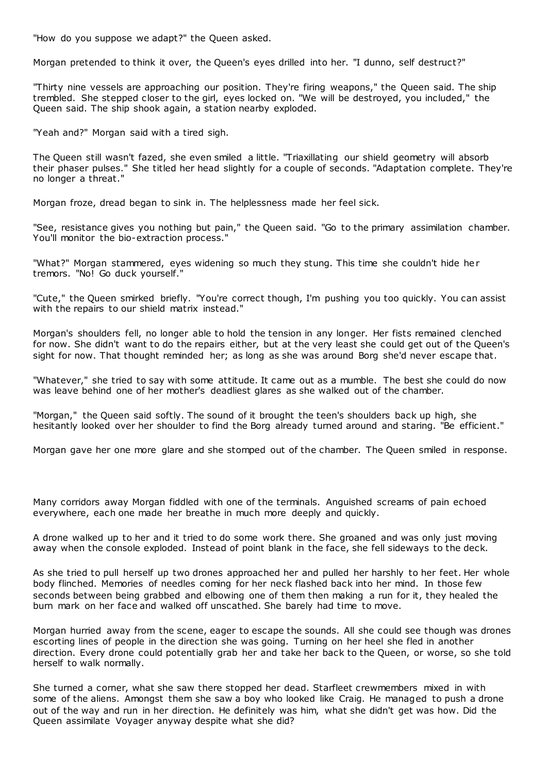"How do you suppose we adapt?" the Queen asked.

Morgan pretended to think it over, the Queen's eyes drilled into her. "I dunno, self destruct?"

"Thirty nine vessels are approaching our position. They're firing weapons," the Queen said. The ship trembled. She stepped closer to the girl, eyes locked on. "We will be destroyed, you included," the Queen said. The ship shook again, a station nearby exploded.

"Yeah and?" Morgan said with a tired sigh.

The Queen still wasn't fazed, she even smiled a little. "Triaxillating our shield geometry will absorb their phaser pulses." She titled her head slightly for a couple of seconds. "Adaptation complete. They're no longer a threat."

Morgan froze, dread began to sink in. The helplessness made her feel sick.

"See, resistance gives you nothing but pain," the Queen said. "Go to the primary assimilation chamber. You'll monitor the bio-extraction process."

"What?" Morgan stammered, eyes widening so much they stung. This time she couldn't hide her tremors. "No! Go duck yourself."

"Cute," the Queen smirked briefly. "You're correct though, I'm pushing you too quickly. You can assist with the repairs to our shield matrix instead."

Morgan's shoulders fell, no longer able to hold the tension in any longer. Her fists remained clenched for now. She didn't want to do the repairs either, but at the very least she could get out of the Queen's sight for now. That thought reminded her; as long as she was around Borg she'd never escape that.

"Whatever," she tried to say with some attitude. It came out as a mumble. The best she could do now was leave behind one of her mother's deadliest glares as she walked out of the chamber.

"Morgan," the Queen said softly. The sound of it brought the teen's shoulders back up high, she hesitantly looked over her shoulder to find the Borg already turned around and staring. "Be efficient."

Morgan gave her one more glare and she stomped out of the chamber. The Queen smiled in response.

Many corridors away Morgan fiddled with one of the terminals. Anguished screams of pain echoed everywhere, each one made her breathe in much more deeply and quickly.

A drone walked up to her and it tried to do some work there. She groaned and was only just moving away when the console exploded. Instead of point blank in the face, she fell sideways to the deck.

As she tried to pull herself up two drones approached her and pulled her harshly to her feet. Her whole body flinched. Memories of needles coming for her neck flashed back into her mind. In those few seconds between being grabbed and elbowing one of them then making a run for it, they healed the burn mark on her face and walked off unscathed. She barely had time to move.

Morgan hurried away from the scene, eager to escape the sounds. All she could see though was drones escorting lines of people in the direction she was going. Turning on her heel she fled in another direction. Every drone could potentially grab her and take her back to the Queen, or worse, so she told herself to walk normally.

She turned a corner, what she saw there stopped her dead. Starfleet crewmembers mixed in with some of the aliens. Amongst them she saw a boy who looked like Craig. He managed to push a drone out of the way and run in her direction. He definitely was him, what she didn't get was how. Did the Queen assimilate Voyager anyway despite what she did?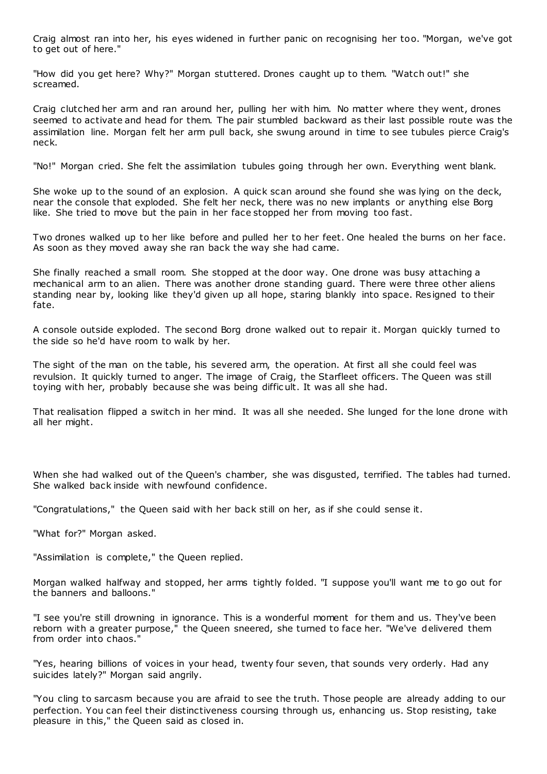Craig almost ran into her, his eyes widened in further panic on recognising her too. "Morgan, we've got to get out of here."

"How did you get here? Why?" Morgan stuttered. Drones caught up to them. "Watch out!" she screamed.

Craig clutched her arm and ran around her, pulling her with him. No matter where they went, drones seemed to activate and head for them. The pair stumbled backward as their last possible route was the assimilation line. Morgan felt her arm pull back, she swung around in time to see tubules pierce Craig's neck.

"No!" Morgan cried. She felt the assimilation tubules going through her own. Everything went blank.

She woke up to the sound of an explosion. A quick scan around she found she was lying on the deck, near the console that exploded. She felt her neck, there was no new implants or anything else Borg like. She tried to move but the pain in her face stopped her from moving too fast.

Two drones walked up to her like before and pulled her to her feet. One healed the burns on her face. As soon as they moved away she ran back the way she had came.

She finally reached a small room. She stopped at the door way. One drone was busy attaching a mechanical arm to an alien. There was another drone standing guard. There were three other aliens standing near by, looking like they'd given up all hope, staring blankly into space. Resigned to their fate.

A console outside exploded. The second Borg drone walked out to repair it. Morgan quickly turned to the side so he'd have room to walk by her.

The sight of the man on the table, his severed arm, the operation. At first all she could feel was revulsion. It quickly turned to anger. The image of Craig, the Starfleet officers. The Queen was still toying with her, probably because she was being diffic ult. It was all she had.

That realisation flipped a switch in her mind. It was all she needed. She lunged for the lone drone with all her might.

When she had walked out of the Queen's chamber, she was disgusted, terrified. The tables had turned. She walked back inside with newfound confidence.

"Congratulations," the Queen said with her back still on her, as if she could sense it.

"What for?" Morgan asked.

"Assimilation is complete," the Queen replied.

Morgan walked halfway and stopped, her arms tightly folded. "I suppose you'll want me to go out for the banners and balloons."

"I see you're still drowning in ignorance. This is a wonderful moment for them and us. They've been reborn with a greater purpose," the Queen sneered, she turned to face her. "We've delivered them from order into chaos."

"Yes, hearing billions of voices in your head, twenty four seven, that sounds very orderly. Had any suicides lately?" Morgan said angrily.

"You cling to sarcasm because you are afraid to see the truth. Those people are already adding to our perfection. You can feel their distinctiveness coursing through us, enhancing us. Stop resisting, take pleasure in this," the Queen said as closed in.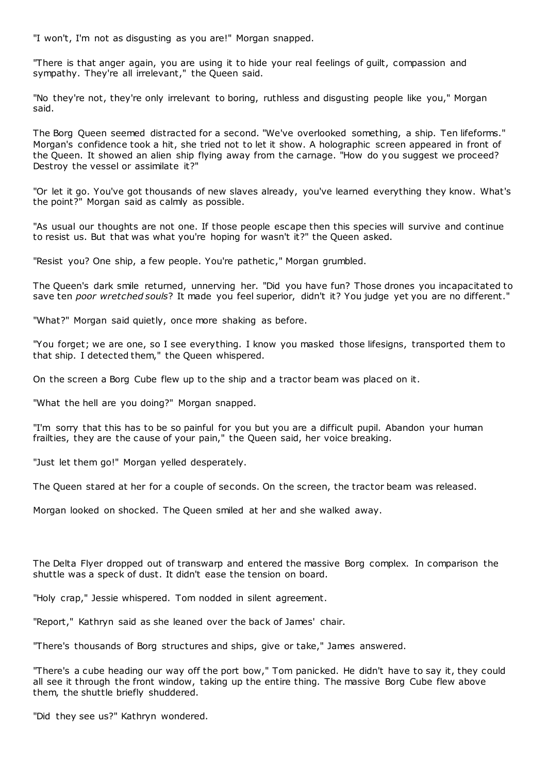"I won't, I'm not as disgusting as you are!" Morgan snapped.

"There is that anger again, you are using it to hide your real feelings of guilt, compassion and sympathy. They're all irrelevant," the Queen said.

"No they're not, they're only irrelevant to boring, ruthless and disgusting people like you," Morgan said.

The Borg Queen seemed distracted for a second. "We've overlooked something, a ship. Ten lifeforms." Morgan's confidence took a hit, she tried not to let it show. A holographic screen appeared in front of the Queen. It showed an alien ship flying away from the carnage. "How do you suggest we proceed? Destroy the vessel or assimilate it?"

"Or let it go. You've got thousands of new slaves already, you've learned everything they know. What's the point?" Morgan said as calmly as possible.

"As usual our thoughts are not one. If those people escape then this species will survive and continue to resist us. But that was what you're hoping for wasn't it?" the Queen asked.

"Resist you? One ship, a few people. You're pathetic ," Morgan grumbled.

The Queen's dark smile returned, unnerving her. "Did you have fun? Those drones you incapacitated to save ten *poor wretched souls*? It made you feel superior, didn't it? You judge yet you are no different."

"What?" Morgan said quietly, once more shaking as before.

"You forget; we are one, so I see everything. I know you masked those lifesigns, transported them to that ship. I detected them," the Queen whispered.

On the screen a Borg Cube flew up to the ship and a tractor beam was placed on it.

"What the hell are you doing?" Morgan snapped.

"I'm sorry that this has to be so painful for you but you are a difficult pupil. Abandon your human frailties, they are the cause of your pain," the Queen said, her voice breaking.

"Just let them go!" Morgan yelled desperately.

The Queen stared at her for a couple of seconds. On the screen, the tractor beam was released.

Morgan looked on shocked. The Queen smiled at her and she walked away.

The Delta Flyer dropped out of transwarp and entered the massive Borg complex. In comparison the shuttle was a speck of dust. It didn't ease the tension on board.

"Holy crap," Jessie whispered. Tom nodded in silent agreement.

"Report," Kathryn said as she leaned over the back of James' chair.

"There's thousands of Borg structures and ships, give or take," James answered.

"There's a cube heading our way off the port bow," Tom panicked. He didn't have to say it, they could all see it through the front window, taking up the entire thing. The massive Borg Cube flew above them, the shuttle briefly shuddered.

"Did they see us?" Kathryn wondered.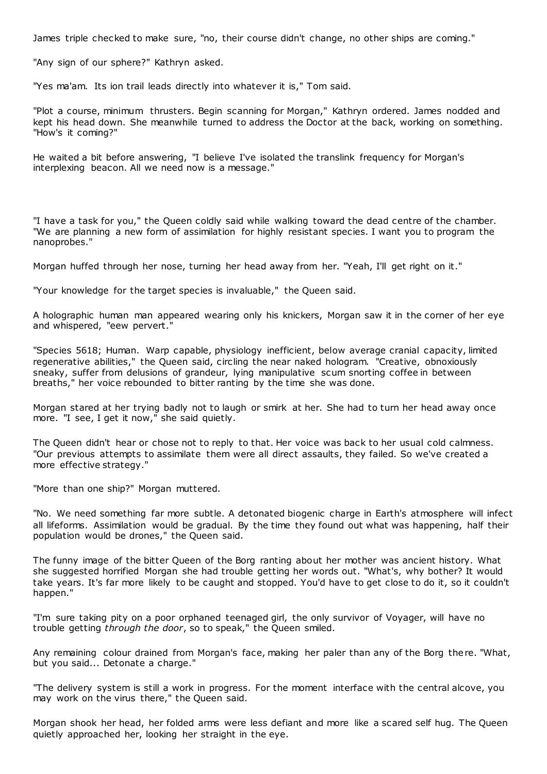James triple checked to make sure, "no, their course didn't change, no other ships are coming."

"Any sign of our sphere?" Kathryn asked.

"Yes ma'am. Its ion trail leads directly into whatever it is," Tom said.

"Plot a course, minimum thrusters. Begin scanning for Morgan," Kathryn ordered. James nodded and kept his head down. She meanwhile turned to address the Doctor at the back, working on something. "How's it coming?"

He waited a bit before answering, "I believe I've isolated the translink frequency for Morgan's interplexing beacon. All we need now is a message."

"I have a task for you," the Queen coldly said while walking toward the dead centre of the chamber. "We are planning a new form of assimilation for highly resistant species. I want you to program the nanoprobes."

Morgan huffed through her nose, turning her head away from her. "Yeah, I'll get right on it."

"Your knowledge for the target species is invaluable," the Queen said.

A holographic human man appeared wearing only his knickers, Morgan saw it in the corner of her eye and whispered, "eew pervert."

"Species 5618; Human. Warp capable, physiology inefficient, below average cranial capacity, limited regenerative abilities," the Queen said, circling the near naked hologram. "Creative, obnoxiously sneaky, suffer from delusions of grandeur, lying manipulative scum snorting coffee in between breaths," her voice rebounded to bitter ranting by the time she was done.

Morgan stared at her trying badly not to laugh or smirk at her. She had to turn her head away once more. "I see, I get it now," she said quietly.

The Queen didn't hear or chose not to reply to that. Her voice was back to her usual cold calmness. "Our previous attempts to assimilate them were all direct assaults, they failed. So we've created a more effective strategy."

"More than one ship?" Morgan muttered.

"No. We need something far more subtle. A detonated biogenic charge in Earth's atmosphere will infect all lifeforms. Assimilation would be gradual. By the time they found out what was happening, half their population would be drones," the Queen said.

The funny image of the bitter Queen of the Borg ranting about her mother was ancient history. What she suggested horrified Morgan she had trouble getting her words out. "What's, why bother? It would take years. It's far more likely to be caught and stopped. You'd have to get close to do it, so it couldn't happen."

"I'm sure taking pity on a poor orphaned teenaged girl, the only survivor of Voyager, will have no trouble getting *through the door*, so to speak," the Queen smiled.

Any remaining colour drained from Morgan's face, making her paler than any of the Borg there. "What, but you said... Detonate a charge."

"The delivery system is still a work in progress. For the moment interface with the central alcove, you may work on the virus there," the Queen said.

Morgan shook her head, her folded arms were less defiant and more like a scared self hug. The Queen quietly approached her, looking her straight in the eye.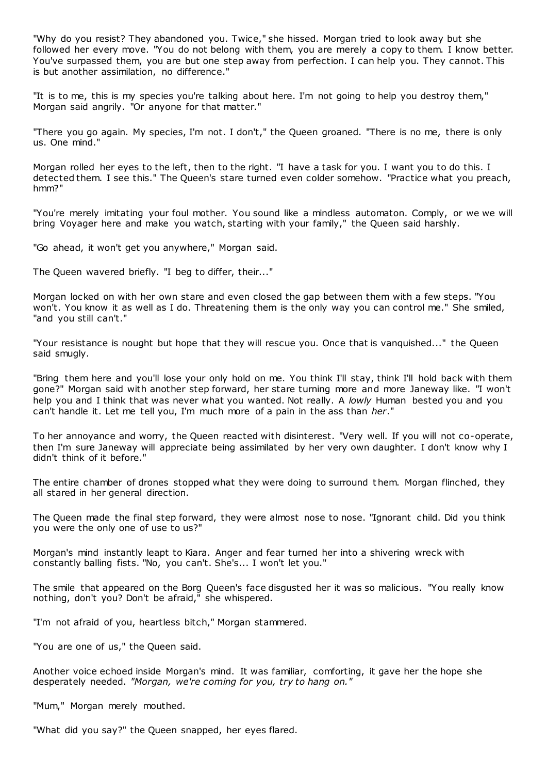"Why do you resist? They abandoned you. Twice," she hissed. Morgan tried to look away but she followed her every move. "You do not belong with them, you are merely a copy to them. I know better. You've surpassed them, you are but one step away from perfection. I can help you. They cannot. This is but another assimilation, no difference."

"It is to me, this is my species you're talking about here. I'm not going to help you destroy them," Morgan said angrily. "Or anyone for that matter."

"There you go again. My species, I'm not. I don't," the Queen groaned. "There is no me, there is only us. One mind."

Morgan rolled her eyes to the left, then to the right. "I have a task for you. I want you to do this. I detected them. I see this." The Queen's stare turned even colder somehow. "Practice what you preach, hmm?"

"You're merely imitating your foul mother. You sound like a mindless automaton. Comply, or we we will bring Voyager here and make you watch, starting with your family," the Queen said harshly.

"Go ahead, it won't get you anywhere," Morgan said.

The Queen wavered briefly. "I beg to differ, their..."

Morgan locked on with her own stare and even closed the gap between them with a few steps. "You won't. You know it as well as I do. Threatening them is the only way you can control me." She smiled, "and you still can't."

"Your resistance is nought but hope that they will rescue you. Once that is vanquished..." the Queen said smugly.

"Bring them here and you'll lose your only hold on me. You think I'll stay, think I'll hold back with them gone?" Morgan said with another step forward, her stare turning more and more Janeway like. "I won't help you and I think that was never what you wanted. Not really. A *lowly* Human bested you and you can't handle it. Let me tell you, I'm much more of a pain in the ass than *her*."

To her annoyance and worry, the Queen reacted with disinterest. "Very well. If you will not co-operate, then I'm sure Janeway will appreciate being assimilated by her very own daughter. I don't know why I didn't think of it before."

The entire chamber of drones stopped what they were doing to surround t hem. Morgan flinched, they all stared in her general direction.

The Queen made the final step forward, they were almost nose to nose. "Ignorant child. Did you think you were the only one of use to us?"

Morgan's mind instantly leapt to Kiara. Anger and fear turned her into a shivering wreck with constantly balling fists. "No, you can't. She's... I won't let you."

The smile that appeared on the Borg Queen's face disgusted her it was so malicious. "You really know nothing, don't you? Don't be afraid," she whispered.

"I'm not afraid of you, heartless bitch," Morgan stammered.

"You are one of us," the Queen said.

Another voice echoed inside Morgan's mind. It was familiar, comforting, it gave her the hope she desperately needed. *"Morgan, we're coming for you, try to hang on."*

"Mum," Morgan merely mouthed.

"What did you say?" the Queen snapped, her eyes flared.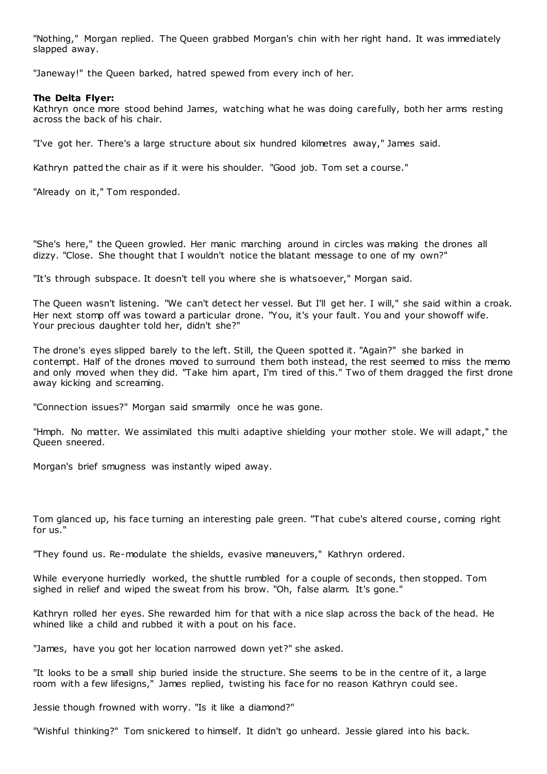"Nothing," Morgan replied. The Queen grabbed Morgan's chin with her right hand. It was immediately slapped away.

"Janeway!" the Queen barked, hatred spewed from every inch of her.

## **The Delta Flyer:**

Kathryn once more stood behind James, watching what he was doing carefully, both her arms resting across the back of his chair.

"I've got her. There's a large structure about six hundred kilometres away," James said.

Kathryn patted the chair as if it were his shoulder. "Good job. Tom set a course."

"Already on it," Tom responded.

"She's here," the Queen growled. Her manic marching around in circles was making the drones all dizzy. "Close. She thought that I wouldn't notice the blatant message to one of my own?"

"It's through subspace. It doesn't tell you where she is whatsoever," Morgan said.

The Queen wasn't listening. "We can't detect her vessel. But I'll get her. I will," she said within a croak. Her next stomp off was toward a particular drone. "You, it's your fault. You and your showoff wife. Your precious daughter told her, didn't she?"

The drone's eyes slipped barely to the left. Still, the Queen spotted it. "Again?" she barked in contempt. Half of the drones moved to surround them both instead, the rest seemed to miss the memo and only moved when they did. "Take him apart, I'm tired of this." Two of them dragged the first drone away kicking and screaming.

"Connection issues?" Morgan said smarmily once he was gone.

"Hmph. No matter. We assimilated this multi adaptive shielding your mother stole. We will adapt," the Queen sneered.

Morgan's brief smugness was instantly wiped away.

Tom glanced up, his face turning an interesting pale green. "That cube's altered course, coming right for us."

"They found us. Re-modulate the shields, evasive maneuvers," Kathryn ordered.

While everyone hurriedly worked, the shuttle rumbled for a couple of seconds, then stopped. Tom sighed in relief and wiped the sweat from his brow. "Oh, false alarm. It's gone."

Kathryn rolled her eyes. She rewarded him for that with a nice slap across the back of the head. He whined like a child and rubbed it with a pout on his face.

"James, have you got her location narrowed down yet?" she asked.

"It looks to be a small ship buried inside the structure. She seems to be in the centre of it, a large room with a few lifesigns," James replied, twisting his face for no reason Kathryn could see.

Jessie though frowned with worry. "Is it like a diamond?"

"Wishful thinking?" Tom snickered to himself. It didn't go unheard. Jessie glared into his back.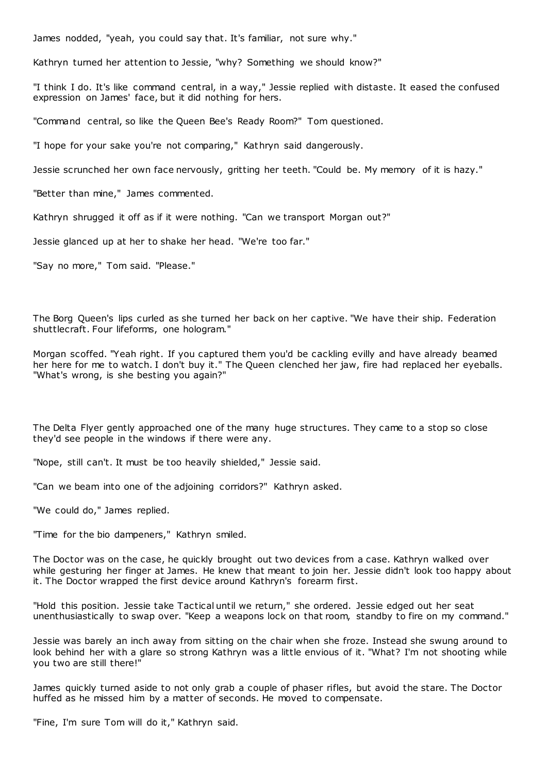James nodded, "yeah, you could say that. It's familiar, not sure why."

Kathryn turned her attention to Jessie, "why? Something we should know?"

"I think I do. It's like command central, in a way," Jessie replied with distaste. It eased the confused expression on James' face, but it did nothing for hers.

"Command central, so like the Queen Bee's Ready Room?" Tom questioned.

"I hope for your sake you're not comparing," Kathryn said dangerously.

Jessie scrunched her own face nervously, gritting her teeth. "Could be. My memory of it is hazy."

"Better than mine," James commented.

Kathryn shrugged it off as if it were nothing. "Can we transport Morgan out?"

Jessie glanced up at her to shake her head. "We're too far."

"Say no more," Tom said. "Please."

The Borg Queen's lips curled as she turned her back on her captive. "We have their ship. Federation shuttlecraft. Four lifeforms, one hologram."

Morgan scoffed. "Yeah right. If you captured them you'd be cackling evilly and have already beamed her here for me to watch. I don't buy it." The Queen clenched her jaw, fire had replaced her eyeballs. "What's wrong, is she besting you again?"

The Delta Flyer gently approached one of the many huge structures. They came to a stop so close they'd see people in the windows if there were any.

"Nope, still can't. It must be too heavily shielded," Jessie said.

"Can we beam into one of the adjoining corridors?" Kathryn asked.

"We could do," James replied.

"Time for the bio dampeners," Kathryn smiled.

The Doctor was on the case, he quickly brought out two devices from a case. Kathryn walked over while gesturing her finger at James. He knew that meant to join her. Jessie didn't look too happy about it. The Doctor wrapped the first device around Kathryn's forearm first.

"Hold this position. Jessie take Tactical until we return," she ordered. Jessie edged out her seat unenthusiastically to swap over. "Keep a weapons lock on that room, standby to fire on my command."

Jessie was barely an inch away from sitting on the chair when she froze. Instead she swung around to look behind her with a glare so strong Kathryn was a little envious of it. "What? I'm not shooting while you two are still there!"

James quickly turned aside to not only grab a couple of phaser rifles, but avoid the stare. The Doctor huffed as he missed him by a matter of seconds. He moved to compensate.

"Fine, I'm sure Tom will do it," Kathryn said.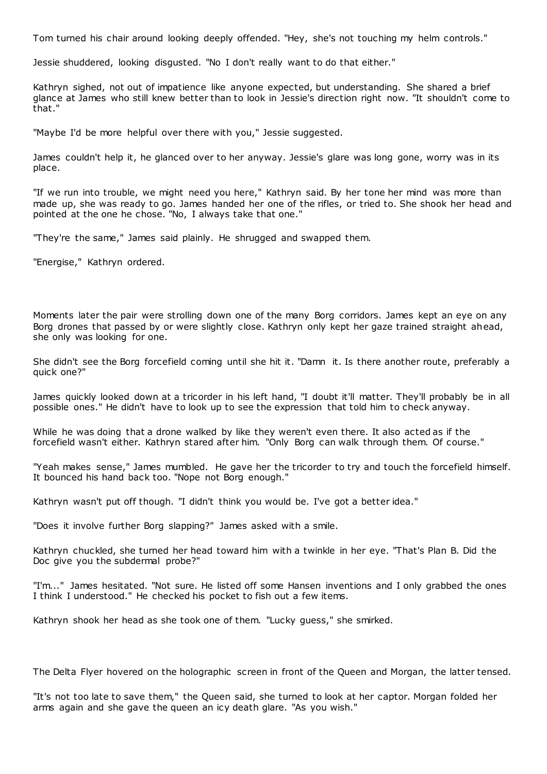Tom turned his chair around looking deeply offended. "Hey, she's not touching my helm controls."

Jessie shuddered, looking disgusted. "No I don't really want to do that either."

Kathryn sighed, not out of impatience like anyone expected, but understanding. She shared a brief glance at James who still knew better than to look in Jessie's direction right now. "It shouldn't come to that."

"Maybe I'd be more helpful over there with you," Jessie suggested.

James couldn't help it, he glanced over to her anyway. Jessie's glare was long gone, worry was in its place.

"If we run into trouble, we might need you here," Kathryn said. By her tone her mind was more than made up, she was ready to go. James handed her one of the rifles, or tried to. She shook her head and pointed at the one he chose. "No, I always take that one."

"They're the same," James said plainly. He shrugged and swapped them.

"Energise," Kathryn ordered.

Moments later the pair were strolling down one of the many Borg corridors. James kept an eye on any Borg drones that passed by or were slightly close. Kathryn only kept her gaze trained straight ahead, she only was looking for one.

She didn't see the Borg forcefield coming until she hit it. "Damn it. Is there another route, preferably a quick one?"

James quickly looked down at a tricorder in his left hand, "I doubt it'll matter. They'll probably be in all possible ones." He didn't have to look up to see the expression that told him to check anyway.

While he was doing that a drone walked by like they weren't even there. It also acted as if the forcefield wasn't either. Kathryn stared after him. "Only Borg can walk through them. Of course."

"Yeah makes sense," James mumbled. He gave her the tricorder to try and touch the forcefield himself. It bounced his hand back too. "Nope not Borg enough."

Kathryn wasn't put off though. "I didn't think you would be. I've got a better idea."

"Does it involve further Borg slapping?" James asked with a smile.

Kathryn chuckled, she turned her head toward him with a twinkle in her eye. "That's Plan B. Did the Doc give you the subdermal probe?"

"I'm..." James hesitated. "Not sure. He listed off some Hansen inventions and I only grabbed the ones I think I understood." He checked his pocket to fish out a few items.

Kathryn shook her head as she took one of them. "Lucky guess," she smirked.

The Delta Flyer hovered on the holographic screen in front of the Queen and Morgan, the latter tensed.

"It's not too late to save them," the Queen said, she turned to look at her captor. Morgan folded her arms again and she gave the queen an icy death glare. "As you wish."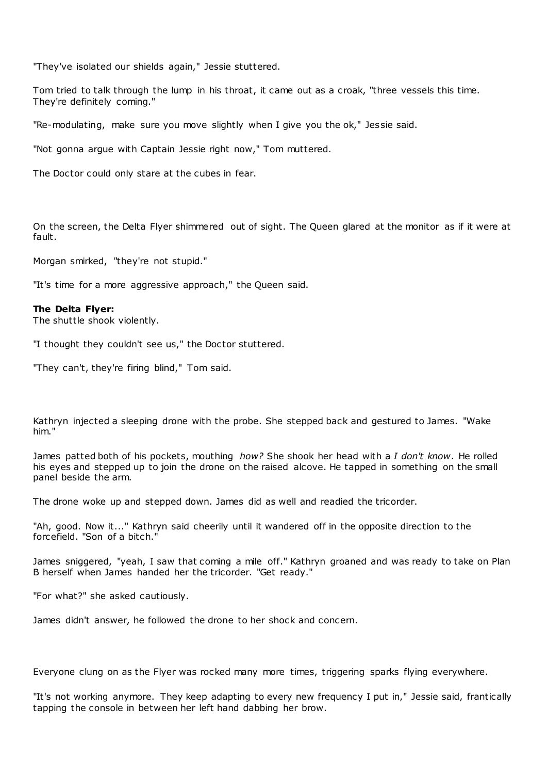"They've isolated our shields again," Jessie stuttered.

Tom tried to talk through the lump in his throat, it came out as a croak, "three vessels this time. They're definitely coming."

"Re-modulating, make sure you move slightly when I give you the ok," Jessie said.

"Not gonna argue with Captain Jessie right now," Tom muttered.

The Doctor could only stare at the cubes in fear.

On the screen, the Delta Flyer shimmered out of sight. The Queen glared at the monitor as if it were at fault.

Morgan smirked, "they're not stupid."

"It's time for a more aggressive approach," the Queen said.

#### **The Delta Flyer:**

The shuttle shook violently.

"I thought they couldn't see us," the Doctor stuttered.

"They can't, they're firing blind," Tom said.

Kathryn injected a sleeping drone with the probe. She stepped back and gestured to James. "Wake him."

James patted both of his pockets, mouthing *how?* She shook her head with a *I don't know*. He rolled his eyes and stepped up to join the drone on the raised alcove. He tapped in something on the small panel beside the arm.

The drone woke up and stepped down. James did as well and readied the tricorder.

"Ah, good. Now it..." Kathryn said cheerily until it wandered off in the opposite direction to the forcefield. "Son of a bitch."

James sniggered, "yeah, I saw that coming a mile off." Kathryn groaned and was ready to take on Plan B herself when James handed her the tricorder. "Get ready."

"For what?" she asked cautiously.

James didn't answer, he followed the drone to her shock and concern.

Everyone clung on as the Flyer was rocked many more times, triggering sparks flying everywhere.

"It's not working anymore. They keep adapting to every new frequency I put in," Jessie said, frantically tapping the console in between her left hand dabbing her brow.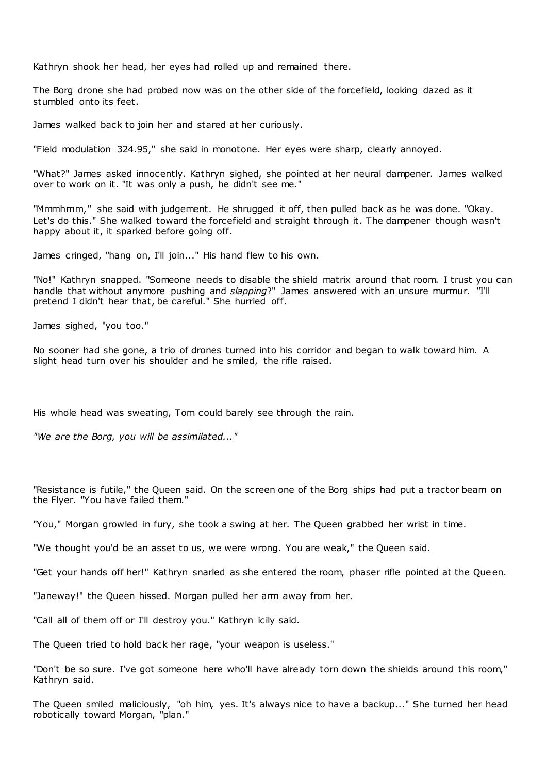Kathryn shook her head, her eyes had rolled up and remained there.

The Borg drone she had probed now was on the other side of the forcefield, looking dazed as it stumbled onto its feet.

James walked back to join her and stared at her curiously.

"Field modulation 324.95," she said in monotone. Her eyes were sharp, clearly annoyed.

"What?" James asked innocently. Kathryn sighed, she pointed at her neural dampener. James walked over to work on it. "It was only a push, he didn't see me."

"Mmmhmm," she said with judgement. He shrugged it off, then pulled back as he was done. "Okay. Let's do this." She walked toward the forcefield and straight through it. The dampener though wasn't happy about it, it sparked before going off.

James cringed, "hang on, I'll join..." His hand flew to his own.

"No!" Kathryn snapped. "Someone needs to disable the shield matrix around that room. I trust you can handle that without anymore pushing and *slapping*?" James answered with an unsure murmur. "I'll pretend I didn't hear that, be careful." She hurried off.

James sighed, "you too."

No sooner had she gone, a trio of drones turned into his corridor and began to walk toward him. A slight head turn over his shoulder and he smiled, the rifle raised.

His whole head was sweating, Tom could barely see through the rain.

*"We are the Borg, you will be assimilated..."*

"Resistance is futile," the Queen said. On the screen one of the Borg ships had put a tractor beam on the Flyer. "You have failed them."

"You," Morgan growled in fury, she took a swing at her. The Queen grabbed her wrist in time.

"We thought you'd be an asset to us, we were wrong. You are weak," the Queen said.

"Get your hands off her!" Kathryn snarled as she entered the room, phaser rifle pointed at the Queen.

"Janeway!" the Queen hissed. Morgan pulled her arm away from her.

"Call all of them off or I'll destroy you." Kathryn icily said.

The Queen tried to hold back her rage, "your weapon is useless."

"Don't be so sure. I've got someone here who'll have already torn down the shields around this room," Kathryn said.

The Queen smiled maliciously, "oh him, yes. It's always nice to have a backup..." She turned her head robotically toward Morgan, "plan."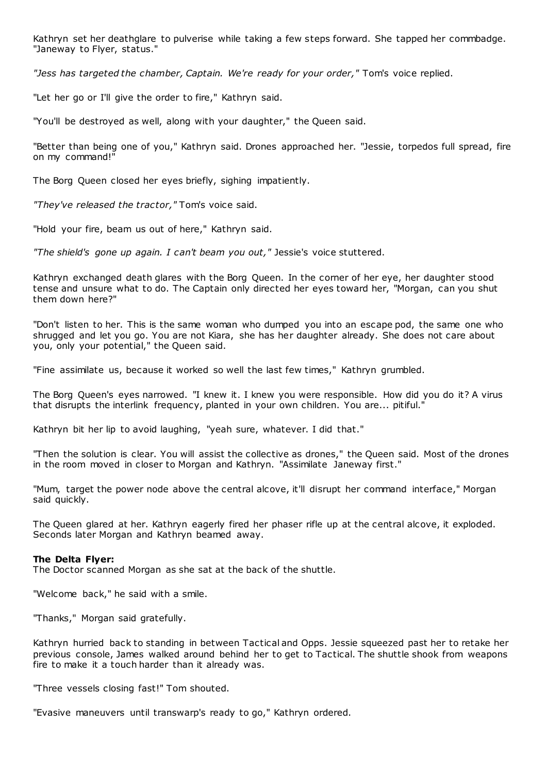Kathryn set her deathglare to pulverise while taking a few steps forward. She tapped her commbadge. "Janeway to Flyer, status."

*"Jess has targeted the chamber, Captain. We're ready for your order,"* Tom's voice replied.

"Let her go or I'll give the order to fire," Kathryn said.

"You'll be destroyed as well, along with your daughter," the Queen said.

"Better than being one of you," Kathryn said. Drones approached her. "Jessie, torpedos full spread, fire on my command!"

The Borg Queen closed her eyes briefly, sighing impatiently.

*"They've released the tractor,"* Tom's voice said.

"Hold your fire, beam us out of here," Kathryn said.

*"The shield's gone up again. I can't beam you out,"* Jessie's voice stuttered.

Kathryn exchanged death glares with the Borg Queen. In the corner of her eye, her daughter stood tense and unsure what to do. The Captain only directed her eyes toward her, "Morgan, can you shut them down here?"

"Don't listen to her. This is the same woman who dumped you into an escape pod, the same one who shrugged and let you go. You are not Kiara, she has her daughter already. She does not care about you, only your potential," the Queen said.

"Fine assimilate us, because it worked so well the last few times," Kathryn grumbled.

The Borg Queen's eyes narrowed. "I knew it. I knew you were responsible. How did you do it? A virus that disrupts the interlink frequency, planted in your own children. You are... pitiful."

Kathryn bit her lip to avoid laughing, "yeah sure, whatever. I did that."

"Then the solution is clear. You will assist the collective as drones," the Queen said. Most of the drones in the room moved in closer to Morgan and Kathryn. "Assimilate Janeway first."

"Mum, target the power node above the central alcove, it'll disrupt her command interface," Morgan said quickly.

The Queen glared at her. Kathryn eagerly fired her phaser rifle up at the central alcove, it exploded. Seconds later Morgan and Kathryn beamed away.

## **The Delta Flyer:**

The Doctor scanned Morgan as she sat at the back of the shuttle.

"Welcome back," he said with a smile.

"Thanks," Morgan said gratefully.

Kathryn hurried back to standing in between Tactical and Opps. Jessie squeezed past her to retake her previous console, James walked around behind her to get to Tactical. The shuttle shook from weapons fire to make it a touch harder than it already was.

"Three vessels closing fast!" Tom shouted.

"Evasive maneuvers until transwarp's ready to go," Kathryn ordered.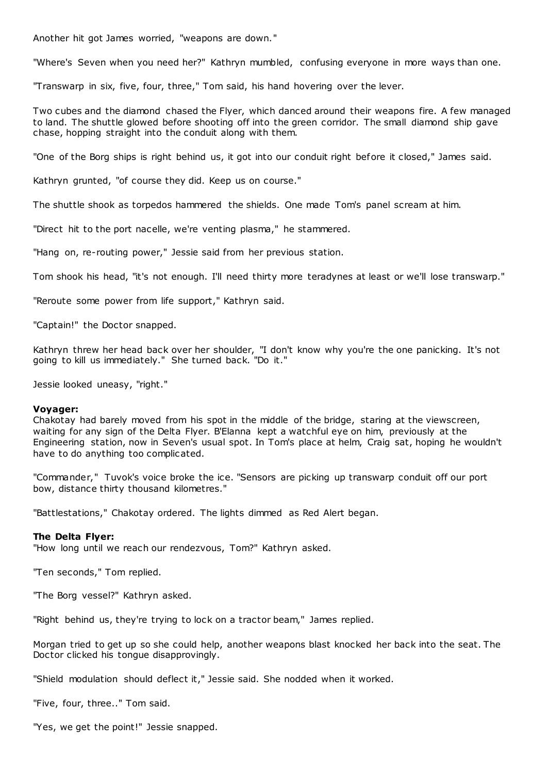Another hit got James worried, "weapons are down."

"Where's Seven when you need her?" Kathryn mumbled, confusing everyone in more ways than one.

"Transwarp in six, five, four, three," Tom said, his hand hovering over the lever.

Two cubes and the diamond chased the Flyer, which danced around their weapons fire. A few managed to land. The shuttle glowed before shooting off into the green corridor. The small diamond ship gave chase, hopping straight into the conduit along with them.

"One of the Borg ships is right behind us, it got into our conduit right before it closed," James said.

Kathryn grunted, "of course they did. Keep us on course."

The shuttle shook as torpedos hammered the shields. One made Tom's panel scream at him.

"Direct hit to the port nacelle, we're venting plasma," he stammered.

"Hang on, re-routing power," Jessie said from her previous station.

Tom shook his head, "it's not enough. I'll need thirty more teradynes at least or we'll lose transwarp."

"Reroute some power from life support," Kathryn said.

"Captain!" the Doctor snapped.

Kathryn threw her head back over her shoulder, "I don't know why you're the one panicking. It's not going to kill us immediately." She turned back. "Do it."

Jessie looked uneasy, "right."

#### **Voyager:**

Chakotay had barely moved from his spot in the middle of the bridge, staring at the viewscreen, waiting for any sign of the Delta Flyer. B'Elanna kept a watchful eye on him, previously at the Engineering station, now in Seven's usual spot. In Tom's place at helm, Craig sat, hoping he wouldn't have to do anything too complicated.

"Commander," Tuvok's voice broke the ice. "Sensors are picking up transwarp conduit off our port bow, distance thirty thousand kilometres."

"Battlestations," Chakotay ordered. The lights dimmed as Red Alert began.

#### **The Delta Flyer:**

"How long until we reach our rendezvous, Tom?" Kathryn asked.

"Ten seconds," Tom replied.

"The Borg vessel?" Kathryn asked.

"Right behind us, they're trying to lock on a tractor beam," James replied.

Morgan tried to get up so she could help, another weapons blast knocked her back into the seat. The Doctor clicked his tongue disapprovingly.

"Shield modulation should deflect it," Jessie said. She nodded when it worked.

"Five, four, three.." Tom said.

"Yes, we get the point!" Jessie snapped.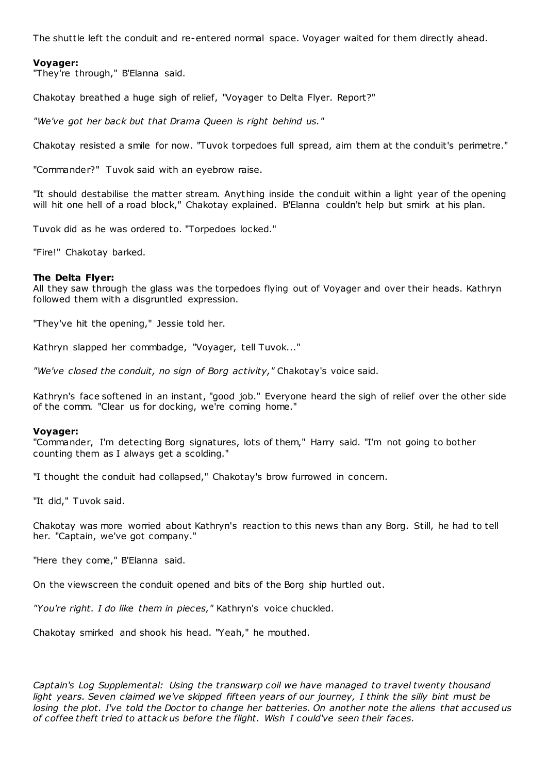The shuttle left the conduit and re-entered normal space. Voyager waited for them directly ahead.

# **Voyager:**

"They're through," B'Elanna said.

Chakotay breathed a huge sigh of relief, "Voyager to Delta Flyer. Report?"

*"We've got her back but that Drama Queen is right behind us."*

Chakotay resisted a smile for now. "Tuvok torpedoes full spread, aim them at the conduit's perimetre."

"Commander?" Tuvok said with an eyebrow raise.

"It should destabilise the matter stream. Anything inside the conduit within a light year of the opening will hit one hell of a road block," Chakotay explained. B'Elanna couldn't help but smirk at his plan.

Tuvok did as he was ordered to. "Torpedoes locked."

"Fire!" Chakotay barked.

#### **The Delta Flyer:**

All they saw through the glass was the torpedoes flying out of Voyager and over their heads. Kathryn followed them with a disgruntled expression.

"They've hit the opening," Jessie told her.

Kathryn slapped her commbadge, "Voyager, tell Tuvok..."

*"We've closed the conduit, no sign of Borg activity,"* Chakotay's voice said.

Kathryn's face softened in an instant, "good job." Everyone heard the sigh of relief over the other side of the comm. "Clear us for docking, we're coming home."

#### **Voyager:**

"Commander, I'm detecting Borg signatures, lots of them," Harry said. "I'm not going to bother counting them as I always get a scolding."

"I thought the conduit had collapsed," Chakotay's brow furrowed in concern.

"It did," Tuvok said.

Chakotay was more worried about Kathryn's reaction to this news than any Borg. Still, he had to tell her. "Captain, we've got company."

"Here they come," B'Elanna said.

On the viewscreen the conduit opened and bits of the Borg ship hurtled out.

*"You're right. I do like them in pieces,"* Kathryn's voice chuckled.

Chakotay smirked and shook his head. "Yeah," he mouthed.

*Captain's Log Supplemental: Using the transwarp coil we have managed to travel twenty thousand*  light years. Seven claimed we've skipped fifteen years of our journey, I think the silly bint must be *losing the plot. I've told the Doctor to change her batteries. On another note the aliens that accused us of coffee theft tried to attack us before the flight. Wish I could've seen their faces.*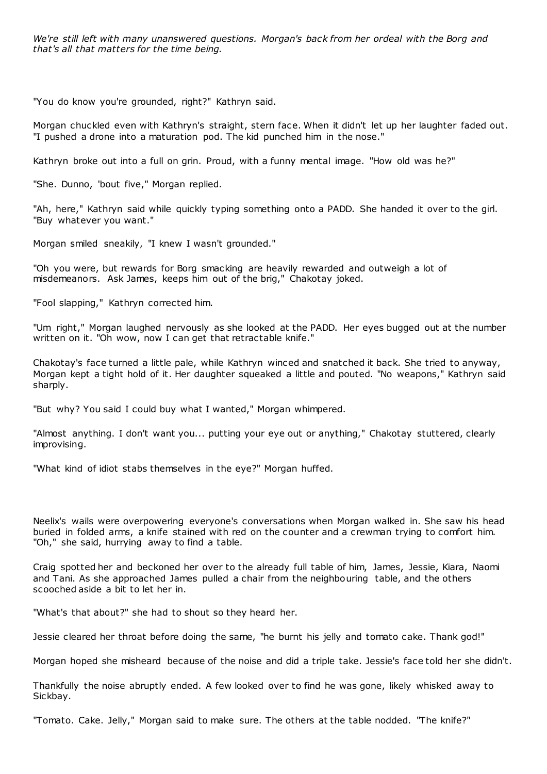*We're still left with many unanswered questions. Morgan's back from her ordeal with the Borg and that's all that matters for the time being.*

"You do know you're grounded, right?" Kathryn said.

Morgan chuckled even with Kathryn's straight, stern face. When it didn't let up her laughter faded out. "I pushed a drone into a maturation pod. The kid punched him in the nose."

Kathryn broke out into a full on grin. Proud, with a funny mental image. "How old was he?"

"She. Dunno, 'bout five," Morgan replied.

"Ah, here," Kathryn said while quickly typing something onto a PADD. She handed it over to the girl. "Buy whatever you want."

Morgan smiled sneakily, "I knew I wasn't grounded."

"Oh you were, but rewards for Borg smacking are heavily rewarded and outweigh a lot of misdemeanors. Ask James, keeps him out of the brig," Chakotay joked.

"Fool slapping," Kathryn corrected him.

"Um right," Morgan laughed nervously as she looked at the PADD. Her eyes bugged out at the number written on it. "Oh wow, now I can get that retractable knife."

Chakotay's face turned a little pale, while Kathryn winced and snatched it back. She tried to anyway, Morgan kept a tight hold of it. Her daughter squeaked a little and pouted. "No weapons," Kathryn said sharply.

"But why? You said I could buy what I wanted," Morgan whimpered.

"Almost anything. I don't want you... putting your eye out or anything," Chakotay stuttered, clearly improvising.

"What kind of idiot stabs themselves in the eye?" Morgan huffed.

Neelix's wails were overpowering everyone's conversations when Morgan walked in. She saw his head buried in folded arms, a knife stained with red on the counter and a crewman trying to comfort him. "Oh," she said, hurrying away to find a table.

Craig spotted her and beckoned her over to the already full table of him, James, Jessie, Kiara, Naomi and Tani. As she approached James pulled a chair from the neighbouring table, and the others scooched aside a bit to let her in.

"What's that about?" she had to shout so they heard her.

Jessie cleared her throat before doing the same, "he burnt his jelly and tomato cake. Thank god!"

Morgan hoped she misheard because of the noise and did a triple take. Jessie's face told her she didn't.

Thankfully the noise abruptly ended. A few looked over to find he was gone, likely whisked away to Sickbay.

"Tomato. Cake. Jelly," Morgan said to make sure. The others at the table nodded. "The knife?"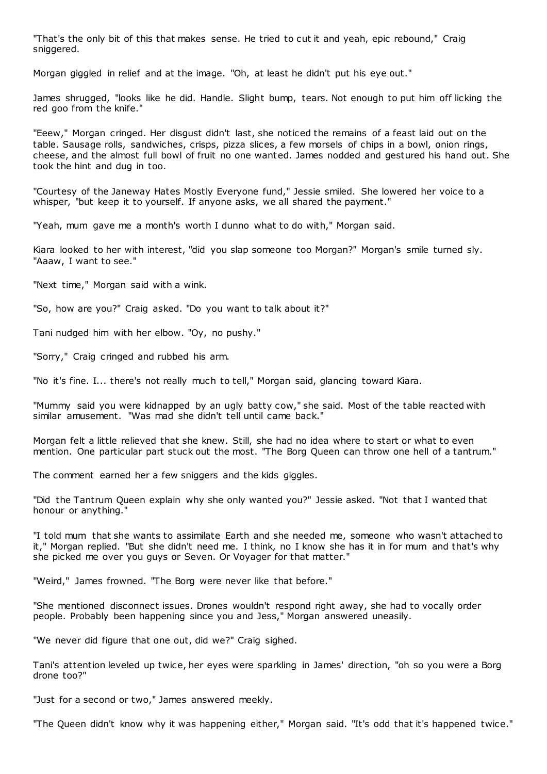"That's the only bit of this that makes sense. He tried to cut it and yeah, epic rebound," Craig sniggered.

Morgan giggled in relief and at the image. "Oh, at least he didn't put his eye out."

James shrugged, "looks like he did. Handle. Slight bump, tears. Not enough to put him off licking the red goo from the knife."

"Eeew," Morgan cringed. Her disgust didn't last, she noticed the remains of a feast laid out on the table. Sausage rolls, sandwiches, crisps, pizza slices, a few morsels of chips in a bowl, onion rings, cheese, and the almost full bowl of fruit no one wanted. James nodded and gestured his hand out. She took the hint and dug in too.

"Courtesy of the Janeway Hates Mostly Everyone fund," Jessie smiled. She lowered her voice to a whisper, "but keep it to yourself. If anyone asks, we all shared the payment."

"Yeah, mum gave me a month's worth I dunno what to do with," Morgan said.

Kiara looked to her with interest, "did you slap someone too Morgan?" Morgan's smile turned sly. "Aaaw, I want to see."

"Next time," Morgan said with a wink.

"So, how are you?" Craig asked. "Do you want to talk about it?"

Tani nudged him with her elbow. "Oy, no pushy."

"Sorry," Craig cringed and rubbed his arm.

"No it's fine. I... there's not really much to tell," Morgan said, glancing toward Kiara.

"Mummy said you were kidnapped by an ugly batty cow," she said. Most of the table reacted with similar amusement. "Was mad she didn't tell until came back."

Morgan felt a little relieved that she knew. Still, she had no idea where to start or what to even mention. One particular part stuck out the most. "The Borg Queen can throw one hell of a tantrum."

The comment earned her a few sniggers and the kids giggles.

"Did the Tantrum Queen explain why she only wanted you?" Jessie asked. "Not that I wanted that honour or anything."

"I told mum that she wants to assimilate Earth and she needed me, someone who wasn't attached to it," Morgan replied. "But she didn't need me. I think, no I know she has it in for mum and that's why she picked me over you guys or Seven. Or Voyager for that matter."

"Weird," James frowned. "The Borg were never like that before."

"She mentioned disconnect issues. Drones wouldn't respond right away, she had to vocally order people. Probably been happening since you and Jess," Morgan answered uneasily.

"We never did figure that one out, did we?" Craig sighed.

Tani's attention leveled up twice, her eyes were sparkling in James' direction, "oh so you were a Borg drone too?"

"Just for a second or two," James answered meekly.

"The Queen didn't know why it was happening either," Morgan said. "It's odd that it's happened twice."